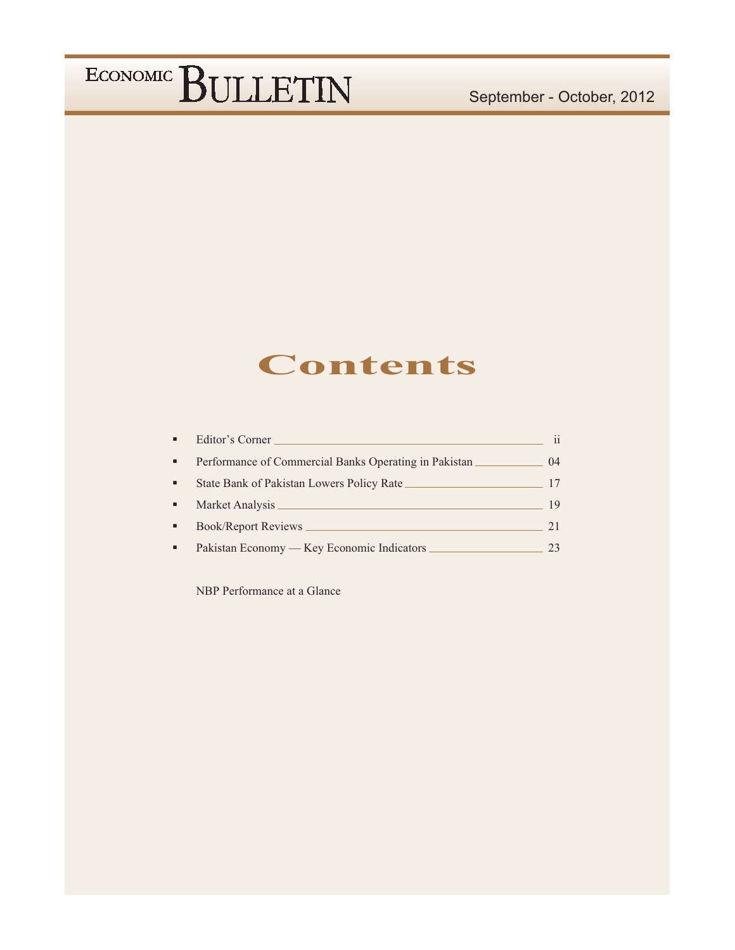### **Contents**

| Editor's Corner                                         | $\mathbf{ii}$ |
|---------------------------------------------------------|---------------|
| Performance of Commercial Banks Operating in Pakistan _ | $^{04}$       |
| State Bank of Pakistan Lowers Policy Rate               |               |
| Market Analysis                                         | 19            |
| <b>Book/Report Reviews</b>                              |               |
| Pakistan Economy — Key Economic Indicators              | 23            |

NBP Performance at a Glance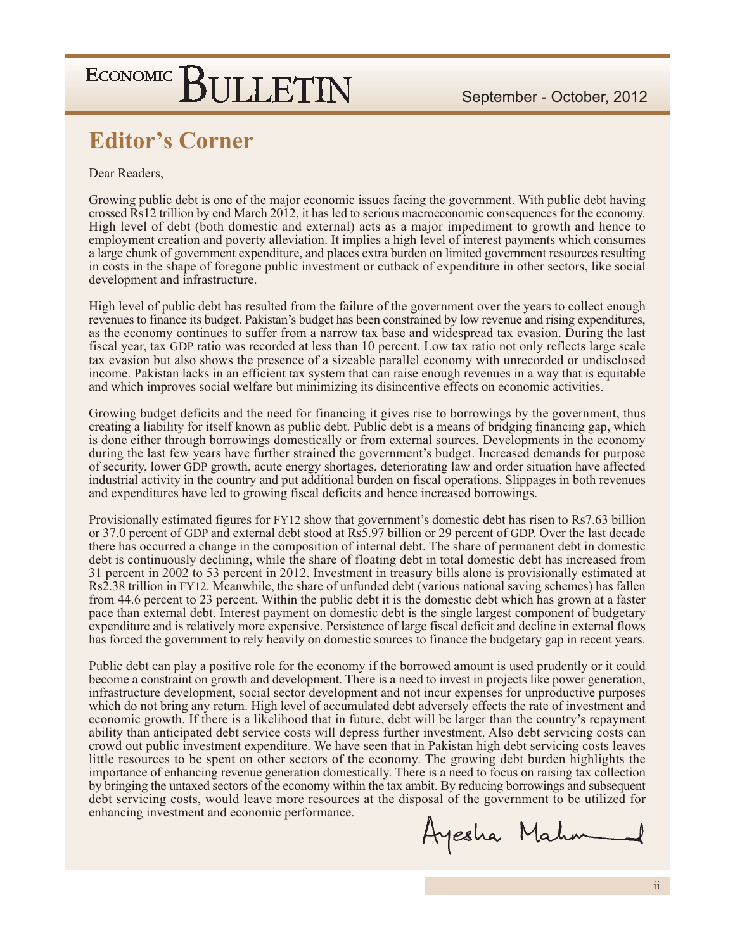### **Editor's Corner**

#### Dear Readers.

Growing public debt is one of the major economic issues facing the government. With public debt having crossed Rs12 trillion by end March 2012, it has led to serious macroeconomic consequences for the economy. High level of debt (both domestic and external) acts as a major impediment to growth and hence to employment creation and poverty alleviation. It implies a high level of interest payments which consumes a large chunk of government expenditure, and places extra burden on limited government resources resulting in costs in the shape of foregone public investment or cutback of expenditure in other sectors, like social development and infrastructure.

High level of public debt has resulted from the failure of the government over the years to collect enough revenues to finance its budget. Pakistan's budget has been constrained by low revenue and rising expenditures, as the economy continues to suffer from a narrow tax base and widespread tax evasion. During the last fiscal year, tax GDP ratio was recorded at less than 10 percent. Low tax ratio not only reflects large scale tax evasion but also shows the presence of a sizeable parallel economy with unrecorded or undisclosed income. Pakistan lacks in an efficient tax system that can raise enough revenues in a way that is equitable and which improves social welfare but minimizing its disincentive effects on economic activities.

Growing budget deficits and the need for financing it gives rise to borrowings by the government, thus creating a liability for itself known as public debt. Public debt is a means of bridging financing gap, which is done either through borrowings domestically or from external sources. Developments in the economy during the last few years have further strained the government's budget. Increased demands for purpose of security, lower GDP growth, acute energy shortages, deteriorating law and order situation have affected industrial activity in the country and put additional burden on fiscal operations. Slippages in both revenues and expenditures have led to growing fiscal deficits and hence increased borrowings.

Provisionally estimated figures for FY12 show that government's domestic debt has risen to Rs7.63 billion or 37.0 percent of GDP and external debt stood at Rs5.97 billion or 29 percent of GDP. Over the last decade there has occurred a change in the composition of internal debt. The share of permanent debt in domestic debt is continuously declining, while the share of floating debt in total domestic debt has increased from 31 percent in 2002 to 53 percent in 2012. Investment in treasury bills alone is provisionally estimated at Rs2.38 trillion in FY12. Meanwhile, the share of unfunded debt (various national saving schemes) has fallen from 44.6 percent to 23 percent. Within the public debt it is the domestic debt which has grown at a faster pace than external debt. Interest payment on domestic debt is the single largest component of budgetary expenditure and is relatively more expensive. Persistence of large fiscal deficit and decline in external flows has forced the government to rely heavily on domestic sources to finance the budgetary gap in recent years.

Public debt can play a positive role for the economy if the borrowed amount is used prudently or it could become a constraint on growth and development. There is a need to invest in projects like power generation, infrastructure development, social sector development and not incur expenses for unproductive purposes which do not bring any return. High level of accumulated debt adversely effects the rate of investment and economic growth. If there is a likelihood that in future, debt will be larger than the country's repayment ability than anticipated debt service costs will depress further investment. Also debt servicing costs can crowd out public investment expenditure. We have seen that in Pakistan high debt servicing costs leaves little resources to be spent on other sectors of the economy. The growing debt burden highlights the importance of enhancing revenue generation domestically. There is a need to focus on raising tax collection by bringing the untaxed sectors of the economy within the tax ambit. By reducing borrowings and subsequent debt servicing costs, would leave more resources at the disposal of the government to be utilized for enhancing investment and economic performance.

Ayesha Mahm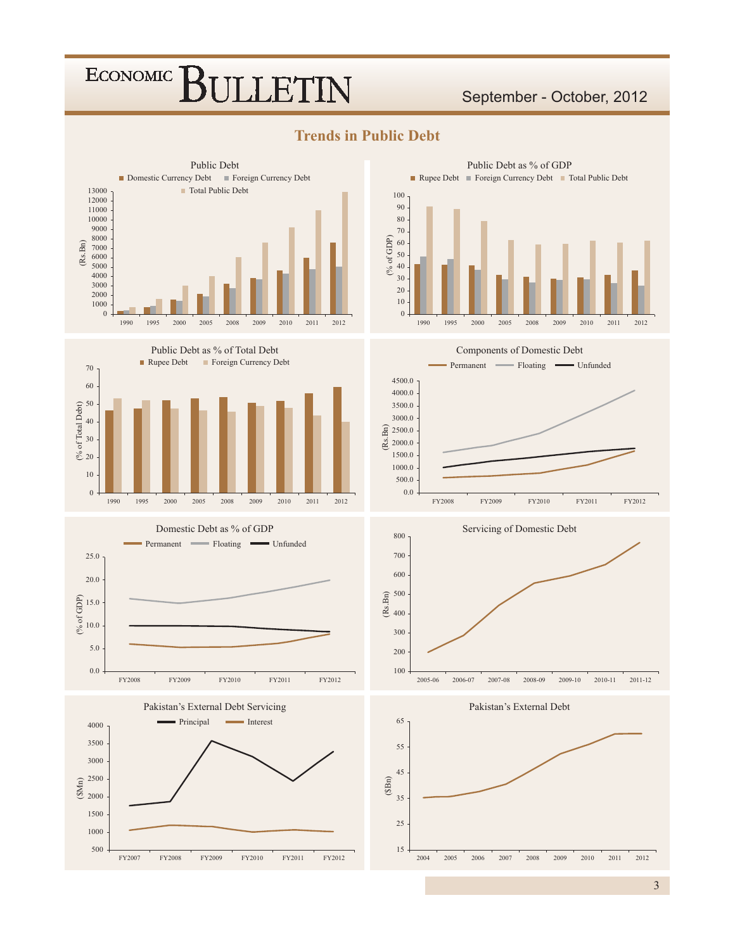### September - October, 2012



**Trends in Public Debt** 















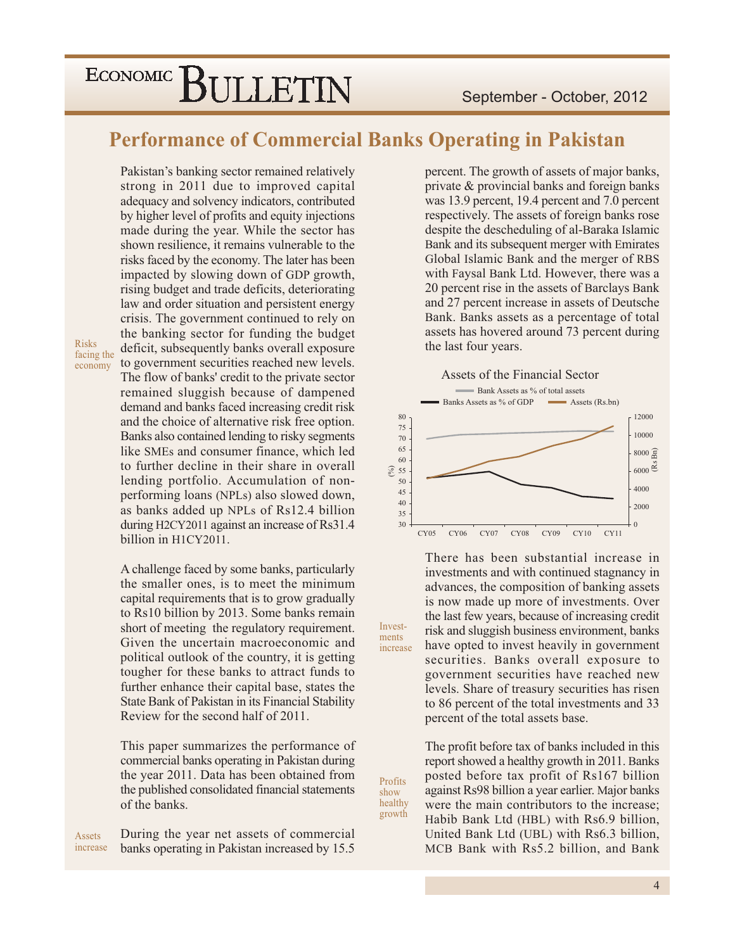### **Performance of Commercial Banks Operating in Pakistan**

Invest-

ments

increase

Profits

show healthy

growth

Pakistan's banking sector remained relatively strong in 2011 due to improved capital adequacy and solvency indicators, contributed by higher level of profits and equity injections made during the year. While the sector has shown resilience, it remains vulnerable to the risks faced by the economy. The later has been impacted by slowing down of GDP growth, rising budget and trade deficits, deteriorating law and order situation and persistent energy crisis. The government continued to rely on the banking sector for funding the budget deficit, subsequently banks overall exposure to government securities reached new levels. The flow of banks' credit to the private sector remained sluggish because of dampened demand and banks faced increasing credit risk and the choice of alternative risk free option. Banks also contained lending to risky segments like SMEs and consumer finance, which led to further decline in their share in overall lending portfolio. Accumulation of nonperforming loans (NPLs) also slowed down, as banks added up NPLs of Rs12.4 billion during H2CY2011 against an increase of Rs31.4 billion in H1CY2011.

**Risks** 

facing the

economy

A challenge faced by some banks, particularly the smaller ones, is to meet the minimum capital requirements that is to grow gradually to Rs10 billion by 2013. Some banks remain short of meeting the regulatory requirement. Given the uncertain macroeconomic and political outlook of the country, it is getting tougher for these banks to attract funds to further enhance their capital base, states the State Bank of Pakistan in its Financial Stability Review for the second half of 2011.

This paper summarizes the performance of commercial banks operating in Pakistan during the year 2011. Data has been obtained from the published consolidated financial statements of the banks.

During the year net assets of commercial Assets increase banks operating in Pakistan increased by 15.5

percent. The growth of assets of major banks, private & provincial banks and foreign banks was 13.9 percent, 19.4 percent and 7.0 percent respectively. The assets of foreign banks rose despite the descheduling of al-Baraka Islamic Bank and its subsequent merger with Emirates Global Islamic Bank and the merger of RBS with Faysal Bank Ltd. However, there was a 20 percent rise in the assets of Barclays Bank and 27 percent increase in assets of Deutsche Bank. Banks assets as a percentage of total assets has hovered around 73 percent during the last four years.



There has been substantial increase in investments and with continued stagnancy in advances, the composition of banking assets is now made up more of investments. Over the last few years, because of increasing credit risk and sluggish business environment, banks have opted to invest heavily in government securities. Banks overall exposure to government securities have reached new levels. Share of treasury securities has risen to 86 percent of the total investments and 33 percent of the total assets base.

The profit before tax of banks included in this report showed a healthy growth in 2011. Banks posted before tax profit of Rs167 billion against Rs98 billion a year earlier. Major banks were the main contributors to the increase; Habib Bank Ltd (HBL) with Rs6.9 billion. United Bank Ltd (UBL) with Rs6.3 billion, MCB Bank with Rs5.2 billion, and Bank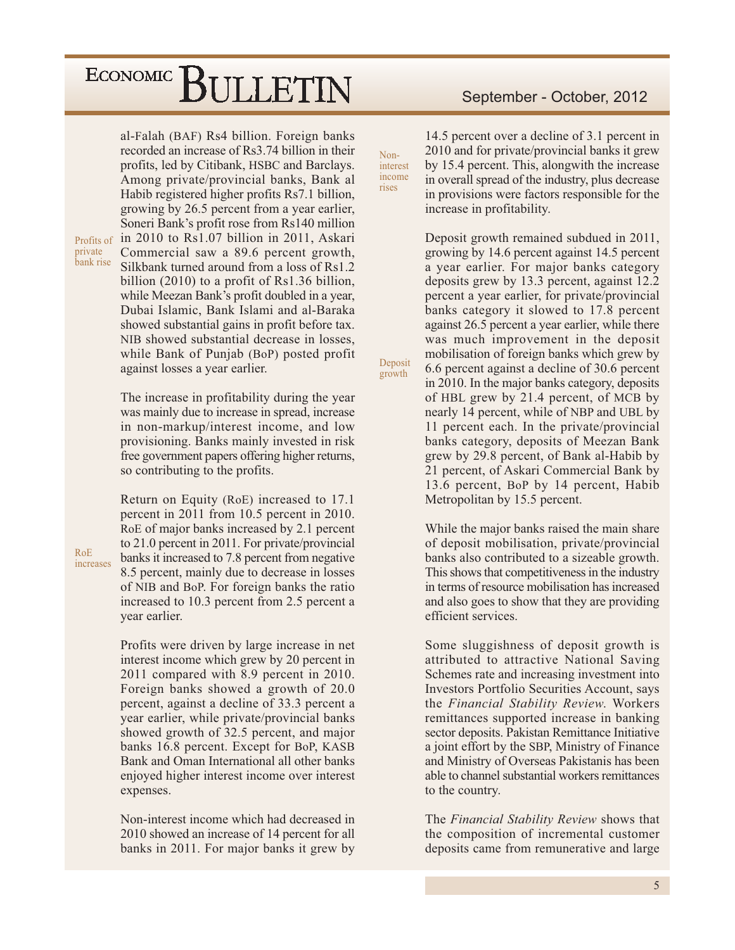al-Falah (BAF) Rs4 billion. Foreign banks recorded an increase of Rs3.74 billion in their profits, led by Citibank, HSBC and Barclays. Among private/provincial banks, Bank al Habib registered higher profits Rs7.1 billion, growing by 26.5 percent from a year earlier, Soneri Bank's profit rose from Rs140 million in 2010 to Rs1.07 billion in 2011, Askari Commercial saw a 89.6 percent growth, Silkbank turned around from a loss of Rs1.2 billion  $(2010)$  to a profit of Rs1.36 billion, while Meezan Bank's profit doubled in a year, Dubai Islamic, Bank Islami and al-Baraka showed substantial gains in profit before tax. NIB showed substantial decrease in losses, while Bank of Punjab (BoP) posted profit

Profits of private bank rise

against losses a year earlier.

The increase in profitability during the year was mainly due to increase in spread, increase in non-markup/interest income, and low provisioning. Banks mainly invested in risk free government papers offering higher returns, so contributing to the profits.

Return on Equity (RoE) increased to 17.1 percent in 2011 from 10.5 percent in 2010. RoE of major banks increased by 2.1 percent to 21.0 percent in 2011. For private/provincial banks it increased to 7.8 percent from negative 8.5 percent, mainly due to decrease in losses of NIB and BoP. For foreign banks the ratio increased to 10.3 percent from 2.5 percent a vear earlier.

Profits were driven by large increase in net interest income which grew by 20 percent in 2011 compared with 8.9 percent in 2010. Foreign banks showed a growth of 20.0 percent, against a decline of 33.3 percent a year earlier, while private/provincial banks showed growth of 32.5 percent, and major banks 16.8 percent. Except for BoP, KASB Bank and Oman International all other banks enjoyed higher interest income over interest expenses.

Non-interest income which had decreased in 2010 showed an increase of 14 percent for all banks in 2011. For major banks it grew by

#### September - October, 2012

14.5 percent over a decline of 3.1 percent in 2010 and for private/provincial banks it grew by 15.4 percent. This, alongwith the increase in overall spread of the industry, plus decrease in provisions were factors responsible for the increase in profitability.

Non-

rises

interest income

Deposit

growth

Deposit growth remained subdued in 2011, growing by 14.6 percent against 14.5 percent a year earlier. For major banks category deposits grew by 13.3 percent, against 12.2 percent a year earlier, for private/provincial banks category it slowed to 17.8 percent against 26.5 percent a year earlier, while there was much improvement in the deposit mobilisation of foreign banks which grew by 6.6 percent against a decline of 30.6 percent in 2010. In the major banks category, deposits of HBL grew by 21.4 percent, of MCB by nearly 14 percent, while of NBP and UBL by 11 percent each. In the private/provincial banks category, deposits of Meezan Bank grew by 29.8 percent, of Bank al-Habib by 21 percent, of Askari Commercial Bank by 13.6 percent, BoP by 14 percent, Habib Metropolitan by 15.5 percent.

While the major banks raised the main share of deposit mobilisation, private/provincial banks also contributed to a sizeable growth. This shows that competitiveness in the industry in terms of resource mobilisation has increased and also goes to show that they are providing efficient services.

Some sluggishness of deposit growth is attributed to attractive National Saving Schemes rate and increasing investment into **Investors Portfolio Securities Account, says** the Financial Stability Review. Workers remittances supported increase in banking sector deposits. Pakistan Remittance Initiative a joint effort by the SBP, Ministry of Finance and Ministry of Overseas Pakistanis has been able to channel substantial workers remittances to the country.

The Financial Stability Review shows that the composition of incremental customer deposits came from remunerative and large

 $R<sub>0</sub>F$ 

increases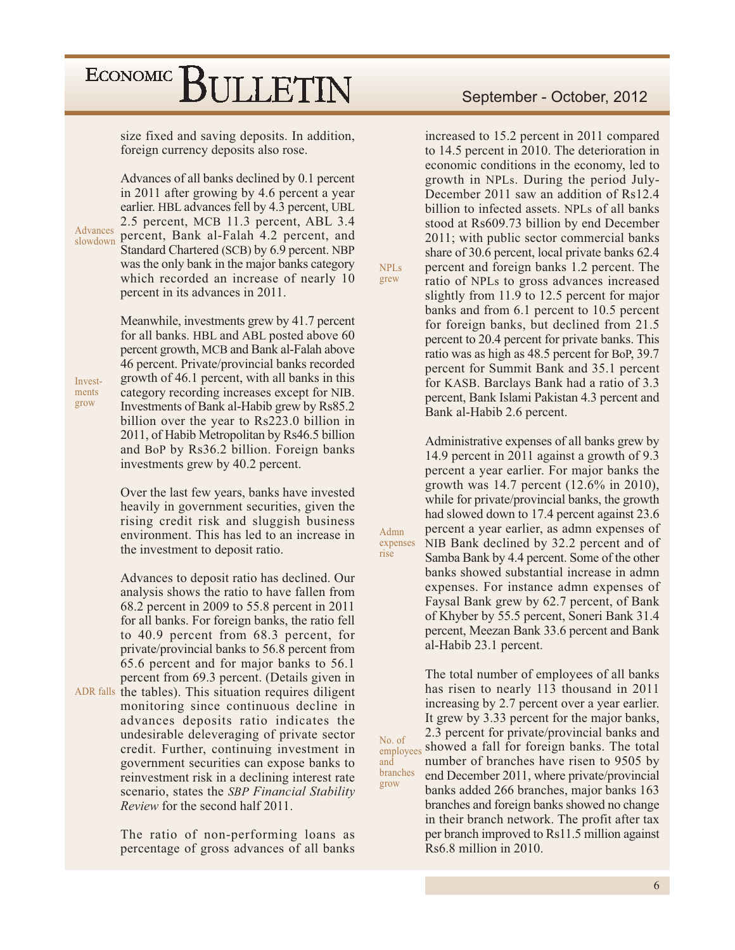size fixed and saving deposits. In addition, foreign currency deposits also rose.

Advances of all banks declined by 0.1 percent in 2011 after growing by 4.6 percent a year earlier. HBL advances fell by 4.3 percent, UBL 2.5 percent, MCB 11.3 percent, ABL 3.4 Advances percent, Bank al-Falah 4.2 percent, and slowdown Standard Chartered (SCB) by 6.9 percent. NBP was the only bank in the major banks category which recorded an increase of nearly 10 percent in its advances in 2011.

> Meanwhile, investments grew by 41.7 percent for all banks. HBL and ABL posted above 60 percent growth, MCB and Bank al-Falah above 46 percent. Private/provincial banks recorded growth of 46.1 percent, with all banks in this category recording increases except for NIB. Investments of Bank al-Habib grew by Rs85.2 billion over the year to Rs223.0 billion in 2011, of Habib Metropolitan by Rs46.5 billion and BoP by Rs36.2 billion. Foreign banks investments grew by 40.2 percent.

> Over the last few years, banks have invested heavily in government securities, given the rising credit risk and sluggish business environment. This has led to an increase in the investment to deposit ratio.

Advances to deposit ratio has declined. Our analysis shows the ratio to have fallen from 68.2 percent in 2009 to 55.8 percent in 2011 for all banks. For foreign banks, the ratio fell to 40.9 percent from 68.3 percent, for private/provincial banks to 56.8 percent from 65.6 percent and for major banks to 56.1 percent from 69.3 percent. (Details given in ADR falls the tables). This situation requires diligent monitoring since continuous decline in

advances deposits ratio indicates the undesirable deleveraging of private sector credit. Further, continuing investment in government securities can expose banks to reinvestment risk in a declining interest rate scenario, states the SBP Financial Stability Review for the second half 2011.

The ratio of non-performing loans as percentage of gross advances of all banks

increased to 15.2 percent in 2011 compared to 14.5 percent in 2010. The deterioration in economic conditions in the economy, led to growth in NPLs. During the period July-December 2011 saw an addition of Rs12.4 billion to infected assets. NPLs of all banks stood at Rs609.73 billion by end December 2011; with public sector commercial banks share of 30.6 percent, local private banks 62.4 percent and foreign banks 1.2 percent. The ratio of NPLs to gross advances increased slightly from 11.9 to 12.5 percent for major banks and from 6.1 percent to 10.5 percent for foreign banks, but declined from 21.5 percent to 20.4 percent for private banks. This ratio was as high as 48.5 percent for BoP, 39.7 percent for Summit Bank and 35.1 percent for KASB. Barclays Bank had a ratio of 3.3 percent, Bank Islami Pakistan 4.3 percent and Bank al-Habib 2.6 percent.

**NPLs** 

grew

Admn

No. of

and branches

grow

rise

expenses

Administrative expenses of all banks grew by 14.9 percent in 2011 against a growth of 9.3 percent a year earlier. For major banks the growth was 14.7 percent  $(12.6\% \text{ in } 2010)$ , while for private/provincial banks, the growth had slowed down to 17.4 percent against 23.6 percent a year earlier, as admn expenses of NIB Bank declined by 32.2 percent and of Samba Bank by 4.4 percent. Some of the other banks showed substantial increase in admn expenses. For instance admn expenses of Faysal Bank grew by 62.7 percent, of Bank of Khyber by 55.5 percent, Soneri Bank 31.4 percent, Meezan Bank 33.6 percent and Bank al-Habib 23.1 percent.

The total number of employees of all banks has risen to nearly 113 thousand in 2011 increasing by 2.7 percent over a year earlier. It grew by 3.33 percent for the major banks, 2.3 percent for private/provincial banks and showed a fall for foreign banks. The total employees number of branches have risen to 9505 by end December 2011, where private/provincial banks added 266 branches, major banks 163 branches and foreign banks showed no change in their branch network. The profit after tax per branch improved to Rs11.5 million against  $Rs6.8$  million in 2010.

Investments grow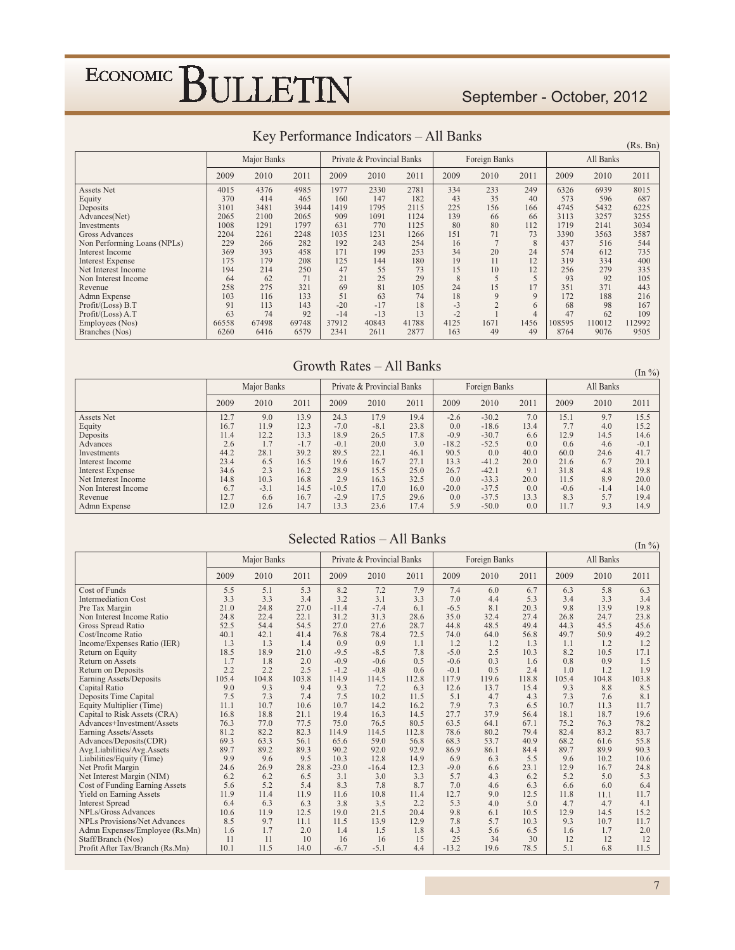### September - October, 2012

| <b>IVALUAT CHARGE CONTRACTO DE LA CALICATA DE LA CALICATA DE LA CALICATA DE LA CALICATA DE LA CALICATA DE LA CALI</b><br>THE DUILD<br>(Rs. Bn) |       |             |       |       |                            |       |      |               |                |        |           |        |  |  |
|------------------------------------------------------------------------------------------------------------------------------------------------|-------|-------------|-------|-------|----------------------------|-------|------|---------------|----------------|--------|-----------|--------|--|--|
|                                                                                                                                                |       | Major Banks |       |       | Private & Provincial Banks |       |      | Foreign Banks |                |        | All Banks |        |  |  |
|                                                                                                                                                | 2009  | 2010        | 2011  | 2009  | 2010                       | 2011  | 2009 | 2010          | 2011           | 2009   | 2010      | 2011   |  |  |
| Assets Net                                                                                                                                     | 4015  | 4376        | 4985  | 1977  | 2330                       | 2781  | 334  | 233           | 249            | 6326   | 6939      | 8015   |  |  |
| Equity                                                                                                                                         | 370   | 414         | 465   | 160   | 147                        | 182   | 43   | 35            | 40             | 573    | 596       | 687    |  |  |
| Deposits                                                                                                                                       | 3101  | 3481        | 3944  | 1419  | 1795                       | 2115  | 225  | 156           | 166            | 4745   | 5432      | 6225   |  |  |
| Advances(Net)                                                                                                                                  | 2065  | 2100        | 2065  | 909   | 1091                       | 1124  | 139  | 66            | 66             | 3113   | 3257      | 3255   |  |  |
| Investments                                                                                                                                    | 1008  | 1291        | 1797  | 631   | 770                        | 1125  | 80   | 80            | 112            | 1719   | 2141      | 3034   |  |  |
| <b>Gross Advances</b>                                                                                                                          | 2204  | 2261        | 2248  | 1035  | 1231                       | 1266  | 151  | 71            | 73             | 3390   | 3563      | 3587   |  |  |
| Non Performing Loans (NPLs)                                                                                                                    | 229   | 266         | 282   | 192   | 243                        | 254   | 16   |               | 8              | 437    | 516       | 544    |  |  |
| <b>Interest Income</b>                                                                                                                         | 369   | 393         | 458   | 171   | 199                        | 253   | 34   | 20            | 24             | 574    | 612       | 735    |  |  |
| <b>Interest Expense</b>                                                                                                                        | 175   | 179         | 208   | 125   | 144                        | 180   | 19   | 11            | 12             | 319    | 334       | 400    |  |  |
| Net Interest Income                                                                                                                            | 194   | 214         | 250   | 47    | 55                         | 73    | 15   | 10            | 12             | 256    | 279       | 335    |  |  |
| Non Interest Income                                                                                                                            | 64    | 62          | 71    | 21    | 25                         | 29    | 8    | 5             | 5              | 93     | 92        | 105    |  |  |
| Revenue                                                                                                                                        | 258   | 275         | 321   | 69    | 81                         | 105   | 24   | 15            | 17             | 351    | 371       | 443    |  |  |
| Admn Expense                                                                                                                                   | 103   | 116         | 133   | 51    | 63                         | 74    | 18   | 9             | 9              | 172    | 188       | 216    |  |  |
| Profit/(Loss) B.T                                                                                                                              | 91    | 113         | 143   | $-20$ | $-17$                      | 18    | $-3$ |               | 6              | 68     | 98        | 167    |  |  |
| Profit/(Loss) A.T                                                                                                                              | 63    | 74          | 92    | $-14$ | $-13$                      | 13    | $-2$ |               | $\overline{4}$ | 47     | 62        | 109    |  |  |
| Employees (Nos)                                                                                                                                | 66558 | 67498       | 69748 | 37912 | 40843                      | 41788 | 4125 | 1671          | 1456           | 108595 | 110012    | 112992 |  |  |
| Branches (Nos)                                                                                                                                 | 6260  | 6416        | 6579  | 2341  | 2611                       | 2877  | 163  | 49            | 49             | 8764   | 9076      | 9505   |  |  |

#### Key Performance Indicators - All Banks

#### Growth Rates - All Banks

 $(In \%)$ Major Banks Private & Provincial Banks Foreign Banks All Banks 2010 2010 2011 2009 2010 2011 2009 2011 2009 2010 2011 2009  $\begin{array}{c} 24.3 \\ -7.0 \\ 18.9 \end{array}$  $\frac{15.1}{7.7}$  12.9 Assets Net 12.7  $9.0\,$ 13.9 17.9 19.4  $-2.6$ <br>0.0  $-30.2$  $7.0\,$ 9.7 15.5 Equity  $16.7$  $11.9\,$  $\begin{array}{c} 12.3 \\ 13.3 \\ -1.7 \end{array}$  $-8.1$  $23.8$ <br>17.8<br>3.0  $\textbf{-18.6}$ 13.4  $4.0$ 15.2 Deposits  $11.4$  $12.2$ 26.5  $-0.9$  $-30.7$ <br> $-52.5$  $6.6$ <br> $0.0$ 14.5 14.6  $-0.1$  $\frac{20.6}{20.0}$  $-18.2$  $0.6$  $4.6$ 2.6  $1.7$  $-0.1$ Advances Investments 44.2  $28.1$  $39.2$ 89.5  $22.1$  $46.1$ 90.5  $0.0$ 40.0 60.0 24.6 41.7 Interest Income 23.4 6.5 16.5 19.6  $16.7$  $27.1$ 13.3  $-41.2$  $20.0\,$  $21.6$ 6.7  $20.1$ Interest Expense<br>Net Interest Income  $34.6$ <br>14.8  $\frac{2.3}{10.3}$  $16.2\,$  $\frac{28.9}{2.9}$  $15.5\,$  $\frac{25.0}{32.5}$ 26.7  $-42.1$ <br> $-33.3$  $\frac{9.1}{20.0}$  $31.8$ <br> $11.5$  $\frac{4.8}{8.9}$  $\frac{19.8}{20.0}$ 16.8  $16.3$  $0<sub>0</sub>$  $-37.5$  $-3.1$  $14.5$  $-10.5$  $-20.0$  $\frac{20.8}{0.0}$ Non Interest Income  $6.7$ 17.0  $16.0$  $-0.6$  $-1.4$  $14.0$  $5.7$ <br>9.3 Revenue  $12.7$ 6.6 16.7  $-2.9$ 17.5 29.6  $0.0$  $-37.5$ 13.3 8.3 19.4 Admn Expense  $12.0$  $12.6$  $14.7$ 13.3 23.6 17.4 5.9  $-50.0$  $0.0\,$ 11.7 14.9

#### Selected Ratios - All Banks

 $(\text{Im } 0)$ 

|                                     |       | Major Banks |       |         | Private & Provincial Banks |       |         | Foreign Banks |       |       | All Banks | (111/0) |
|-------------------------------------|-------|-------------|-------|---------|----------------------------|-------|---------|---------------|-------|-------|-----------|---------|
|                                     | 2009  | 2010        | 2011  | 2009    | 2010                       | 2011  | 2009    | 2010          | 2011  | 2009  | 2010      | 2011    |
| Cost of Funds                       | 5.5   | 5.1         | 5.3   | 8.2     | 7.2                        | 7.9   | 7.4     | 6.0           | 6.7   | 6.3   | 5.8       | 6.3     |
| <b>Intermediation Cost</b>          | 3.3   | 3.3         | 3.4   | 3.2     | 3.1                        | 3.3   | 7.0     | 4.4           | 5.3   | 3.4   | 3.3       | 3.4     |
| Pre Tax Margin                      | 21.0  | 24.8        | 27.0  | $-11.4$ | $-7.4$                     | 6.1   | $-6.5$  | 8.1           | 20.3  | 9.8   | 13.9      | 19.8    |
| Non Interest Income Ratio           | 24.8  | 22.4        | 22.1  | 31.2    | 31.3                       | 28.6  | 35.0    | 32.4          | 27.4  | 26.8  | 24.7      | 23.8    |
| Gross Spread Ratio                  | 52.5  | 54.4        | 54.5  | 27.0    | 27.6                       | 28.7  | 44.8    | 48.5          | 49.4  | 44.3  | 45.5      | 45.6    |
| Cost/Income Ratio                   | 40.1  | 42.1        | 41.4  | 76.8    | 78.4                       | 72.5  | 74.0    | 64.0          | 56.8  | 49.7  | 50.9      | 49.2    |
| Income/Expenses Ratio (IER)         | 1.3   | 1.3         | 1.4   | 0.9     | 0.9                        | 1.1   | 1.2     | 1.2           | 1.3   | 1.1   | 1.2       | 1.2     |
| Return on Equity                    | 18.5  | 18.9        | 21.0  | $-9.5$  | $-8.5$                     | 7.8   | $-5.0$  | 2.5           | 10.3  | 8.2   | 10.5      | 17.1    |
| Return on Assets                    | 1.7   | 1.8         | 2.0   | $-0.9$  | $-0.6$                     | 0.5   | $-0.6$  | 0.3           | 1.6   | 0.8   | 0.9       | 1.5     |
| <b>Return on Deposits</b>           | 2.2   | 2.2         | 2.5   | $-1.2$  | $-0.8$                     | 0.6   | $-0.1$  | 0.5           | 2.4   | 1.0   | 1.2       | 1.9     |
| Earning Assets/Deposits             | 105.4 | 104.8       | 103.8 | 114.9   | 114.5                      | 112.8 | 117.9   | 119.6         | 118.8 | 105.4 | 104.8     | 103.8   |
| Capital Ratio                       | 9.0   | 9.3         | 9.4   | 9.3     | 7.2                        | 6.3   | 12.6    | 13.7          | 15.4  | 9.3   | 8.8       | 8.5     |
| Deposits Time Capital               | 7.5   | 7.3         | 7.4   | 7.5     | 10.2                       | 11.5  | 5.1     | 4.7           | 4.3   | 7.3   | 7.6       | 8.1     |
| Equity Multiplier (Time)            | 11.1  | 10.7        | 10.6  | 10.7    | 14.2                       | 16.2  | 7.9     | 7.3           | 6.5   | 10.7  | 11.3      | 11.7    |
| Capital to Risk Assets (CRA)        | 16.8  | 18.8        | 21.1  | 19.4    | 16.3                       | 14.5  | 27.7    | 37.9          | 56.4  | 18.1  | 18.7      | 19.6    |
| Advances+Investment/Assets          | 76.3  | 77.0        | 77.5  | 75.0    | 76.5                       | 80.5  | 63.5    | 64.1          | 67.1  | 75.2  | 76.3      | 78.2    |
| Earning Assets/Assets               | 81.2  | 82.2        | 82.3  | 114.9   | 114.5                      | 112.8 | 78.6    | 80.2          | 79.4  | 82.4  | 83.2      | 83.7    |
| Advances/Deposits(CDR)              | 69.3  | 63.3        | 56.1  | 65.6    | 59.0                       | 56.8  | 68.3    | 53.7          | 40.9  | 68.2  | 61.6      | 55.8    |
| Avg.Liabilities/Avg.Assets          | 89.7  | 89.2        | 89.3  | 90.2    | 92.0                       | 92.9  | 86.9    | 86.1          | 84.4  | 89.7  | 89.9      | 90.3    |
| Liabilities/Equity (Time)           | 9.9   | 9.6         | 9.5   | 10.3    | 12.8                       | 14.9  | 6.9     | 6.3           | 5.5   | 9.6   | 10.2      | 10.6    |
| Net Profit Margin                   | 24.6  | 26.9        | 28.8  | $-23.0$ | $-16.4$                    | 12.3  | $-9.0$  | 6.6           | 23.1  | 12.9  | 16.7      | 24.8    |
| Net Interest Margin (NIM)           | 6.2   | 6.2         | 6.5   | 3.1     | 3.0                        | 3.3   | 5.7     | 4.3           | 6.2   | 5.2   | 5.0       | 5.3     |
| Cost of Funding Earning Assets      | 5.6   | 5.2         | 5.4   | 8.3     | 7.8                        | 8.7   | 7.0     | 4.6           | 6.3   | 6.6   | 6.0       | 6.4     |
| <b>Yield on Earning Assets</b>      | 11.9  | 11.4        | 11.9  | 11.6    | 10.8                       | 11.4  | 12.7    | 9.0           | 12.5  | 11.8  | 11.1      | 11.7    |
| <b>Interest Spread</b>              | 6.4   | 6.3         | 6.3   | 3.8     | 3.5                        | 2.2   | 5.3     | 4.0           | 5.0   | 4.7   | 4.7       | 4.1     |
| NPLs/Gross Advances                 | 10.6  | 11.9        | 12.5  | 19.0    | 21.5                       | 20.4  | 9.8     | 6.1           | 10.5  | 12.9  | 14.5      | 15.2    |
| <b>NPLs Provisions/Net Advances</b> | 8.5   | 9.7         | 11.1  | 11.5    | 13.9                       | 12.9  | 7.8     | 5.7           | 10.3  | 9.3   | 10.7      | 11.7    |
| Admn Expenses/Employee (Rs.Mn)      | 1.6   | 1.7         | 2.0   | 1.4     | 1.5                        | 1.8   | 4.3     | 5.6           | 6.5   | 1.6   | 1.7       | 2.0     |
| Staff/Branch (Nos)                  | 11    | 11          | 10    | 16      | 16                         | 15    | 25      | 34            | 30    | 12    | 12        | 12      |
| Profit After Tax/Branch (Rs.Mn)     | 10.1  | 11.5        | 14.0  | $-6.7$  | $-5.1$                     | 4.4   | $-13.2$ | 19.6          | 78.5  | 5.1   | 6.8       | 11.5    |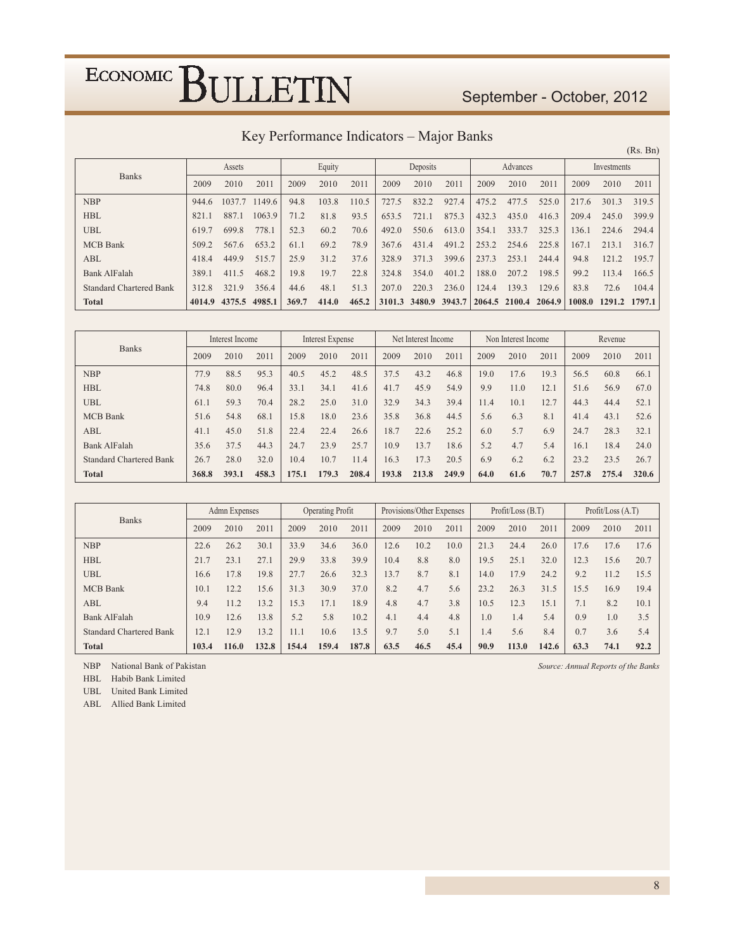### September - October, 2012

| Key Performance Indicators – Major Banks |  |  |  |  |
|------------------------------------------|--|--|--|--|
|------------------------------------------|--|--|--|--|

|                                |        |        |        |       |        |       |        |          |        |       |               |        |        |             | (Rs. Bn) |
|--------------------------------|--------|--------|--------|-------|--------|-------|--------|----------|--------|-------|---------------|--------|--------|-------------|----------|
|                                |        | Assets |        |       | Equity |       |        | Deposits |        |       | Advances      |        |        | Investments |          |
| <b>Banks</b>                   | 2009   | 2010   | 2011   | 2009  | 2010   | 2011  | 2009   | 2010     | 2011   | 2009  | 2010          | 2011   | 2009   | 2010        | 2011     |
| <b>NBP</b>                     | 944.6  | 1037.7 | 1149.6 | 94.8  | 103.8  | 110.5 | 727.5  | 832.2    | 927.4  | 475.2 | 477.5         | 525.0  | 217.6  | 301.3       | 319.5    |
| <b>HBL</b>                     | 821.1  | 887.1  | 1063.9 | 71.2  | 81.8   | 93.5  | 653.5  | 721.1    | 875.3  | 432.3 | 435.0         | 416.3  | 209.4  | 245.0       | 399.9    |
| <b>UBL</b>                     | 619.7  | 699.8  | 778.1  | 52.3  | 60.2   | 70.6  | 492.0  | 550.6    | 613.0  | 354.1 | 333.7         | 325.3  | 136.1  | 224.6       | 294.4    |
| <b>MCB</b> Bank                | 509.2  | 567.6  | 653.2  | 61.1  | 69.2   | 78.9  | 367.6  | 431.4    | 491.2  | 253.2 | 254.6         | 225.8  | 167.1  | 213.1       | 316.7    |
| ABL                            | 418.4  | 449.9  | 515.7  | 25.9  | 31.2   | 37.6  | 328.9  | 371.3    | 399.6  | 237.3 | 253.1         | 244.4  | 94.8   | 121.2       | 195.7    |
| <b>Bank AlFalah</b>            | 389.1  | 411.5  | 468.2  | 19.8  | 19.7   | 22.8  | 324.8  | 354.0    | 401.2  | 188.0 | 207.2         | 198.5  | 99.2   | 113.4       | 166.5    |
| <b>Standard Chartered Bank</b> | 312.8  | 321.9  | 356.4  | 44.6  | 48.1   | 51.3  | 207.0  | 220.3    | 236.0  | 124.4 | 139.3         | 129.6  | 83.8   | 72.6        | 104.4    |
| <b>Total</b>                   | 4014.9 | 4375.5 | 4985.1 | 369.7 | 414.0  | 465.2 | 3101.3 | 3480.9   | 3943.7 |       | 2064.5 2100.4 | 2064.9 | 1008.0 | 1291.2      | 1797.1   |

|                                |       | Interest Income |       |       | Interest Expense |       |       | Net Interest Income |       |      | Non Interest Income |      |       | Revenue |       |
|--------------------------------|-------|-----------------|-------|-------|------------------|-------|-------|---------------------|-------|------|---------------------|------|-------|---------|-------|
| <b>Banks</b>                   | 2009  | 2010            | 2011  | 2009  | 2010             | 2011  | 2009  | 2010                | 2011  | 2009 | 2010                | 2011 | 2009  | 2010    | 2011  |
| <b>NBP</b>                     | 77.9  | 88.5            | 95.3  | 40.5  | 45.2             | 48.5  | 37.5  | 43.2                | 46.8  | 19.0 | 17.6                | 19.3 | 56.5  | 60.8    | 66.1  |
| <b>HBL</b>                     | 74.8  | 80.0            | 96.4  | 33.1  | 34.1             | 41.6  | 41.7  | 45.9                | 54.9  | 9.9  | 11.0                | 12.1 | 51.6  | 56.9    | 67.0  |
| <b>UBL</b>                     | 61.1  | 59.3            | 70.4  | 28.2  | 25.0             | 31.0  | 32.9  | 34.3                | 39.4  | 11.4 | 10.1                | 12.7 | 44.3  | 44.4    | 52.1  |
| <b>MCB</b> Bank                | 51.6  | 54.8            | 68.1  | 15.8  | 18.0             | 23.6  | 35.8  | 36.8                | 44.5  | 5.6  | 6.3                 | 8.1  | 41.4  | 43.1    | 52.6  |
| ABL                            | 41.1  | 45.0            | 51.8  | 22.4  | 22.4             | 26.6  | 18.7  | 22.6                | 25.2  | 6.0  | 5.7                 | 6.9  | 24.7  | 28.3    | 32.1  |
| <b>Bank AlFalah</b>            | 35.6  | 37.5            | 44.3  | 24.7  | 23.9             | 25.7  | 10.9  | 13.7                | 18.6  | 5.2  | 4.7                 | 5.4  | 16.1  | 18.4    | 24.0  |
| <b>Standard Chartered Bank</b> | 26.7  | 28.0            | 32.0  | 10.4  | 10.7             | 11.4  | 16.3  | 17.3                | 20.5  | 6.9  | 6.2                 | 6.2  | 23.2  | 23.5    | 26.7  |
| <b>Total</b>                   | 368.8 | 393.1           | 458.3 | 175.1 | 179.3            | 208.4 | 193.8 | 213.8               | 249.9 | 64.0 | 61.6                | 70.7 | 257.8 | 275.4   | 320.6 |

| <b>Banks</b>                   | Admn Expenses |       |       |       | Operating Profit |       |      | Provisions/Other Expenses |      |      | Profit / Loss (B.T) |       |      | Profit / Loss (A.T) |      |
|--------------------------------|---------------|-------|-------|-------|------------------|-------|------|---------------------------|------|------|---------------------|-------|------|---------------------|------|
|                                | 2009          | 2010  | 2011  | 2009  | 2010             | 2011  | 2009 | 2010                      | 2011 | 2009 | 2010                | 2011  | 2009 | 2010                | 2011 |
| <b>NBP</b>                     | 22.6          | 26.2  | 30.1  | 33.9  | 34.6             | 36.0  | 12.6 | 10.2                      | 10.0 | 21.3 | 24.4                | 26.0  | 17.6 | 17.6                | 17.6 |
| <b>HBL</b>                     | 21.7          | 23.1  | 27.1  | 29.9  | 33.8             | 39.9  | 10.4 | 8.8                       | 8.0  | 19.5 | 25.1                | 32.0  | 12.3 | 15.6                | 20.7 |
| <b>UBL</b>                     | 16.6          | 17.8  | 19.8  | 27.7  | 26.6             | 32.3  | 13.7 | 8.7                       | 8.1  | 14.0 | 17.9                | 24.2  | 9.2  | 11.2                | 15.5 |
| <b>MCB</b> Bank                | 10.1          | 12.2  | 15.6  | 31.3  | 30.9             | 37.0  | 8.2  | 4.7                       | 5.6  | 23.2 | 26.3                | 31.5  | 15.5 | 16.9                | 19.4 |
| ABL                            | 9.4           | 11.2  | 13.2  | 15.3  | 17.1             | 18.9  | 4.8  | 4.7                       | 3.8  | 10.5 | 12.3                | 15.1  | 7.1  | 8.2                 | 10.1 |
| <b>Bank AlFalah</b>            | 10.9          | 12.6  | 13.8  | 5.2   | 5.8              | 10.2  | 4.1  | 4.4                       | 4.8  | 1.0  | 1.4                 | 5.4   | 0.9  | 1.0                 | 3.5  |
| <b>Standard Chartered Bank</b> | 12.1          | 12.9  | 13.2  | 11.1  | 10.6             | 13.5  | 9.7  | 5.0                       | 5.1  | 1.4  | 5.6                 | 8.4   | 0.7  | 3.6                 | 5.4  |
| <b>Total</b>                   | 103.4         | 116.0 | 132.8 | 154.4 | 159.4            | 187.8 | 63.5 | 46.5                      | 45.4 | 90.9 | 113.0               | 142.6 | 63.3 | 74.1                | 92.2 |

NBP National Bank of Pakistan

HBL Habib Bank Limited

UBL United Bank Limited

ABL Allied Bank Limited

Source: Annual Reports of the Banks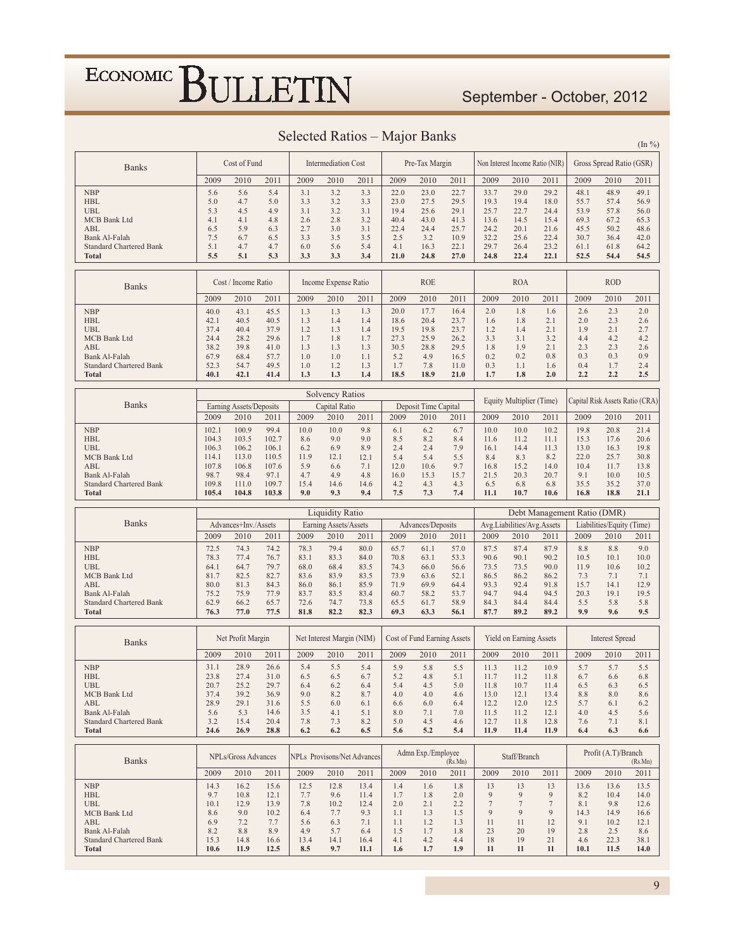### September - October, 2012

 $(\mathrm{In}~\%)$ 

| <b>Banks</b>                                    |                | Cost of Fund            |               |              | <b>Intermediation Cost</b> |                                    |              | Pre-Tax Margin              |              |              |                            | Non Interest Income Ratio (NIR) |              | Gross Spread Ratio (GSR)  |                                 |
|-------------------------------------------------|----------------|-------------------------|---------------|--------------|----------------------------|------------------------------------|--------------|-----------------------------|--------------|--------------|----------------------------|---------------------------------|--------------|---------------------------|---------------------------------|
|                                                 | 2009           | 2010                    | 2011          | 2009         | 2010                       | 2011                               | 2009         | 2010                        | 2011         | 2009         | 2010                       | 2011                            | 2009         | 2010                      | 2011                            |
| <b>NBP</b>                                      | 5.6            | 5.6                     | 5.4           | 3.1          | 3.2                        | 3.3                                | 22.0         | 23.0                        | 22.7         | 33.7         | 29.0                       | 29.2                            | 48.1         | 48.9                      | 49.1                            |
| <b>HBL</b><br>UBL                               | 5.0<br>5.3     | 4.7<br>4.5              | 5.0<br>4.9    | 3.3<br>3.1   | 3.2<br>3.2                 | 3.3<br>3.1                         | 23.0<br>19.4 | 27.5<br>25.6                | 29.5<br>29.1 | 19.3<br>25.7 | 19.4<br>22.7               | 18.0<br>24.4                    | 55.7<br>53.9 | 57.4<br>57.8              | 56.9<br>56.0                    |
| MCB Bank Ltd                                    | 4.1            | 4.1                     | 4.8           | 2.6          | 2.8                        | 3.2                                | 40.4         | 43.0                        | 41.3         | 13.6         | 14.5                       | 15.4                            | 69.3         | 67.2                      | 65.3                            |
| ABL                                             | 6.5            | 5.9                     | 6.3           | 2.7          | 3.0                        | 3.1                                | 22.4         | 24.4                        | 25.7         | 24.2         | 20.1                       | 21.6                            | 45.5         | 50.2                      | 48.6                            |
| Bank Al-Falah                                   | 7.5            | 6.7                     | 6.5           | 3.3          | 3.5                        | 3.5                                | 2.5          | 3.2                         | 10.9         | 32.2         | 25.6                       | 22.4                            | 30.7         | 36.4                      | 42.0                            |
| <b>Standard Chartered Bank</b><br>Total         | 5.1<br>5.5     | 4.7<br>5.1              | 4.7<br>5.3    | 6.0<br>3.3   | 5.6<br>3.3                 | 5.4<br>3.4                         | 4.1<br>21.0  | 16.3<br>24.8                | 22.1<br>27.0 | 29.7<br>24.8 | 26.4<br>22.4               | 23.2<br>22.1                    | 61.1<br>52.5 | 61.8<br>54.4              | 64.2<br>54.5                    |
|                                                 |                |                         |               |              |                            |                                    |              |                             |              |              |                            |                                 |              |                           |                                 |
| <b>Banks</b>                                    |                | Cost / Income Ratio     |               |              | Income Expense Ratio       |                                    |              | <b>ROE</b>                  |              |              | <b>ROA</b>                 |                                 |              | <b>ROD</b>                |                                 |
|                                                 | 2009           | 2010                    | 2011          | 2009         | 2010                       | 2011                               | 2009         | 2010                        | 2011         | 2009         | 2010                       | 2011                            | 2009         | 2010                      | 2011                            |
| <b>NBP</b>                                      | 40.0           | 43.1                    | 45.5          | 1.3          | 1.3                        | 1.3                                | 20.0         | 17.7                        | 16.4         | 2.0          | 1.8                        | 1.6                             | 2.6          | 2.3                       | 2.0                             |
| <b>HBL</b>                                      | 42.1           | 40.5                    | 40.5          | 1.3          | 1.4                        | 1.4                                | 18.6         | 20.4                        | 23.7         | 1.6          | 1.8                        | 2.1                             | 2.0          | 2.3                       | 2.6                             |
| <b>UBL</b><br><b>MCB</b> Bank Ltd               | 37.4<br>24.4   | 40.4<br>28.2            | 37.9<br>29.6  | 1.2<br>1.7   | 1.3<br>1.8                 | 1.4<br>1.7                         | 19.5<br>27.3 | 19.8<br>25.9                | 23.7<br>26.2 | 1.2<br>3.3   | 1.4<br>3.1                 | 2.1<br>3.2                      | 1.9<br>4.4   | 2.1<br>4.2                | 2.7<br>4.2                      |
| ABL                                             | 38.2           | 39.8                    | 41.0          | 1.3          | 1.3                        | 1.3                                | 30.5         | 28.8                        | 29.5         | 1.8          | 1.9                        | 2.1                             | 2.3          | 2.3                       | 2.6                             |
| Bank Al-Falah                                   | 67.9           | 68.4                    | 57.7          | 1.0          | 1.0                        | 1.1                                | 5.2          | 4.9                         | 16.5         | 0.2          | 0.2                        | 0.8                             | 0.3          | 0.3                       | 0.9                             |
| <b>Standard Chartered Bank</b><br>Total         | 52.3<br>40.1   | 54.7<br>42.1            | 49.5<br>41.4  | 1.0<br>1.3   | 1.2<br>1.3                 | 1.3<br>1.4                         | 1.7<br>18.5  | 7.8<br>18.9                 | 11.0<br>21.0 | 0.3<br>1.7   | 1.1<br>1.8                 | 1.6<br>2.0                      | 0.4<br>2.2   | 1.7<br>2.2                | 2.4<br>2.5                      |
|                                                 |                |                         |               |              |                            |                                    |              |                             |              |              |                            |                                 |              |                           |                                 |
|                                                 |                |                         |               |              | <b>Solvency Ratios</b>     |                                    |              |                             |              |              | Equity Multiplier (Time)   |                                 |              |                           | Capital Risk Assets Ratio (CRA) |
| <b>Banks</b>                                    |                | Earning Assets/Deposits |               |              | Capital Ratio              |                                    |              | Deposit Time Capital        |              |              |                            |                                 |              |                           |                                 |
|                                                 | 2009           | 2010                    | 2011          | 2009         | 2010                       | 2011                               | 2009         | 2010                        | 2011         | 2009         | 2010                       | 2011                            | 2009         | 2010                      | 2011                            |
| <b>NBP</b><br><b>HBL</b>                        | 102.1<br>104.3 | 100.9<br>103.5          | 99.4<br>102.7 | 10.0<br>8.6  | 10.0<br>9.0                | 9.8<br>9.0                         | 6.1<br>8.5   | 6.2<br>8.2                  | 6.7<br>8.4   | 10.0<br>11.6 | 10.0<br>11.2               | 10.2<br>11.1                    | 19.8<br>15.3 | 20.8<br>17.6              | 21.4<br>20.6                    |
| UBL                                             | 106.3          | 106.2                   | 106.1         | 6.2          | 6.9                        | 8.9                                | 2.4          | 2.4                         | 7.9          | 16.1         | 14.4                       | 11.3                            | 13.0         | 16.3                      | 19.8                            |
| MCB Bank Ltd                                    | 114.1          | 113.0                   | 110.5         | 11.9         | 12.1                       | 12.1                               | 5.4          | 5.4                         | 5.5          | 8.4          | 8.3                        | 8.2                             | 22.0         | 25.7                      | 30.8                            |
| ABL                                             | 107.8          | 106.8                   | 107.6         | 5.9          | 6.6                        | 7.1                                | 12.0         | 10.6                        | 9.7          | 16.8         | 15.2                       | 14.0                            | 10.4         | 11.7                      | 13.8                            |
| Bank Al-Falah<br><b>Standard Chartered Bank</b> | 98.7<br>109.8  | 98.4<br>111.0           | 97.1<br>109.7 | 4.7<br>15.4  | 4.9<br>14.6                | 4.8<br>14.6                        | 16.0<br>4.2  | 15.3<br>4.3                 | 15.7<br>4.3  | 21.5<br>6.5  | 20.3<br>6.8                | 20.7<br>6.8                     | 9.1<br>35.5  | 10.0<br>35.2              | 10.5<br>37.0                    |
| <b>Total</b>                                    | 105.4          | 104.8                   | 103.8         | 9.0          | 9.3                        | 9.4                                | 7.5          | 7.3                         | 7.4          | 11.1         | 10.7                       | 10.6                            | 16.8         | 18.8                      | 21.1                            |
|                                                 |                |                         |               |              |                            |                                    |              |                             |              |              |                            |                                 |              |                           |                                 |
|                                                 |                |                         |               |              |                            |                                    |              |                             |              |              |                            |                                 |              |                           |                                 |
| <b>Banks</b>                                    |                |                         |               |              | <b>Liquidity Ratio</b>     |                                    |              |                             |              |              |                            | Debt Management Ratio (DMR)     |              |                           |                                 |
|                                                 |                | Advances+Inv./Assets    |               |              | Earning Assets/Assets      |                                    |              | Advances/Deposits           |              |              | Avg.Liabilities/Avg.Assets |                                 |              | Liabilities/Equity (Time) |                                 |
|                                                 | 2009           | 2010                    | 2011          | 2009         | 2010                       | 2011                               | 2009         | 2010                        | 2011         | 2009         | 2010                       | 2011                            | 2009         | 2010                      | 2011                            |
| <b>NBP</b><br><b>HBL</b>                        | 72.5<br>78.3   | 74.3<br>77.4            | 74.2<br>76.7  | 78.3<br>83.1 | 79.4<br>83.3               | 80.0<br>84.0                       | 65.7<br>70.8 | 61.1<br>63.1                | 57.0<br>53.3 | 87.5<br>90.6 | 87.4<br>90.1               | 87.9<br>90.2                    | 8.8<br>10.5  | 8.8<br>10.1               | 9.0<br>10.0                     |
| UBL                                             | 64.1           | 64.7                    | 79.7          | 68.0         | 68.4                       | 83.5                               | 74.3         | 66.0                        | 56.6         | 73.5         | 73.5                       | 90.0                            | 11.9         | 10.6                      | 10.2                            |
| <b>MCB</b> Bank Ltd                             | 81.7           | 82.5                    | 82.7          | 83.6         | 83.9                       | 83.5                               | 73.9         | 63.6                        | 52.1         | 86.5         | 86.2                       | 86.2                            | 7.3          | 7.1                       | 7.1                             |
| ABL<br>Bank Al-Falah                            | 80.0<br>75.2   | 81.3<br>75.9            | 84.3<br>77.9  | 86.0<br>83.7 | 86.1<br>83.5               | 85.9<br>83.4                       | 71.9<br>60.7 | 69.9<br>58.2                | 64.4<br>53.7 | 93.3<br>94.7 | 92.4<br>94.4               | 91.8<br>94.5                    | 15.7<br>20.3 | 14.1<br>19.1              | 12.9<br>19.5                    |
| <b>Standard Chartered Bank</b>                  | 62.9           | 66.2                    | 65.7          | 72.6         | 74.7                       | 73.8                               | 65.5         | 61.7                        | 58.9         | 84.3         | 84.4                       | 84.4                            | 5.5          | 5.8                       | 5.8                             |
| <b>Total</b>                                    | 76.3           | 77.0                    | 77.5          | 81.8         | 82.2                       | 82.3                               | 69.3         | 63.3                        | 56.1         | 87.7         | 89.2                       | 89.2                            | 9.9          | 9.6                       | 9.5                             |
|                                                 |                | Net Profit Margin       |               |              | Net Interest Margin (NIM)  |                                    |              | Cost of Fund Earning Assets |              |              | Yield on Earning Assets    |                                 |              | <b>Interest Spread</b>    |                                 |
| <b>Banks</b>                                    |                |                         |               |              |                            |                                    |              |                             |              |              |                            |                                 |              |                           |                                 |
|                                                 | 2009           | 2010                    | 2011          | 2009         | 2010                       | 2011                               | 2009         | 2010                        | 2011         | 2009         | 2010                       | 2011                            | 2009         | 2010                      | 2011                            |
| <b>NBP</b><br><b>HBL</b>                        | 31.1<br>23.8   | 28.9<br>27.4            | 26.6<br>31.0  | 5.4<br>6.5   | 5.5<br>6.5                 | 5.4<br>6.7                         | 5.9<br>5.2   | 5.8<br>4.8                  | 5.5<br>5.1   | 11.3<br>11.7 | 11.2<br>11.2               | 10.9<br>11.8                    | 5.7<br>6.7   | 5.7<br>6.6                | 5.5<br>6.8                      |
| UBL                                             | 20.7           | 25.2                    | 29.7          | 6.4          | 6.2                        | 6.4                                | 5.4          | 4.5                         | 5.0          | 11.8         | 10.7                       | 11.4                            | 6.5          | 6.3                       | 6.5                             |
| <b>MCB</b> Bank Ltd                             | 37.4           | 39.2                    | 36.9          | 9.0          | 8.2                        | 8.7                                | 4.0          | 4.0                         | 4.6          | 13.0         | 12.1                       | 13.4                            | 8.8          | 8.0                       | 8.6                             |
| ABL                                             | 28.9           | 29.1                    | 31.6          | 5.5          | 6.0                        | 6.1                                | 6.6<br>8.0   | 6.0                         | 6.4          | 12.2         | 12.0                       | 12.5                            | 5.7<br>4.0   | 6.1                       | 6.2                             |
| Bank Al-Falah<br><b>Standard Chartered Bank</b> | 5.6<br>3.2     | 5.3<br>15.4             | 14.6<br>20.4  | 3.5<br>7.8   | 4.1<br>7.3                 | 5.1<br>8.2                         | 5.0          | 7.1<br>4.5                  | 7.0<br>4.6   | 11.5<br>12.7 | 11.2<br>11.8               | 12.1<br>12.8                    | 7.6          | 4.5<br>7.1                | 5.6<br>8.1                      |
| <b>Total</b>                                    | 24.6           | 26.9                    | 28.8          | 6.2          | 6.2                        | 6.5                                | 5.6          | 5.2                         | 5.4          | 11.9         | 11.4                       | 11.9                            | 6.4          | 6.3                       | 6.6                             |
|                                                 |                |                         |               |              |                            |                                    |              | Admn Exp./Employee          |              |              |                            |                                 |              | Profit (A.T)/Branch       |                                 |
| <b>Banks</b>                                    |                | NPLs/Gross Advances     |               |              |                            | <b>NPLs</b> Provisons/Net Advances |              |                             | (Rs.Mn)      |              | Staff/Branch               |                                 |              |                           | (Rs.Mn)                         |
|                                                 | 2009           | 2010                    | 2011          | 2009         | 2010                       | 2011                               | 2009         | 2010                        | 2011         | 2009         | 2010                       | 2011                            | 2009         | 2010                      | 2011                            |
| <b>NBP</b>                                      | 14.3           | 16.2                    | 15.6          | 12.5         | 12.8                       | 13.4                               | 1.4          | 1.6                         | 1.8          | 13           | 13                         | 13                              | 13.6         | 13.6                      | 13.5                            |
| <b>HBL</b><br><b>UBL</b>                        | 9.7<br>10.1    | 10.8<br>12.9            | 12.1<br>13.9  | 7.7<br>7.8   | 9.6<br>10.2                | 11.4<br>12.4                       | 1.7<br>2.0   | 1.8<br>2.1                  | 2.0<br>2.2   | 9<br>$\tau$  | 9<br>$\tau$                | 9<br>$\tau$                     | 8.2<br>8.1   | 10.4<br>9.8               | 14.0<br>12.6                    |
| MCB Bank Ltd                                    | 8.6            | 9.0                     | 10.2          | 6.4          | 7.7                        | 9.3                                | 1.1          | 1.3                         | 1.5          | 9            | 9                          | 9                               | 14.3         | 14.9                      | 16.6                            |
| ABL                                             | 6.9            | 7.2                     | 7.7           | 5.6          | 6.3                        | 7.1                                | 1.1          | 1.2                         | 1.3          | 11           | 11                         | 12                              | 9.1          | 10.2                      | 12.1                            |
| Bank Al-Falah<br><b>Standard Chartered Bank</b> | 8.2<br>15.3    | 8.8<br>14.8             | 8.9<br>16.6   | 4.9<br>13.4  | 5.7<br>14.1                | 6.4<br>16.4                        | 1.5<br>4.1   | 1.7<br>4.2                  | 1.8<br>4.4   | 23<br>18     | 20<br>19                   | 19<br>21                        | 2.8<br>4.6   | 2.5<br>22.3               | 8.6<br>38.1                     |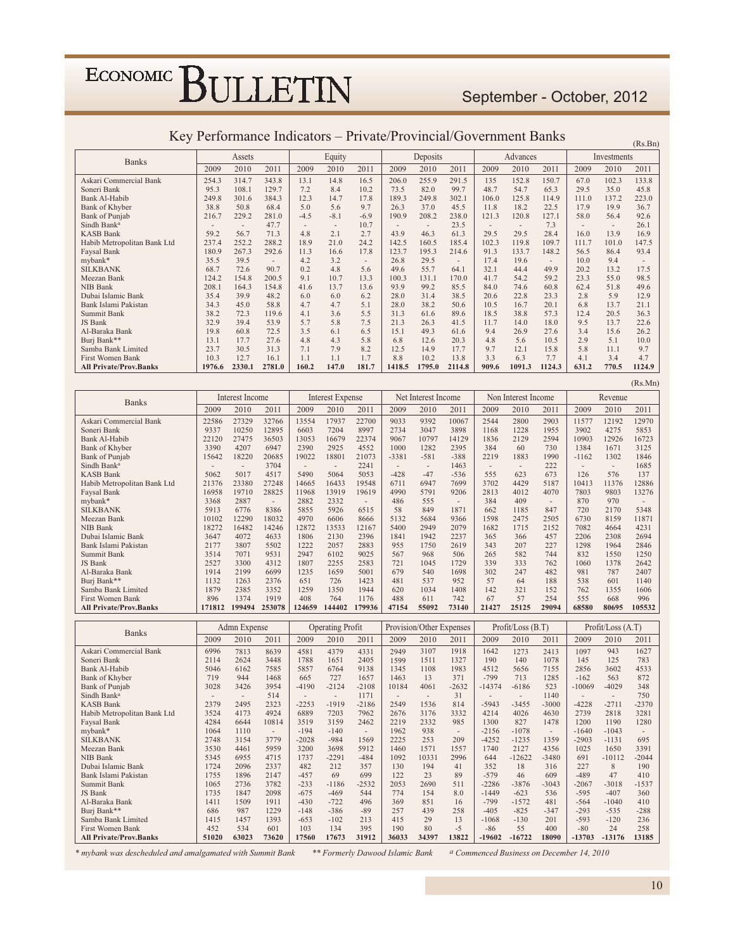### September - October, 2012

 $(Rs.Bn)$ 

 $(Rs.Mn)$ 

| <b>Banks</b>                  |        | Assets |        |        | Equity |                          |        | Deposits |        |       | Advances |        |       | Investments |        |
|-------------------------------|--------|--------|--------|--------|--------|--------------------------|--------|----------|--------|-------|----------|--------|-------|-------------|--------|
|                               | 2009   | 2010   | 2011   | 2009   | 2010   | 2011                     | 2009   | 2010     | 2011   | 2009  | 2010     | 2011   | 2009  | 2010        | 2011   |
| Askari Commercial Bank        | 254.3  | 314.7  | 343.8  | 13.1   | 14.8   | 16.5                     | 206.0  | 255.9    | 291.5  | 135   | 152.8    | 150.7  | 67.0  | 102.3       | 133.8  |
| Soneri Bank                   | 95.3   | 108.1  | 129.7  | 7.2    | 8.4    | 10.2                     | 73.5   | 82.0     | 99.7   | 48.7  | 54.7     | 65.3   | 29.5  | 35.0        | 45.8   |
| Bank Al-Habib                 | 249.8  | 301.6  | 384.3  | 12.3   | 14.7   | 17.8                     | 189.3  | 249.8    | 302.1  | 106.0 | 125.8    | 114.9  | 111.0 | 137.2       | 223.0  |
| Bank of Khyber                | 38.8   | 50.8   | 68.4   | 5.0    | 5.6    | 9.7                      | 26.3   | 37.0     | 45.5   | 11.8  | 18.2     | 22.5   | 17.9  | 19.9        | 36.7   |
| Bank of Punjab                | 216.7  | 229.2  | 281.0  | $-4.5$ | $-8.1$ | $-6.9$                   | 190.9  | 208.2    | 238.0  | 121.3 | 120.8    | 127.1  | 58.0  | 56.4        | 92.6   |
| Sindh Bank <sup>a</sup>       |        |        | 47.7   | $\sim$ |        | 10.7                     |        |          | 23.5   |       | $\sim$   | 7.3    |       |             | 26.1   |
| <b>KASB Bank</b>              | 59.2   | 56.7   | 71.3   | 4.8    | 2.1    | 2.7                      | 43.9   | 46.3     | 61.3   | 29.5  | 29.5     | 28.4   | 16.0  | 13.9        | 16.9   |
| Habib Metropolitan Bank Ltd   | 237.4  | 252.2  | 288.2  | 18.9   | 21.0   | 24.2                     | 142.5  | 160.5    | 185.4  | 102.3 | 119.8    | 109.7  | 111.7 | 101.0       | 147.5  |
| Faysal Bank                   | 180.9  | 267.3  | 292.6  | 11.3   | 16.6   | 17.8                     | 123.7  | 195.3    | 214.6  | 91.3  | 133.7    | 148.2  | 56.5  | 86.4        | 93.4   |
| mybank*                       | 35.5   | 39.5   |        | 4.2    | 3.2    | $\overline{\phantom{a}}$ | 26.8   | 29.5     | ۰      | 17.4  | 19.6     |        | 10.0  | 9.4         |        |
| <b>SILKBANK</b>               | 68.7   | 72.6   | 90.7   | 0.2    | 4.8    | 5.6                      | 49.6   | 55.7     | 64.1   | 32.1  | 44.4     | 49.9   | 20.2  | 13.2        | 17.5   |
| Meezan Bank                   | 124.2  | 154.8  | 200.5  | 9.1    | 10.7   | 13.3                     | 100.3  | 131.1    | 170.0  | 41.7  | 54.2     | 59.2   | 23.3  | 55.0        | 98.5   |
| NIB Bank                      | 208.1  | 164.3  | 154.8  | 41.6   | 13.7   | 13.6                     | 93.9   | 99.2     | 85.5   | 84.0  | 74.6     | 60.8   | 62.4  | 51.8        | 49.6   |
| Dubai Islamic Bank            | 35.4   | 39.9   | 48.2   | 6.0    | 6.0    | 6.2                      | 28.0   | 31.4     | 38.5   | 20.6  | 22.8     | 23.3   | 2.8   | 5.9         | 12.9   |
| Bank Islami Pakistan          | 34.3   | 45.0   | 58.8   | 4.7    | 4.7    | 5.1                      | 28.0   | 38.2     | 50.6   | 10.5  | 16.7     | 20.1   | 6.8   | 13.7        | 21.1   |
| Summit Bank                   | 38.2   | 72.3   | 119.6  | 4.1    | 3.6    | 5.5                      | 31.3   | 61.6     | 89.6   | 18.5  | 38.8     | 57.3   | 12.4  | 20.5        | 36.3   |
| JS Bank                       | 32.9   | 39.4   | 53.9   | 5.7    | 5.8    | 7.5                      | 21.3   | 26.3     | 41.5   | 11.7  | 14.0     | 18.0   | 9.5   | 13.7        | 22.6   |
| Al-Baraka Bank                | 19.8   | 60.8   | 72.5   | 3.5    | 6.1    | 6.5                      | 15.1   | 49.3     | 61.6   | 9.4   | 26.9     | 27.6   | 3.4   | 15.6        | 26.2   |
| Burj Bank**                   | 13.1   | 17.7   | 27.6   | 4.8    | 4.3    | 5.8                      | 6.8    | 12.6     | 20.3   | 4.8   | 5.6      | 10.5   | 2.9   | 5.1         | 10.0   |
| Samba Bank Limited            | 23.7   | 30.5   | 31.3   | 7.1    | 7.9    | 8.2                      | 12.5   | 14.9     | 17.7   | 9.7   | 12.1     | 15.8   | 5.8   | 11.1        | 9.7    |
| First Women Bank              | 10.3   | 12.7   | 16.1   | 1.1    | 1.1    | 1.7                      | 8.8    | 10.2     | 13.8   | 3.3   | 6.3      | 7.7    | 4.1   | 3.4         | 4.7    |
| <b>All Private/Prov.Banks</b> | 1976.6 | 2330.1 | 2781.0 | 160.2  | 147.0  | 181.7                    | 1418.5 | 1795.0   | 2114.8 | 909.6 | 1091.3   | 1124.3 | 631.2 | 770.5       | 1124.9 |

#### Key Performance Indicators - Private/Provincial/Government Banks

| <b>Banks</b>                  |        | Interest Income |                          |        | <b>Interest Expense</b> |        |         | Net Interest Income      |                          |                | Non Interest Income |       |         | Revenue |        |
|-------------------------------|--------|-----------------|--------------------------|--------|-------------------------|--------|---------|--------------------------|--------------------------|----------------|---------------------|-------|---------|---------|--------|
|                               | 2009   | 2010            | 2011                     | 2009   | 2010                    | 2011   | 2009    | 2010                     | 2011                     | 2009           | 2010                | 2011  | 2009    | 2010    | 2011   |
| Askari Commercial Bank        | 22586  | 27329           | 32766                    | 13554  | 17937                   | 22700  | 9033    | 9392                     | 10067                    | 2544           | 2800                | 2903  | 11577   | 12192   | 12970  |
| Soneri Bank                   | 9337   | 10250           | 12895                    | 6603   | 7204                    | 8997   | 2734    | 3047                     | 3898                     | 1168           | 1228                | 1955  | 3902    | 4275    | 5853   |
| Bank Al-Habib                 | 22120  | 27475           | 36503                    | 13053  | 16679                   | 22374  | 9067    | 10797                    | 14129                    | 1836           | 2129                | 2594  | 10903   | 12926   | 16723  |
| Bank of Khyber                | 3390   | 4207            | 6947                     | 2390   | 2925                    | 4552   | 1000    | 1282                     | 2395                     | 384            | 60                  | 730   | 1384    | 1671    | 3125   |
| Bank of Punjab                | 15642  | 18220           | 20685                    | 19022  | 18801                   | 21073  | $-3381$ | $-581$                   | $-388$                   | 2219           | 1883                | 1990  | $-1162$ | 1302    | 1846   |
| Sindh Bank <sup>a</sup>       |        |                 | 3704                     |        | ٠                       | 2241   |         | $\overline{\phantom{a}}$ | 1463                     | $\overline{a}$ |                     | 222   |         |         | 1685   |
| <b>KASB Bank</b>              | 5062   | 5017            | 4517                     | 5490   | 5064                    | 5053   | $-428$  | $-47$                    | $-536$                   | 555            | 623                 | 673   | 126     | 576     | 137    |
| Habib Metropolitan Bank Ltd   | 21376  | 23380           | 27248                    | 14665  | 16433                   | 19548  | 6711    | 6947                     | 7699                     | 3702           | 4429                | 5187  | 10413   | 11376   | 12886  |
| Faysal Bank                   | 16958  | 19710           | 28825                    | 11968  | 13919                   | 19619  | 4990    | 5791                     | 9206                     | 2813           | 4012                | 4070  | 7803    | 9803    | 13276  |
| mybank*                       | 3368   | 2887            | $\overline{\phantom{a}}$ | 2882   | 2332                    |        | 486     | 555                      | $\overline{\phantom{a}}$ | 384            | 409                 | ۰     | 870     | 970     |        |
| <b>SILKBANK</b>               | 5913   | 6776            | 8386                     | 5855   | 5926                    | 6515   | 58      | 849                      | 1871                     | 662            | 1185                | 847   | 720     | 2170    | 5348   |
| Meezan Bank                   | 10102  | 12290           | 18032                    | 4970   | 6606                    | 8666   | 5132    | 5684                     | 9366                     | 1598           | 2475                | 2505  | 6730    | 8159    | 11871  |
| NIB Bank                      | 18272  | 16482           | 14246                    | 12872  | 13533                   | 12167  | 5400    | 2949                     | 2079                     | 1682           | 1715                | 2152  | 7082    | 4664    | 4231   |
| Dubai Islamic Bank            | 3647   | 4072            | 4633                     | 1806   | 2130                    | 2396   | 1841    | 1942                     | 2237                     | 365            | 366                 | 457   | 2206    | 2308    | 2694   |
| Bank Islami Pakistan          | 2177   | 3807            | 5502                     | 1222   | 2057                    | 2883   | 955     | 1750                     | 2619                     | 343            | 207                 | 227   | 1298    | 1964    | 2846   |
| Summit Bank                   | 3514   | 7071            | 9531                     | 2947   | 6102                    | 9025   | 567     | 968                      | 506                      | 265            | 582                 | 744   | 832     | 1550    | 1250   |
| JS Bank                       | 2527   | 3300            | 4312                     | 1807   | 2255                    | 2583   | 721     | 1045                     | 1729                     | 339            | 333                 | 762   | 1060    | 1378    | 2642   |
| Al-Baraka Bank                | 1914   | 2199            | 6699                     | 1235   | 1659                    | 5001   | 679     | 540                      | 1698                     | 302            | 247                 | 482   | 981     | 787     | 2407   |
| Burj Bank**                   | 1132   | 1263            | 2376                     | 651    | 726                     | 1423   | 481     | 537                      | 952                      | 57             | 64                  | 188   | 538     | 601     | 1140   |
| Samba Bank Limited            | 1879   | 2385            | 3352                     | 1259   | 1350                    | 1944   | 620     | 1034                     | 1408                     | 142            | 321                 | 152   | 762     | 1355    | 1606   |
| First Women Bank              | 896    | 1374            | 1919                     | 408    | 764                     | 1176   | 488     | 611                      | 742                      | 67             | 57                  | 254   | 555     | 668     | 996    |
| <b>All Private/Prov.Banks</b> | 171812 | 199494          | 253078                   | 124659 | 144402                  | 179936 | 47154   | 55092                    | 73140                    | 21427          | 25125               | 29094 | 68580   | 80695   | 105532 |

| <b>Banks</b>                  |       | Admn Expense |                          |         | <b>Operating Profit</b> |                          |       | Provision/Other Expenses |                          |          | Profit / Loss (B.T) |         |          | Profit/Loss (A.T) |         |
|-------------------------------|-------|--------------|--------------------------|---------|-------------------------|--------------------------|-------|--------------------------|--------------------------|----------|---------------------|---------|----------|-------------------|---------|
|                               | 2009  | 2010         | 2011                     | 2009    | 2010                    | 2011                     | 2009  | 2010                     | 2011                     | 2009     | 2010                | 2011    | 2009     | 2010              | 2011    |
| Askari Commercial Bank        | 6996  | 7813         | 8639                     | 4581    | 4379                    | 4331                     | 2949  | 3107                     | 1918                     | 1642     | 1273                | 2413    | 1097     | 943               | 1627    |
| Soneri Bank                   | 2114  | 2624         | 3448                     | 1788    | 1651                    | 2405                     | 1599  | 1511                     | 1327                     | 190      | 140                 | 1078    | 145      | 125               | 783     |
| <b>Bank Al-Habib</b>          | 5046  | 6162         | 7585                     | 5857    | 6764                    | 9138                     | 1345  | 1108                     | 1983                     | 4512     | 5656                | 7155    | 2856     | 3602              | 4533    |
| Bank of Khyber                | 719   | 944          | 1468                     | 665     | 727                     | 1657                     | 1463  | 13                       | 371                      | $-799$   | 713                 | 1285    | $-162$   | 563               | 872     |
| Bank of Punjab                | 3028  | 3426         | 3954                     | $-4190$ | $-2124$                 | $-2108$                  | 10184 | 4061                     | $-2632$                  | $-14374$ | $-6186$             | 523     | $-10069$ | $-4029$           | 348     |
| Sindh Bank <sup>a</sup>       |       | ٠            | 514                      |         |                         | 1171                     |       | $\overline{\phantom{a}}$ | 31                       |          |                     | 1140    |          |                   | 750     |
| <b>KASB Bank</b>              | 2379  | 2495         | 2323                     | $-2253$ | $-1919$                 | $-2186$                  | 2549  | 1536                     | 814                      | $-5943$  | $-3455$             | $-3000$ | $-4228$  | $-2711$           | $-2370$ |
| Habib Metropolitan Bank Ltd   | 3524  | 4173         | 4924                     | 6889    | 7203                    | 7962                     | 2676  | 3176                     | 3332                     | 4214     | 4026                | 4630    | 2739     | 2818              | 3281    |
| Faysal Bank                   | 4284  | 6644         | 10814                    | 3519    | 3159                    | 2462                     | 2219  | 2332                     | 985                      | 1300     | 827                 | 1478    | 1200     | 1190              | 1280    |
| mybank*                       | 1064  | 1110         | $\overline{\phantom{a}}$ | $-194$  | $-140$                  | $\overline{\phantom{a}}$ | 1962  | 938                      | $\overline{\phantom{a}}$ | $-2156$  | $-1078$             | $\sim$  | $-1640$  | $-1043$           |         |
| <b>SILKBANK</b>               | 2748  | 3154         | 3779                     | $-2028$ | $-984$                  | 1569                     | 2225  | 253                      | 209                      | $-4252$  | $-1235$             | 1359    | $-2903$  | $-1131$           | 695     |
| Meezan Bank                   | 3530  | 4461         | 5959                     | 3200    | 3698                    | 5912                     | 1460  | 1571                     | 1557                     | 1740     | 2127                | 4356    | 1025     | 1650              | 3391    |
| <b>NIB Bank</b>               | 5345  | 6955         | 4715                     | 1737    | $-2291$                 | $-484$                   | 1092  | 10331                    | 2996                     | 644      | $-12622$            | $-3480$ | 691      | $-10112$          | $-2044$ |
| Dubai Islamic Bank            | 1724  | 2096         | 2337                     | 482     | 212                     | 357                      | 130   | 194                      | 41                       | 352      | 18                  | 316     | 227      | 8                 | 190     |
| Bank Islami Pakistan          | 1755  | 1896         | 2147                     | $-457$  | 69                      | 699                      | 122   | 23                       | 89                       | $-579$   | 46                  | 609     | $-489$   | 47                | 410     |
| Summit Bank                   | 1065  | 2736         | 3782                     | $-233$  | $-1186$                 | $-2532$                  | 2053  | 2690                     | 511                      | $-2286$  | $-3876$             | $-3043$ | $-2067$  | $-3018$           | $-1537$ |
| JS Bank                       | 1735  | 1847         | 2098                     | $-675$  | $-469$                  | 544                      | 774   | 154                      | 8.0                      | $-1449$  | $-623$              | 536     | $-595$   | $-407$            | 360     |
| Al-Baraka Bank                | 1411  | 1509         | 1911                     | $-430$  | $-722$                  | 496                      | 369   | 851                      | 16                       | $-799$   | $-1572$             | 481     | $-564$   | $-1040$           | 410     |
| Burj Bank**                   | 686   | 987          | 1229                     | $-148$  | $-386$                  | $-89$                    | 257   | 439                      | 258                      | $-405$   | $-825$              | $-347$  | $-293$   | $-535$            | $-288$  |
| Samba Bank Limited            | 1415  | 1457         | 1393                     | $-653$  | $-102$                  | 213                      | 415   | 29                       | 13                       | $-1068$  | $-130$              | 201     | $-593$   | $-120$            | 236     |
| <b>First Women Bank</b>       | 452   | 534          | 601                      | 103     | 134                     | 395                      | 190   | 80                       | $-5$                     | $-86$    | 55                  | 400     | $-80$    | 24                | 258     |
| <b>All Private/Prov.Banks</b> | 51020 | 63023        | 73620                    | 17560   | 17673                   | 31912                    | 36033 | 34397                    | 13822                    | $-19602$ | $-16722$            | 18090   | $-13703$ | $-13176$          | 13185   |

\* mybank was descheduled and amalgamated with Summit Bank

\*\* Formerly Dawood Islamic Bank

<sup>a</sup> Commenced Business on December 14, 2010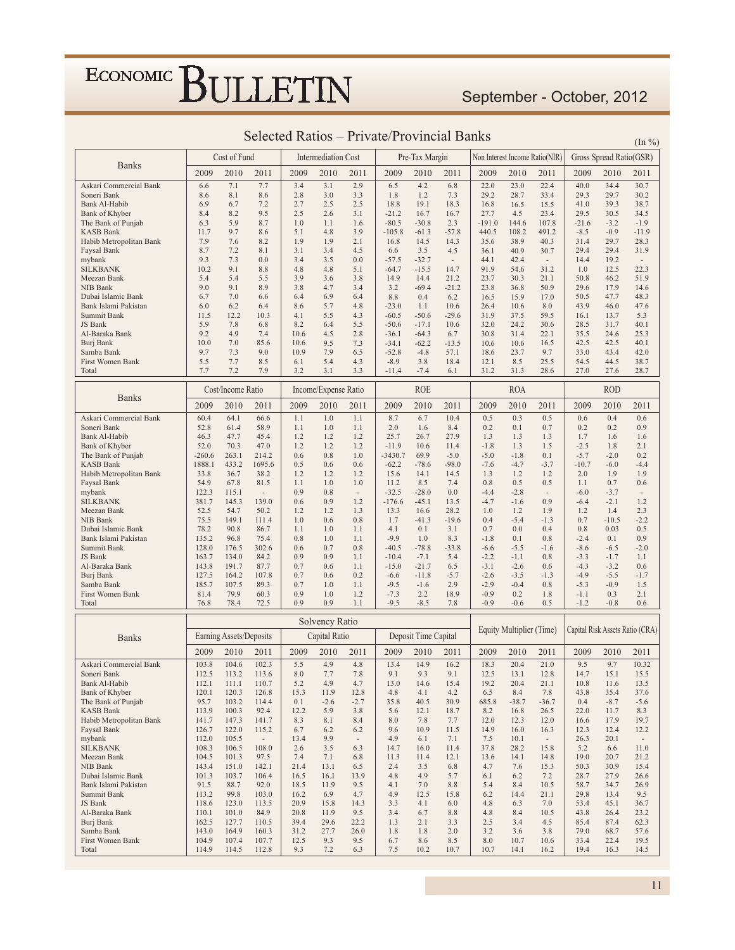September - October, 2012

|                                             |                | Cost of Fund            |                                  |              | <b>Intermediation Cost</b> |                          |                    | Pre-Tax Margin       |                     |                  |                          | Non Interest Income Ratio(NIR)   |                  | Gross Spread Ratio(GSR) |                                  |
|---------------------------------------------|----------------|-------------------------|----------------------------------|--------------|----------------------------|--------------------------|--------------------|----------------------|---------------------|------------------|--------------------------|----------------------------------|------------------|-------------------------|----------------------------------|
| <b>Banks</b>                                | 2009           | 2010                    | 2011                             | 2009         | 2010                       | 2011                     | 2009               | 2010                 | 2011                | 2009             | 2010                     | 2011                             | 2009             | 2010                    | 2011                             |
| Askari Commercial Bank                      | 6.6            | 7.1                     | 7.7                              | 3.4          | 3.1                        | 2.9                      | 6.5                | 4.2                  | 6.8                 | 22.0             | 23.0                     | 22.4                             | 40.0             | 34.4                    | 30.7                             |
| Soneri Bank                                 | 8.6            | 8.1                     | 8.6                              | 2.8          | 3.0                        | 3.3                      | 1.8                | 1.2                  | 7.3                 | 29.2             | 28.7                     | 33.4                             | 29.3             | 29.7                    | 30.2                             |
| Bank Al-Habib                               | 6.9            | 6.7<br>8.2              | 7.2<br>9.5                       | 2.7<br>2.5   | 2.5                        | 2.5                      | 18.8<br>$-21.2$    | 19.1                 | 18.3                | 16.8<br>27.7     | 16.5<br>4.5              | 15.5                             | 41.0             | 39.3<br>30.5            | 38.7                             |
| Bank of Khyber<br>The Bank of Punjab        | 8.4<br>6.3     | 5.9                     | 8.7                              | 1.0          | 2.6<br>1.1                 | 3.1<br>1.6               | $-80.5$            | 16.7<br>$-30.8$      | 16.7<br>2.3         | $-191.0$         | 144.6                    | 23.4<br>107.8                    | 29.5<br>$-21.6$  | $-3.2$                  | 34.5<br>$-1.9$                   |
| <b>KASB Bank</b>                            | 11.7           | 9.7                     | 8.6                              | 5.1          | 4.8                        | 3.9                      | $-105.8$           | $-61.3$              | $-57.8$             | 440.5            | 108.2                    | 491.2                            | $-8.5$           | $-0.9$                  | $-11.9$                          |
| Habib Metropolitan Bank                     | 7.9            | 7.6                     | 8.2                              | 1.9          | 1.9                        | 2.1                      | 16.8               | 14.5                 | 14.3                | 35.6             | 38.9                     | 40.3                             | 31.4             | 29.7                    | 28.3                             |
| Faysal Bank<br>mybank                       | 8.7<br>9.3     | 7.2<br>7.3              | 8.1<br>0.0                       | 3.1<br>3.4   | 3.4<br>3.5                 | 4.5<br>0.0               | 6.6<br>$-57.5$     | 3.5<br>$-32.7$       | 4.5<br>$\centerdot$ | 36.1<br>44.1     | 40.9<br>42.4             | 30.7<br>$\overline{\phantom{m}}$ | 29.4<br>14.4     | 29.4<br>19.2            | 31.9<br>$\overline{\phantom{a}}$ |
| <b>SILKBANK</b>                             | 10.2           | 9.1                     | 8.8                              | 4.8          | 4.8                        | 5.1                      | -64.7              | $-15.5$              | 14.7                | 91.9             | 54.6                     | 31.2                             | 1.0              | 12.5                    | 22.3                             |
| Meezan Bank                                 | 5.4            | 5.4                     | 5.5                              | 3.9          | 3.6                        | 3.8                      | 14.9               | 14.4                 | 21.2                | 23.7             | 30.3                     | 21.1                             | 50.8             | 46.2                    | 51.9                             |
| NIB Bank                                    | 9.0            | 9.1                     | 8.9                              | 3.8          | 4.7                        | 3.4                      | 3.2                | $-69.4$              | $-21.2$             | 23.8             | 36.8                     | 50.9                             | 29.6             | 17.9                    | 14.6                             |
| Dubai Islamic Bank<br>Bank Islami Pakistan  | 6.7<br>6.0     | 7.0<br>6.2              | 6.6<br>6.4                       | 6.4<br>8.6   | 6.9<br>5.7                 | 6.4<br>4.8               | 8.8<br>$-23.0$     | 0.4<br>1.1           | 6.2<br>10.6         | 16.5<br>26.4     | 15.9<br>10.6             | 17.0<br>8.0                      | 50.5<br>43.9     | 47.7<br>46.0            | 48.3<br>47.6                     |
| Summit Bank                                 | 11.5           | 12.2                    | 10.3                             | 4.1          | 5.5                        | 4.3                      | $-60.5$            | $-50.6$              | $-29.6$             | 31.9             | 37.5                     | 59.5                             | 16.1             | 13.7                    | 5.3                              |
| JS Bank                                     | 5.9            | 7.8                     | 6.8                              | 8.2          | 6.4                        | 5.5                      | $-50.6$            | $-17.1$              | 10.6                | 32.0             | 24.2                     | 30.6                             | 28.5             | 31.7                    | 40.1                             |
| Al-Baraka Bank                              | 9.2<br>10.0    | 4.9<br>7.0              | 7.4<br>85.6                      | 10.6<br>10.6 | 4.5<br>9.5                 | 2.8<br>7.3               | $-36.1$<br>$-34.1$ | $-64.3$<br>$-62.2$   | 6.7                 | 30.8<br>10.6     | 31.4                     | 22.1                             | 35.5<br>42.5     | 24.6<br>42.5            | 25.3<br>40.1                     |
| Burj Bank<br>Samba Bank                     | 9.7            | 7.3                     | 9.0                              | 10.9         | 7.9                        | 6.5                      | $-52.8$            | $-4.8$               | $-13.5$<br>57.1     | 18.6             | 10.6<br>23.7             | 16.5<br>9.7                      | 33.0             | 43.4                    | 42.0                             |
| First Women Bank                            | 5.5            | 7.7                     | 8.5                              | 6.1          | 5.4                        | 4.3                      | $-8.9$             | 3.8                  | 18.4                | 12.1             | 8.5                      | 25.5                             | 54.5             | 44.5                    | 38.7                             |
| Total                                       | 7.7            | 7.2                     | 7.9                              | 3.2          | 3.1                        | 3.3                      | $-11.4$            | $-7.4$               | 6.1                 | 31.2             | 31.3                     | 28.6                             | 27.0             | 27.6                    | 28.7                             |
|                                             |                | Cost/Income Ratio       |                                  |              | Income/Expense Ratio       |                          |                    | <b>ROE</b>           |                     |                  | <b>ROA</b>               |                                  |                  | <b>ROD</b>              |                                  |
| <b>Banks</b>                                | 2009           | 2010                    | 2011                             | 2009         | 2010                       | 2011                     | 2009               | 2010                 | 2011                | 2009             | 2010                     | 2011                             | 2009             | 2010                    | 2011                             |
| Askari Commercial Bank                      | 60.4           | 64.1                    | 66.6                             | 1.1          | 1.0                        | 1.1                      | 8.7                | 6.7                  | 10.4                | 0.5              | 0.3                      | 0.5                              | 0.6              | 0.4                     | 0.6                              |
| Soneri Bank                                 | 52.8           | 61.4                    | 58.9                             | 1.1          | 1.0                        | 1.1                      | 2.0                | 1.6                  | 8.4                 | 0.2              | 0.1                      | 0.7                              | 0.2              | 0.2                     | 0.9                              |
| <b>Bank Al-Habib</b>                        | 46.3<br>52.0   | 47.7<br>70.3            | 45.4<br>47.0                     | 1.2<br>1.2   | 1.2<br>1.2                 | 1.2<br>1.2               | 25.7<br>$-11.9$    | 26.7<br>10.6         | 27.9<br>11.4        | 1.3<br>$-1.8$    | 1.3<br>1.3               | 1.3<br>1.5                       | 1.7<br>$-2.5$    | 1.6<br>1.8              | 1.6<br>2.1                       |
| Bank of Khyber<br>The Bank of Punjab        | $-260.6$       | 263.1                   | 214.2                            | 0.6          | 0.8                        | 1.0                      | $-3430.7$          | 69.9                 | $-5.0$              | $-5.0$           | $-1.8$                   | 0.1                              | $-5.7$           | $-2.0$                  | 0.2                              |
| <b>KASB Bank</b>                            | 1888.1         | 433.2                   | 1695.6                           | 0.5          | 0.6                        | 0.6                      | $-62.2$            | $-78.6$              | $-98.0$             | $-7.6$           | $-4.7$                   | $-3.7$                           | $-10.7$          | $-6.0$                  | $-4.4$                           |
| Habib Metropolitan Bank                     | 33.8           | 36.7                    | 38.2                             | 1.2          | 1.2                        | 1.2                      | 15.6               | 14.1                 | 14.5                | 1.3              | 1.2                      | 1.2                              | 2.0              | 1.9                     | 1.9                              |
| Faysal Bank<br>mybank                       | 54.9<br>122.3  | 67.8<br>115.1           | 81.5<br>$\overline{\phantom{a}}$ | 1.1<br>0.9   | 1.0<br>0.8                 | 1.0<br>$\sim$            | 11.2<br>$-32.5$    | 8.5<br>$-28.0$       | 7.4<br>0.0          | 0.8<br>$-4.4$    | 0.5<br>$-2.8$            | 0.5<br>$\overline{\phantom{a}}$  | 1.1<br>$-6.0$    | 0.7<br>$-3.7$           | 0.6<br>$\overline{\phantom{a}}$  |
| <b>SILKBANK</b>                             | 381.7          | 145.3                   | 139.0                            | 0.6          | 0.9                        | 1.2                      | $-176.6$           | $-45.1$              | 13.5                | $-4.7$           | $-1.6$                   | 0.9                              | $-6.4$           | $-2.1$                  | 1.2                              |
| Meezan Bank                                 | 52.5           | 54.7                    | 50.2                             | 1.2          | 1.2                        | 1.3                      | 13.3               | 16.6                 | 28.2                | 1.0              | 1.2                      | 1.9                              | 1.2              | 1.4                     | 2.3                              |
| NIB Bank<br>Dubai Islamic Bank              | 75.5<br>78.2   | 149.1<br>90.8           | 111.4<br>86.7                    | 1.0<br>1.1   | 0.6<br>1.0                 | 0.8<br>1.1               | 1.7<br>4.1         | $-41.3$<br>0.1       | $-19.6$<br>3.1      | 0.4<br>0.7       | $-5.4$<br>0.0            | $-1.3$<br>0.4                    | 0.7<br>0.8       | $-10.5$<br>0.03         | $-2.2$<br>0.5                    |
| Bank Islami Pakistan                        | 135.2          | 96.8                    | 75.4                             | 0.8          | 1.0                        | 1.1                      | $-9.9$             | 1.0                  | 8.3                 | $-1.8$           | 0.1                      | 0.8                              | $-2.4$           | 0.1                     | 0.9                              |
| Summit Bank                                 | 128.0          | 176.5                   | 302.6                            | 0.6          | 0.7                        | 0.8                      | $-40.5$            | $-78.8$              | $-33.8$             | $-6.6$           | $-5.5$                   | $-1.6$                           | $-8.6$           | $-6.5$                  | $-2.0$                           |
| JS Bank                                     | 163.7          | 134.0<br>191.7          | 84.2                             | 0.9<br>0.7   | 0.9                        | 1.1                      | $-10.4$<br>$-15.0$ | $-7.1$<br>$-21.7$    | 5.4                 | $-2.2$<br>$-3.1$ | $-1.1$                   | 0.8                              | $-3.3$<br>$-4.3$ | $-1.7$                  | 1.1<br>0.6                       |
| Al-Baraka Bank<br>Burj Bank                 | 143.8<br>127.5 | 164.2                   | 87.7<br>107.8                    | 0.7          | 0.6<br>0.6                 | 1.1<br>0.2               | $-6.6$             | $-11.8$              | 6.5<br>$-5.7$       | $-2.6$           | $-2.6$<br>$-3.5$         | 0.6<br>$-1.3$                    | $-4.9$           | $-3.2$<br>$-5.5$        | $-1.7$                           |
| Samba Bank                                  | 185.7          | 107.5                   | 89.3                             | 0.7          | 1.0                        | 1.1                      | $-9.5$             | $-1.6$               | 2.9                 | $-2.9$           | $-0.4$                   | 0.8                              | $-5.3$           | $-0.9$                  | 1.5                              |
| First Women Bank                            | 81.4           | 79.9                    | 60.3                             | 0.9          | 1.0                        | 1.2                      | $-7.3$             | 2.2                  | 18.9                | $-0.9$           | 0.2                      | 1.8                              | $-1.1$           | 0.3                     | 2.1                              |
| Total                                       | 76.8           | 78.4                    | 72.5                             | 0.9          | 0.9                        | 1.1                      | $-9.5$             | $-8.5$               | 7.8                 | $-0.9$           | $-0.6$                   | 0.5                              | $-1.2$           | $-0.8$                  | 0.6                              |
|                                             |                |                         |                                  |              | Solvency Ratio             |                          |                    |                      |                     |                  | Equity Multiplier (Time) |                                  |                  |                         | Capital Risk Assets Ratio (CRA)  |
| <b>Banks</b>                                |                | Earning Assets/Deposits |                                  |              | Capital Ratio              |                          |                    | Deposit Time Capital |                     |                  |                          |                                  |                  |                         |                                  |
|                                             | 2009           | 2010                    | 2011                             | 2009         | 2010                       | 2011                     | 2009               | 2010                 | 2011                | 2009             | 2010                     | 2011                             | 2009             | 2010                    | 2011                             |
| Askari Commercial Bank                      | 103.8          | 104.6                   | 102.3                            | 5.5          | 4.9                        | 4.8                      | 13.4               | 14.9                 | 16.2                | 18.3             | 20.4                     | 21.0                             | 9.5              | 9.7                     | 10.32                            |
| Soneri Bank<br>Bank Al-Habib                | 112.5<br>112.1 | 113.2<br>111.1          | 113.6<br>110.7                   | 8.0<br>5.2   | 7.7<br>4.9                 | 7.8<br>4.7               | 9.1<br>13.0        | 9.3<br>14.6          | 9.1<br>15.4         | 12.5<br>19.2     | 13.1<br>20.4             | 12.8<br>21.1                     | 14.7<br>10.8     | 15.1<br>11.6            | 15.5<br>13.5                     |
| Bank of Khyber                              | 120.1          | 120.3                   | 126.8                            | 15.3         | 11.9                       | 12.8                     | 4.8                | 4.1                  | 4.2                 | 6.5              | 8.4                      | 7.8                              | 43.8             | 35.4                    | 37.6                             |
| The Bank of Punjab                          | 95.7           | 103.2                   | 114.4                            | 0.1          | $-2.6$                     | $-2.7$                   | 35.8               | 40.5                 | 30.9                | 685.8            | $-38.7$                  | $-36.7$                          | 0.4              | $-8.7$                  | $-5.6$                           |
| <b>KASB Bank</b><br>Habib Metropolitan Bank | 113.9<br>141.7 | 100.3<br>147.3          | 92.4<br>141.7                    | 12.2<br>8.3  | 5.9<br>8.1                 | 3.8<br>8.4               | 5.6<br>8.0         | 12.1<br>7.8          | 18.7<br>7.7         | 8.2<br>12.0      | 16.8<br>12.3             | 26.5<br>12.0                     | 22.0<br>16.6     | 11.7<br>17.9            | 8.3<br>19.7                      |
| Faysal Bank                                 | 126.7          | 122.0                   | 115.2                            | 6.7          | 6.2                        | 6.2                      | 9.6                | 10.9                 | 11.5                | 14.9             | 16.0                     | 16.3                             | 12.3             | 12.4                    | 12.2                             |
| mybank                                      | 112.0          | 105.5                   | $\overline{\phantom{a}}$         | 13.4         | 9.9                        | $\overline{\phantom{a}}$ | 4.9                | 6.1                  | 7.1                 | 7.5              | 10.1                     | $\overline{\phantom{a}}$         | 26.3             | 20.1                    | $\sim$                           |
| <b>SILKBANK</b>                             | 108.3          | 106.5                   | 108.0                            | 2.6          | 3.5                        | 6.3                      | 14.7               | 16.0                 | 11.4                | 37.8             | 28.2                     | 15.8                             | 5.2              | 6.6                     | 11.0                             |
| Meezan Bank<br>NIB Bank                     | 104.5<br>143.4 | 101.3<br>151.0          | 97.5<br>142.1                    | 7.4<br>21.4  | 7.1<br>13.1                | 6.8<br>6.5               | 11.3<br>2.4        | 11.4<br>3.5          | 12.1<br>6.8         | 13.6<br>4.7      | 14.1<br>7.6              | 14.8<br>15.3                     | 19.0<br>50.3     | 20.7<br>30.9            | 21.2<br>15.4                     |
| Dubai Islamic Bank                          | 101.3          | 103.7                   | 106.4                            | 16.5         | 16.1                       | 13.9                     | 4.8                | 4.9                  | 5.7                 | 6.1              | 6.2                      | 7.2                              | 28.7             | 27.9                    | 26.6                             |
| Bank Islami Pakistan                        | 91.5           | 88.7                    | 92.0                             | 18.5         | 11.9                       | 9.5                      | 4.1                | 7.0                  | 8.8                 | 5.4              | 8.4                      | 10.5                             | 58.7             | 34.7                    | 26.9                             |
| Summit Bank                                 | 113.2          | 99.8                    | 103.0                            | 16.2         | 6.9                        | 4.7                      | 4.9                | 12.5                 | 15.8                | 6.2              | 14.4                     | 21.1                             | 29.8             | 13.4                    | 9.5                              |
| JS Bank<br>Al-Baraka Bank                   | 118.6<br>110.1 | 123.0<br>101.0          | 113.5<br>84.9                    | 20.9<br>20.8 | 15.8<br>11.9               | 14.3<br>9.5              | 3.3<br>3.4         | 4.1<br>6.7           | 6.0<br>8.8          | 4.8<br>4.8       | 6.3<br>8.4               | 7.0<br>10.5                      | 53.4<br>43.8     | 45.1<br>26.4            | 36.7<br>23.2                     |
| Burj Bank                                   | 162.5          | 127.7                   | 110.5                            | 39.4         | 29.6                       | 22.2                     | 1.3                | 2.1                  | 3.3                 | 2.5              | 3.4                      | 4.5                              | 85.4             | 87.4                    | 62.3                             |
| Samba Bank                                  | 143.0          | 164.9                   | 160.3                            | 31.2         | 27.7                       | 26.0                     | 1.8                | 1.8                  | 2.0                 | 3.2              | 3.6                      | 3.8                              | 79.0             | 68.7                    | 57.6                             |
| First Women Bank                            | 104.9          | 107.4                   | 107.7                            | 12.5         | 9.3                        | 9.5                      | 6.7                | 8.6                  | 8.5                 | 8.0              | 10.7                     | 10.6                             | 33.4             | 22.4                    | 19.5                             |
| Total                                       | 114.9          | 114.5                   | 112.8                            | 9.3          | 7.2                        | 6.3                      | 7.5                | 10.2                 | 10.7                | 10.7             | 14.1                     | 16.2                             | 19.4             | 16.3                    | 14.5                             |

#### Selected Ratios – Private/Provincial Banks  $_{(In \%)}$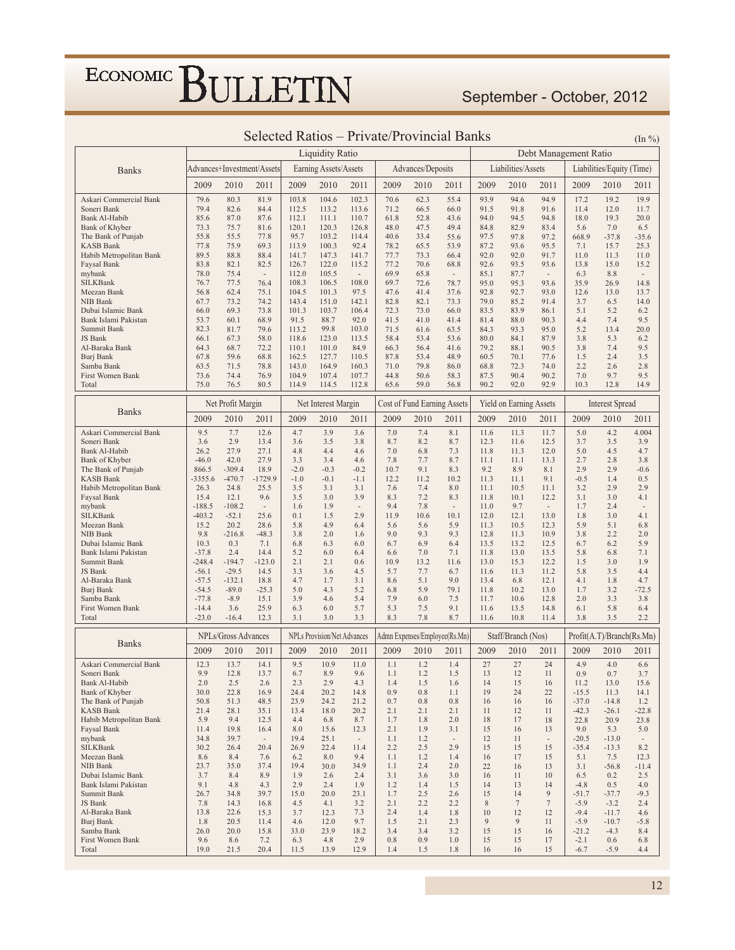### September - October, 2012

|                                             |              |                     |                            |                |                                    |                          |              |                             | Selected Ratios - Private/Provincial Banks |              |                         |                          |                       |                           | $(\ln \frac{9}{6})$      |
|---------------------------------------------|--------------|---------------------|----------------------------|----------------|------------------------------------|--------------------------|--------------|-----------------------------|--------------------------------------------|--------------|-------------------------|--------------------------|-----------------------|---------------------------|--------------------------|
|                                             |              |                     |                            |                | <b>Liquidity Ratio</b>             |                          |              |                             |                                            |              |                         |                          | Debt Management Ratio |                           |                          |
| <b>Banks</b>                                |              |                     | Advances+Investment/Assets |                | Earning Assets/Assets              |                          |              | Advances/Deposits           |                                            |              | Liabilities/Assets      |                          |                       | Liabilities/Equity (Time) |                          |
|                                             | 2009         | 2010                | 2011                       | 2009           | 2010                               | 2011                     | 2009         | 2010                        | 2011                                       | 2009         | 2010                    | 2011                     | 2009                  | 2010                      | 2011                     |
| Askari Commercial Bank                      | 79.6         | 80.3                | 81.9                       | 103.8          | 104.6                              | 102.3                    | 70.6         | 62.3                        | 55.4                                       | 93.9         | 94.6                    | 94.9                     | 17.2                  | 19.2                      | 19.9                     |
| Soneri Bank                                 | 79.4         | 82.6                | 84.4                       | 112.5          | 113.2                              | 113.6                    | 71.2         | 66.5                        | 66.0                                       | 91.5         | 91.8                    | 91.6                     | 11.4                  | 12.0                      | 11.7                     |
| Bank Al-Habib                               | 85.6         | 87.0                | 87.6                       | 112.1          | 111.1                              | 110.7                    | 61.8         | 52.8                        | 43.6                                       | 94.0         | 94.5                    | 94.8                     | 18.0                  | 19.3                      | 20.0                     |
| Bank of Khyber                              | 73.3         | 75.7                | 81.6                       | 120.1          | 120.3                              | 126.8                    | 48.0         | 47.5                        | 49.4                                       | 84.8         | 82.9                    | 83.4                     | 5.6                   | 7.0                       | 6.5                      |
| The Bank of Punjab                          | 55.8         | 55.5                | 77.8                       | 95.7           | 103.2                              | 114.4                    | 40.6         | 33.4                        | 55.6                                       | 97.5         | 97.8                    | 97.2                     | 668.9                 | $-37.8$                   | $-35.6$                  |
| KASB Bank<br>Habib Metropolitan Bank        | 77.8<br>89.5 | 75.9<br>88.8        | 69.3<br>88.4               | 113.9<br>141.7 | 100.3<br>147.3                     | 92.4<br>141.7            | 78.2<br>77.7 | 65.5<br>73.3                | 53.9<br>66.4                               | 87.2<br>92.0 | 93.6<br>92.0            | 95.5<br>91.7             | 7.1<br>11.0           | 15.7<br>11.3              | 25.3<br>11.0             |
| Faysal Bank                                 | 83.8         | 82.1                | 82.5                       | 126.7          | 122.0                              | 115.2                    | 77.2         | 70.6                        | 68.8                                       | 92.6         | 93.5                    | 93.6                     | 13.8                  | 15.0                      | 15.2                     |
| mybank                                      | 78.0         | 75.4                | $\overline{\phantom{a}}$   | 112.0          | 105.5                              | $\overline{\phantom{a}}$ | 69.9         | 65.8                        | $\overline{\phantom{a}}$                   | 85.1         | 87.7                    | $\overline{\phantom{a}}$ | 6.3                   | 8.8                       | $\overline{\phantom{a}}$ |
| SILKBank                                    | 76.7         | 77.5                | 76.4                       | 108.3          | 106.5                              | 108.0                    | 69.7         | 72.6                        | 78.7                                       | 95.0         | 95.3                    | 93.6                     | 35.9                  | 26.9                      | 14.8                     |
| Meezan Bank                                 | 56.8         | 62.4                | 75.1                       | 104.5          | 101.3                              | 97.5                     | 47.6         | 41.4                        | 37.6                                       | 92.8         | 92.7                    | 93.0                     | 12.6                  | 13.0                      | 13.7                     |
| NIB Bank                                    | 67.7         | 73.2                | 74.2                       | 143.4          | 151.0                              | 142.1                    | 82.8         | 82.1                        | 73.3                                       | 79.0         | 85.2                    | 91.4                     | 3.7                   | 6.5                       | 14.0                     |
| Dubai Islamic Bank                          | 66.0         | 69.3                | 73.8                       | 101.3          | 103.7                              | 106.4                    | 72.3         | 73.0                        | 66.0                                       | 83.5         | 83.9                    | 86.1                     | 5.1                   | 5.2                       | 6.2                      |
| Bank Islami Pakistan<br>Summit Bank         | 53.7<br>82.3 | 60.1<br>81.7        | 68.9<br>79.6               | 91.5<br>113.2  | 88.7<br>99.8                       | 92.0<br>103.0            | 41.5<br>71.5 | 41.0<br>61.6                | 41.4<br>63.5                               | 81.4<br>84.3 | 88.0<br>93.3            | 90.3<br>95.0             | 4.4<br>5.2            | 7.4<br>13.4               | 9.5<br>20.0              |
| JS Bank                                     | 66.1         | 67.3                | 58.0                       | 118.6          | 123.0                              | 113.5                    | 58.4         | 53.4                        | 53.6                                       | 80.0         | 84.1                    | 87.9                     | 3.8                   | 5.3                       | 6.2                      |
| Al-Baraka Bank                              | 64.3         | 68.7                | 72.2                       | 110.1          | 101.0                              | 84.9                     | 66.3         | 56.4                        | 41.6                                       | 79.2         | 88.1                    | 90.5                     | 3.8                   | 7.4                       | 9.5                      |
| Burj Bank                                   | 67.8         | 59.6                | 68.8                       | 162.5          | 127.7                              | 110.5                    | 87.8         | 53.4                        | 48.9                                       | 60.5         | 70.1                    | 77.6                     | 1.5                   | 2.4                       | 3.5                      |
| Samba Bank                                  | 63.5         | 71.5                | 78.8                       | 143.0          | 164.9                              | 160.3                    | 71.0         | 79.8                        | 86.0                                       | 68.8         | 72.3                    | 74.0                     | 2.2                   | 2.6                       | 2.8                      |
| First Women Bank                            | 73.6         | 74.4                | 76.9                       | 104.9          | 107.4                              | 107.7                    | 44.8         | 50.6                        | 58.3                                       | 87.5         | 90.4                    | 90.2                     | 7.0                   | 9.7                       | 9.5                      |
| Total                                       | 75.0         | 76.5                | 80.5                       | 114.9          | 114.5                              | 112.8                    | 65.6         | 59.0                        | 56.8                                       | 90.2         | 92.0                    | 92.9                     | 10.3                  | 12.8                      | 14.9                     |
| <b>Banks</b>                                |              | Net Profit Margin   |                            |                | Net Interest Margin                |                          |              | Cost of Fund Earning Assets |                                            |              | Yield on Earning Assets |                          |                       | <b>Interest Spread</b>    |                          |
|                                             | 2009         | 2010                | 2011                       | 2009           | 2010                               | 2011                     | 2009         | 2010                        | 2011                                       | 2009         | 2010                    | 2011                     | 2009                  | 2010                      | 2011                     |
| Askari Commercial Bank                      | 9.5          | 7.7                 | 12.6                       | 4.7            | 3.9                                | 3.6                      | 7.0          | 7.4                         | 8.1                                        | 11.6         | 11.3                    | 11.7                     | 5.0                   | 4.2                       | 4.004                    |
| Soneri Bank                                 | 3.6<br>26.2  | 2.9<br>27.9         | 13.4<br>27.1               | 3.6<br>4.8     | 3.5<br>4.4                         | 3.8                      | 8.7<br>7.0   | 8.2<br>6.8                  | 8.7                                        | 12.3         | 11.6                    | 12.5<br>12.0             | 3.7<br>5.0            | 3.5<br>4.5                | 3.9<br>4.7               |
| Bank Al-Habib<br>Bank of Khyber             | $-46.0$      | 42.0                | 27.9                       | 3.3            | 3.4                                | 4.6<br>4.6               | 7.8          | 7.7                         | 7.3<br>8.7                                 | 11.8<br>11.1 | 11.3<br>11.1            | 13.3                     | 2.7                   | 2.8                       | 3.8                      |
| The Bank of Punjab                          | 866.5        | $-309.4$            | 18.9                       | $-2.0$         | $-0.3$                             | $-0.2$                   | 10.7         | 9.1                         | 8.3                                        | 9.2          | 8.9                     | 8.1                      | 2.9                   | 2.9                       | $-0.6$                   |
| <b>KASB Bank</b>                            | $-3355.6$    | $-470.7$            | $-1729.9$                  | $-1.0$         | $-0.1$                             | $-1.1$                   | 12.2         | 11.2                        | 10.2                                       | 11.3         | 11.1                    | 9.1                      | $-0.5$                | 1.4                       | 0.5                      |
| Habib Metropolitan Bank                     | 26.3         | 24.8                | 25.5                       | 3.5            | 3.1                                | 3.1                      | 7.6          | 7.4                         | 8.0                                        | 11.1         | 10.5                    | 11.1                     | 3.2                   | 2.9                       | 2.9                      |
| Faysal Bank                                 | 15.4         | 12.1                | 9.6                        | 3.5            | 3.0                                | 3.9                      | 8.3          | 7.2                         | 8.3                                        | 11.8         | 10.1                    | 12.2                     | 3.1                   | 3.0                       | 4.1                      |
| mybank                                      | $-188.5$     | $-108.2$            | $\overline{\phantom{a}}$   | 1.6            | 1.9                                | $\overline{\phantom{a}}$ | 9.4          | 7.8                         | $\overline{\phantom{a}}$                   | 11.0         | 9.7                     | $\sim$                   | 1.7                   | 2.4                       | $\overline{\phantom{a}}$ |
| SILKBank                                    | $-403.2$     | $-52.1$             | 25.6                       | 0.1            | 1.5                                | 2.9                      | 11.9         | 10.6                        | 10.1                                       | 12.0         | 12.1                    | 13.0                     | 1.8                   | 3.0                       | 4.1                      |
| Meezan Bank                                 | 15.2         | 20.2<br>$-216.8$    | 28.6<br>$-48.3$            | 5.8<br>3.8     | 4.9<br>2.0                         | 6.4                      | 5.6<br>9.0   | 5.6<br>9.3                  | 5.9<br>9.3                                 | 11.3<br>12.8 | 10.5                    | 12.3                     | 5.9<br>3.8            | 5.1<br>2.2                | 6.8<br>2.0               |
| NIB Bank<br>Dubai Islamic Bank              | 9.8<br>10.3  | 0.3                 | 7.1                        | 6.8            | 6.3                                | 1.6<br>6.0               | 6.7          | 6.9                         | 6.4                                        | 13.5         | 11.3<br>13.2            | 10.9<br>12.5             | 6.7                   | 6.2                       | 5.9                      |
| Bank Islami Pakistan                        | $-37.8$      | 2.4                 | 14.4                       | 5.2            | 6.0                                | 6.4                      | 6.6          | 7.0                         | 7.1                                        | 11.8         | 13.0                    | 13.5                     | 5.8                   | 6.8                       | 7.1                      |
| Summit Bank                                 | $-248.4$     | $-194.7$            | $-123.0$                   | 2.1            | 2.1                                | 0.6                      | 10.9         | 13.2                        | 11.6                                       | 13.0         | 15.3                    | 12.2                     | 1.5                   | 3.0                       | 1.9                      |
| JS Bank                                     | $-56.1$      | $-29.5$             | 14.5                       | 3.3            | 3.6                                | 4.5                      | 5.7          | 7.7                         | 6.7                                        | 11.6         | 11.3                    | 11.2                     | 5.8                   | 3.5                       | 4.4                      |
| Al-Baraka Bank                              | $-57.5$      | $-132.1$            | 18.8                       | 4.7            | 1.7                                | 3.1                      | 8.6          | 5.1                         | 9.0                                        | 13.4         | 6.8                     | 12.1                     | 4.1                   | 1.8                       | 4.7                      |
| Burj Bank                                   | $-54.5$      | $-89.0$             | $-25.3$                    | 5.0            | 4.3                                | 5.2                      | 6.8          | 5.9                         | 79.1                                       | 11.8         | 10.2                    | 13.0                     | 1.7                   | 3.2                       | $-72.5$                  |
| Samba Bank                                  | $-77.8$      | $-8.9$              | 15.1                       | 3.9            | 4.6                                | 5.4                      | 7.9          | 6.0                         | 7.5                                        | 11.7         | 10.6                    | 12.8                     | 2.0                   | 3.3                       | 3.8                      |
| First Women Bank                            | $-14.4$      | 3.6                 | 25.9                       | 6.3            | 6.0                                | 5.7                      | 5.3          | 7.5                         | 9.1                                        | 11.6         | 13.5                    | 14.8                     | 6.1                   | 5.8                       | 6.4                      |
| Total                                       | $-23.0$      | $-16.4$             | 12.3                       | 3.1            | 3.0                                | 3.3                      | 8.3          | 7.8                         | 8.7                                        | 11.6         | 10.8                    | 11.4                     | 3.8                   | 3.5                       | 2.2                      |
| <b>Banks</b>                                |              | NPLs/Gross Advances |                            |                | <b>NPLs Provision/Net Advances</b> |                          |              |                             | Admn Expenses/Employee(Rs.Mn)              |              | Staff/Branch (Nos)      |                          |                       | Profit(A.T)/Branch(Rs.Mn) |                          |
|                                             | 2009         | 2010                | 2011                       | 2009           | 2010                               | 2011                     | 2009         | 2010                        | 2011                                       | 2009         | 2010                    | 2011                     | 2009                  | 2010                      | 2011                     |
| Askari Commercial Bank                      | 12.3         | 13.7                | 14.1                       | 9.5            | 10.9                               | 11.0                     | 1.1          | 1.2                         | 1.4                                        | 27           | 27                      | 24                       | 4.9                   | 4.0                       | 6.6                      |
| Soneri Bank                                 | 9.9          | 12.8                | 13.7                       | 6.7            | 8.9                                | 9.6                      | 1.1          | 1.2                         | 1.5                                        | 13           | 12                      | 11                       | 0.9                   | 0.7                       | 3.7                      |
| Bank Al-Habib                               | 2.0          | 2.5                 | 2.6                        | 2.3            | 2.9                                | 4.3                      | 1.4          | 1.5                         | 1.6                                        | 14           | 15                      | 16                       | 11.2                  | 13.0                      | 15.6                     |
| Bank of Khyber                              | 30.0         | 22.8                | 16.9                       | 24.4           | 20.2                               | 14.8                     | 0.9          | 0.8                         | 1.1                                        | 19           | 24                      | 22                       | $-15.5$               | 11.3                      | 14.1                     |
| The Bank of Punjab                          | 50.8         | 51.3                | 48.5                       | 23.9           | 24.2                               | 21.2                     | 0.7          | 0.8<br>2.1                  | 0.8<br>2.1                                 | 16<br>11     | 16<br>12                | 16<br>11                 | $-37.0$               | $-14.8$                   | 1.2                      |
| <b>KASB Bank</b><br>Habib Metropolitan Bank | 21.4<br>5.9  | 28.1<br>9.4         | 35.1<br>12.5               | 13.4<br>4.4    | 18.0<br>6.8                        | 20.2<br>8.7              | 2.1<br>1.7   | 1.8                         | 2.0                                        | 18           | 17                      | 18                       | $-42.3$<br>22.8       | $-26.1$<br>20.9           | $-22.8$<br>23.8          |
| Faysal Bank                                 | 11.4         | 19.8                | 16.4                       | 8.0            | 15.6                               | 12.3                     | 2.1          | 1.9                         | 3.1                                        | 15           | 16                      | 13                       | 9.0                   | 5.3                       | 5.0                      |
| mybank                                      | 34.8         | 39.7                | $\sim$                     | 19.4           | 25.1                               | $\sim$                   | 1.1          | 1.2                         | $\sim$                                     | 12           | 11                      | $\overline{\phantom{a}}$ | $-20.5$               | $-13.0$                   | $\overline{\phantom{a}}$ |
| SILKBank                                    | 30.2         | 26.4                | 20.4                       | 26.9           | 22.4                               | 11.4                     | 2.2          | 2.5                         | 2.9                                        | 15           | 15                      | 15                       | $-35.4$               | $-13.3$                   | 8.2                      |
| Meezan Bank                                 | 8.6          | 8.4                 | 7.6                        | 6.2            | 8.0                                | 9.4                      | 1.1          | 1.2                         | 1.4                                        | 16           | 17                      | 15                       | 5.1                   | 7.5                       | 12.3                     |
| NIB Bank                                    | 23.7         | 35.0                | 37.4                       | 19.4           | 30.0                               | 34.9                     | 1.1          | 2.4                         | 2.0                                        | 22           | 16                      | 13                       | 3.1                   | $-56.8$                   | $-11.4$                  |
| Dubai Islamic Bank                          | 3.7          | 8.4                 | 8.9                        | 1.9            | 2.6                                | 2.4                      | 3.1          | 3.6                         | 3.0                                        | 16           | 11                      | 10                       | 6.5                   | 0.2                       | 2.5                      |
| Bank Islami Pakistan                        | 9.1          | 4.8                 | 4.3                        | 2.9            | 2.4                                | 1.9                      | 1.2          | 1.4                         | 1.5                                        | 14           | 13                      | 14                       | $-4.8$                | 0.5                       | 4.0                      |
| Summit Bank                                 | 26.7         | 34.8                | 39.7                       | 15.0           | 20.0                               | 23.1                     | 1.7          | 2.5                         | 2.6                                        | 15           | 14                      | 9                        | $-51.7$               | $-37.7$                   | $-9.3$                   |
| JS Bank<br>Al-Baraka Bank                   | 7.8          | 14.3<br>22.6        | 16.8                       | 4.5<br>3.7     | 4.1<br>12.3                        | 3.2<br>7.3               | 2.1<br>2.4   | 2.2<br>1.4                  | 2.2<br>1.8                                 | $8\,$<br>10  | $\tau$<br>12            | $\overline{7}$<br>12     | $-5.9$<br>$-9.4$      | $-3.2$                    | 2.4                      |
| Burj Bank                                   | 13.8<br>1.8  | 20.5                | 15.3<br>11.4               | 4.6            | 12.0                               | 9.7                      | 1.5          | 2.1                         | 2.3                                        | 9            | 9                       | 11                       | $-5.9$                | $-11.7$<br>$-10.7$        | 4.6<br>$-5.8$            |
| Samba Bank                                  | 26.0         | 20.0                | 15.8                       | 33.0           | 23.9                               | 18.2                     | 3.4          | 3.4                         | 3.2                                        | 15           | 15                      | 16                       | $-21.2$               | $-4.3$                    | 8.4                      |
| First Women Bank                            | 9.6          | 8.6                 | 7.2                        | 6.3            | 4.8                                | 2.9                      | 0.8          | 0.9                         | 1.0                                        | 15           | 15                      | 17                       | $-2.1$                | 0.6                       | 6.8                      |
| Total                                       | 19.0         | 21.5                | 20.4                       | 11.5           | 13.9                               | 12.9                     | 1.4          | 1.5                         | 1.8                                        | 16           | 16                      | 15                       | $-6.7$                | $-5.9$                    | 4.4                      |
|                                             |              |                     |                            |                |                                    |                          |              |                             |                                            |              |                         |                          |                       |                           |                          |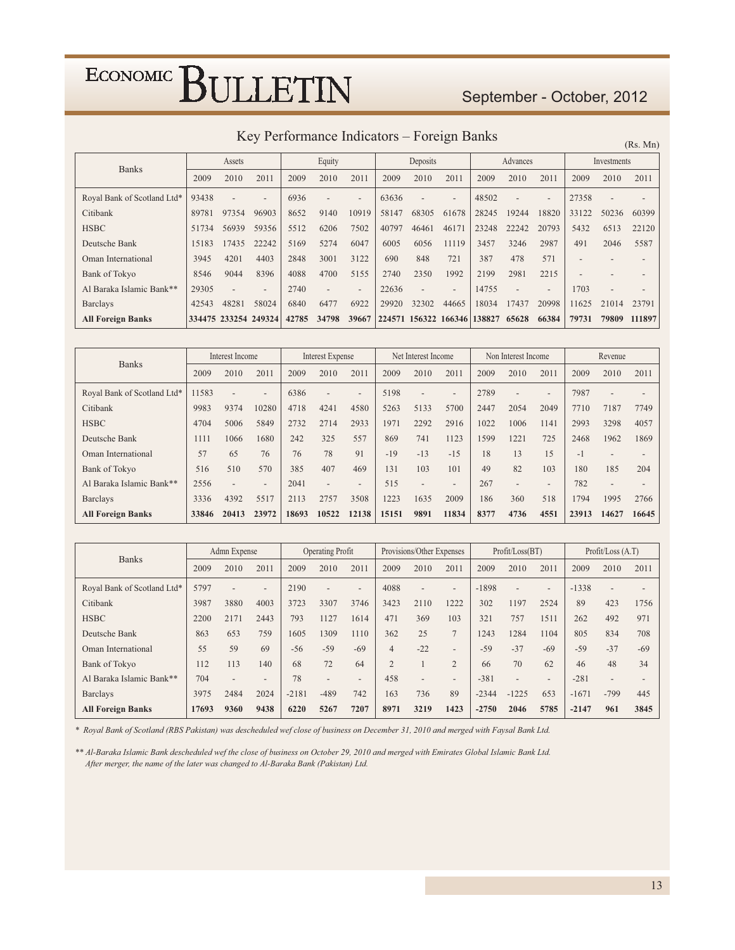### September - October, 2012

### Key Performance Indicators - Foreign Banks

 $(Rs. Mn)$ 

| <b>Banks</b>                |       | Assets               |                          |       | Equity                   |                          |       | Deposits             |                          |        | Advances                 |                          |       | Investments |        |
|-----------------------------|-------|----------------------|--------------------------|-------|--------------------------|--------------------------|-------|----------------------|--------------------------|--------|--------------------------|--------------------------|-------|-------------|--------|
|                             | 2009  | 2010                 | 2011                     | 2009  | 2010                     | 2011                     | 2009  | 2010                 | 2011                     | 2009   | 2010                     | 2011                     | 2009  | 2010        | 2011   |
| Royal Bank of Scotland Ltd* | 93438 |                      | $\overline{\phantom{0}}$ | 6936  |                          | $\overline{\phantom{0}}$ | 63636 |                      | $\overline{\phantom{0}}$ | 48502  | $\overline{\phantom{a}}$ | $\overline{\phantom{0}}$ | 27358 |             |        |
| Citibank                    | 89781 | 97354                | 96903                    | 8652  | 9140                     | 10919                    | 58147 | 68305                | 61678                    | 28245  | 19244                    | 18820                    | 33122 | 50236       | 60399  |
| <b>HSBC</b>                 | 51734 | 56939                | 59356                    | 5512  | 6206                     | 7502                     | 40797 | 46461                | 46171                    | 23248  | 22242                    | 20793                    | 5432  | 6513        | 22120  |
| Deutsche Bank               | 15183 | 17435                | 22242                    | 5169  | 5274                     | 6047                     | 6005  | 6056                 | 11119                    | 3457   | 3246                     | 2987                     | 491   | 2046        | 5587   |
| Oman International          | 3945  | 4201                 | 4403                     | 2848  | 3001                     | 3122                     | 690   | 848                  | 721                      | 387    | 478                      | 571                      |       |             |        |
| Bank of Tokyo               | 8546  | 9044                 | 8396                     | 4088  | 4700                     | 5155                     | 2740  | 2350                 | 1992                     | 2199   | 2981                     | 2215                     |       |             |        |
| Al Baraka Islamic Bank**    | 29305 |                      | $\overline{\phantom{a}}$ | 2740  | $\overline{\phantom{0}}$ | $\overline{\phantom{a}}$ | 22636 |                      | $\overline{\phantom{0}}$ | 14755  |                          | $\qquad \qquad$          | 1703  |             |        |
| <b>Barclays</b>             | 42543 | 48281                | 58024                    | 6840  | 6477                     | 6922                     | 29920 | 32302                | 44665                    | 18034  | 17437                    | 20998                    | 11625 | 21014       | 23791  |
| <b>All Foreign Banks</b>    |       | 334475 233254 249324 |                          | 42785 | 34798                    | 39667                    |       | 224571 156322 166346 |                          | 138827 | 65628                    | 66384                    | 79731 | 79809       | 111897 |

| <b>Banks</b>                | Interest Income |       | <b>Interest Expense</b>  |       |                          | Net Interest Income      |       | Non Interest Income      |                          |      | Revenue                  |                          |       |                          |       |
|-----------------------------|-----------------|-------|--------------------------|-------|--------------------------|--------------------------|-------|--------------------------|--------------------------|------|--------------------------|--------------------------|-------|--------------------------|-------|
|                             | 2009            | 2010  | 2011                     | 2009  | 2010                     | 2011                     | 2009  | 2010                     | 2011                     | 2009 | 2010                     | 2011                     | 2009  | 2010                     | 2011  |
| Royal Bank of Scotland Ltd* | 11583           |       | $\overline{\phantom{0}}$ | 6386  | $\overline{\phantom{0}}$ | $\overline{\phantom{0}}$ | 5198  | $\overline{\phantom{0}}$ | $\overline{\phantom{0}}$ | 2789 | $\qquad \qquad$          | $\overline{\phantom{a}}$ | 7987  | $\overline{\phantom{0}}$ |       |
| Citibank                    | 9983            | 9374  | 10280                    | 4718  | 4241                     | 4580                     | 5263  | 5133                     | 5700                     | 2447 | 2054                     | 2049                     | 7710  | 7187                     | 7749  |
| <b>HSBC</b>                 | 4704            | 5006  | 5849                     | 2732  | 2714                     | 2933                     | 1971  | 2292                     | 2916                     | 1022 | 1006                     | 1141                     | 2993  | 3298                     | 4057  |
| Deutsche Bank               | 1111            | 1066  | 1680                     | 242   | 325                      | 557                      | 869   | 741                      | 1123                     | 1599 | 1221                     | 725                      | 2468  | 1962                     | 1869  |
| Oman International          | 57              | 65    | 76                       | 76    | 78                       | 91                       | $-19$ | $-13$                    | $-15$                    | 18   | 13                       | 15                       | $-1$  | $\overline{\phantom{0}}$ |       |
| Bank of Tokyo               | 516             | 510   | 570                      | 385   | 407                      | 469                      | 131   | 103                      | 101                      | 49   | 82                       | 103                      | 180   | 185                      | 204   |
| Al Baraka Islamic Bank**    | 2556            |       | $\overline{\phantom{a}}$ | 2041  | $\overline{\phantom{0}}$ | $\overline{\phantom{0}}$ | 515   | $\overline{\phantom{a}}$ | $\qquad \qquad -$        | 267  | $\overline{\phantom{a}}$ | $\overline{\phantom{a}}$ | 782   | $\overline{\phantom{a}}$ |       |
| <b>Barclays</b>             | 3336            | 4392  | 5517                     | 2113  | 2757                     | 3508                     | 1223  | 1635                     | 2009                     | 186  | 360                      | 518                      | 1794  | 1995                     | 2766  |
| <b>All Foreign Banks</b>    | 33846           | 20413 | 23972                    | 18693 | 10522                    | 12138                    | 15151 | 9891                     | 11834                    | 8377 | 4736                     | 4551                     | 23913 | 14627                    | 16645 |

| <b>Banks</b>                |       | Admn Expense             |                          |         | <b>Operating Profit</b>  |                          |                | Provisions/Other Expenses |                          |         | Profit / Loss (BT)       |                          |         | Profit / Loss (A.T)      |       |
|-----------------------------|-------|--------------------------|--------------------------|---------|--------------------------|--------------------------|----------------|---------------------------|--------------------------|---------|--------------------------|--------------------------|---------|--------------------------|-------|
|                             | 2009  | 2010                     | 2011                     | 2009    | 2010                     | 2011                     | 2009           | 2010                      | 2011                     | 2009    | 2010                     | 2011                     | 2009    | 2010                     | 2011  |
| Royal Bank of Scotland Ltd* | 5797  |                          | $\overline{\phantom{0}}$ | 2190    |                          | $\overline{\phantom{0}}$ | 4088           | $\overline{\phantom{0}}$  | $\overline{\phantom{0}}$ | $-1898$ | $\overline{\phantom{a}}$ | $\overline{\phantom{0}}$ | $-1338$ | $\overline{\phantom{a}}$ |       |
| Citibank                    | 3987  | 3880                     | 4003                     | 3723    | 3307                     | 3746                     | 3423           | 2110                      | 1222                     | 302     | 1197                     | 2524                     | 89      | 423                      | 1756  |
| <b>HSBC</b>                 | 2200  | 2171                     | 2443                     | 793     | 1127                     | 1614                     | 471            | 369                       | 103                      | 321     | 757                      | 1511                     | 262     | 492                      | 971   |
| Deutsche Bank               | 863   | 653                      | 759                      | 1605    | 1309                     | 1110                     | 362            | 25                        | $\overline{7}$           | 1243    | 1284                     | 1104                     | 805     | 834                      | 708   |
| Oman International          | 55    | 59                       | 69                       | $-56$   | $-59$                    | $-69$                    | $\overline{4}$ | $-22$                     | $\overline{\phantom{0}}$ | $-59$   | $-37$                    | $-69$                    | $-59$   | $-37$                    | $-69$ |
| <b>Bank of Tokyo</b>        | 112   | 113                      | 140                      | 68      | 72                       | 64                       | $\overline{2}$ |                           | $\overline{2}$           | 66      | 70                       | 62                       | 46      | 48                       | 34    |
| Al Baraka Islamic Bank**    | 704   | $\overline{\phantom{a}}$ | $\overline{\phantom{0}}$ | 78      | $\overline{\phantom{0}}$ | $\overline{\phantom{0}}$ | 458            | $\overline{\phantom{0}}$  | $\overline{\phantom{0}}$ | $-381$  | $\overline{\phantom{a}}$ | $\overline{\phantom{a}}$ | $-281$  | $\overline{\phantom{a}}$ |       |
| <b>Barclays</b>             | 3975  | 2484                     | 2024                     | $-2181$ | $-489$                   | 742                      | 163            | 736                       | 89                       | $-2344$ | $-1225$                  | 653                      | $-1671$ | $-799$                   | 445   |
| <b>All Foreign Banks</b>    | 17693 | 9360                     | 9438                     | 6220    | 5267                     | 7207                     | 8971           | 3219                      | 1423                     | $-2750$ | 2046                     | 5785                     | $-2147$ | 961                      | 3845  |

\* Royal Bank of Scotland (RBS Pakistan) was descheduled wef close of business on December 31, 2010 and merged with Faysal Bank Ltd.

\*\* Al-Baraka Islamic Bank descheduled wef the close of business on October 29, 2010 and merged with Emirates Global Islamic Bank Ltd. After merger, the name of the later was changed to Al-Baraka Bank (Pakistan) Ltd.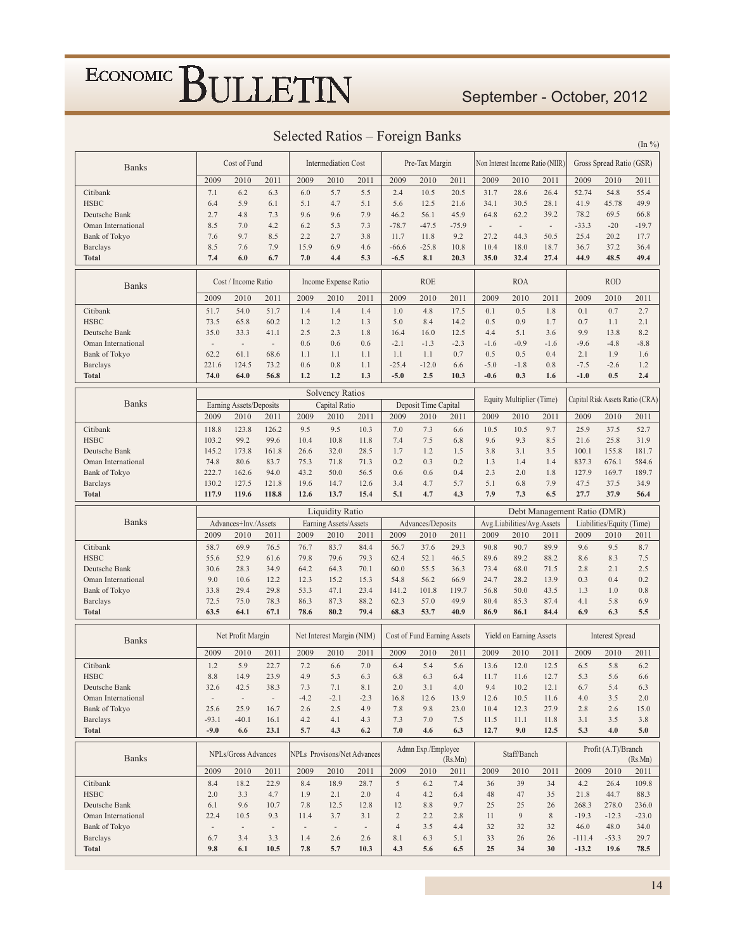### September - October, 2012

| <b>Selected Ratios</b> |  | Foreign Banks |  |  |
|------------------------|--|---------------|--|--|
|------------------------|--|---------------|--|--|

In  $0/2$ 

| <b>Banks</b>             |                          | Cost of Fund             |                          |               | <b>Intermediation Cost</b> |                                    |                | Pre-Tax Margin                     |             |                          |                            | Non Interest Income Ratio (NIIR) |                     | Gross Spread Ratio (GSR)  |                                 |
|--------------------------|--------------------------|--------------------------|--------------------------|---------------|----------------------------|------------------------------------|----------------|------------------------------------|-------------|--------------------------|----------------------------|----------------------------------|---------------------|---------------------------|---------------------------------|
|                          | 2009                     | 2010                     | 2011                     | 2009          | 2010                       | 2011                               | 2009           | 2010                               | 2011        | 2009                     | 2010                       | 2011                             | 2009                | 2010                      | 2011                            |
| Citibank                 | 7.1                      | 6.2                      | 6.3                      | 6.0           | 5.7                        | 5.5                                | 2.4            | 10.5                               | 20.5        | 31.7                     | 28.6                       | 26.4                             | 52.74               | 54.8                      | 55.4                            |
| <b>HSBC</b>              | 6.4                      | 5.9                      | 6.1                      | 5.1           | 4.7                        | 5.1                                | 5.6            | 12.5                               | 21.6        | 34.1                     | 30.5                       | 28.1                             | 41.9                | 45.78                     | 49.9                            |
| Deutsche Bank            | 2.7                      | 4.8                      | 7.3                      | 9.6           | 9.6                        | 7.9                                | 46.2           | 56.1                               | 45.9        | 64.8                     | 62.2                       | 39.2                             | 78.2                | 69.5                      | 66.8                            |
| Oman International       | 8.5                      | 7.0                      | 4.2                      | 6.2           | 5.3                        | 7.3                                | $-78.7$        | $-47.5$                            | $-75.9$     | $\overline{\phantom{a}}$ | $\overline{\phantom{a}}$   | $\overline{\phantom{a}}$         | $-33.3$             | $-20$                     | $-19.7$                         |
| <b>Bank of Tokyo</b>     | 7.6                      | 9.7                      | 8.5                      | 2.2           | 2.7                        | 3.8                                | 11.7           | 11.8                               | 9.2         | 27.2                     | 44.3                       | 50.5                             | 25.4                | 20.2                      | 17.7                            |
| <b>Barclays</b>          | 8.5                      | 7.6                      | 7.9                      | 15.9          | 6.9                        | 4.6                                | $-66.6$        | $-25.8$                            | 10.8        | 10.4                     | 18.0                       | 18.7                             | 36.7                | 37.2                      | 36.4                            |
| <b>Total</b>             | 7.4                      | 6.0                      | 6.7                      | 7.0           | 4.4                        | 5.3                                | $-6.5$         | 8.1                                | 20.3        | 35.0                     | 32.4                       | 27.4                             | 44.9                | 48.5                      | 49.4                            |
| <b>Banks</b>             |                          | Cost / Income Ratio      |                          |               | Income Expense Ratio       |                                    |                | <b>ROE</b>                         |             |                          | <b>ROA</b>                 |                                  |                     | <b>ROD</b>                |                                 |
|                          | 2009                     | 2010                     | 2011                     | 2009          | 2010                       | 2011                               | 2009           | 2010                               | 2011        | 2009                     | 2010                       | 2011                             | 2009                | 2010                      | 2011                            |
| Citibank                 | 51.7                     | 54.0                     | 51.7                     | 1.4           | 1.4                        | 1.4                                | 1.0            | 4.8                                | 17.5        | 0.1                      | 0.5                        | 1.8                              | 0.1                 | 0.7                       | 2.7                             |
| <b>HSBC</b>              | 73.5                     | 65.8                     | 60.2                     | 1.2           | 1.2                        | 1.3                                | 5.0            | 8.4                                | 14.2        | 0.5                      | 0.9                        | 1.7                              | 0.7                 | 1.1                       | 2.1                             |
| Deutsche Bank            | 35.0                     | 33.3                     | 41.1                     | 2.5           | 2.3                        | 1.8                                | 16.4           | 16.0                               | 12.5        | 4.4                      | 5.1                        | 3.6                              | 9.9                 | 13.8                      | 8.2                             |
| Oman International       | $\overline{\phantom{a}}$ | $\overline{\phantom{a}}$ | $\overline{\phantom{a}}$ | 0.6           | 0.6                        | 0.6                                | $-2.1$         | $-1.3$                             | $-2.3$      | $-1.6$                   | $-0.9$                     | $-1.6$                           | $-9.6$              | $-4.8$                    | $-8.8$                          |
| <b>Bank of Tokyo</b>     | 62.2                     | 61.1                     | 68.6                     | 1.1           | 1.1                        | 1.1                                | 1.1            | 1.1                                | 0.7         | 0.5                      | 0.5                        | 0.4                              | 2.1                 | 1.9                       | 1.6                             |
| <b>Barclays</b>          | 221.6                    | 124.5                    | 73.2                     | 0.6           | 0.8                        | 1.1                                | $-25.4$        | $-12.0$                            | 6.6         | $-5.0$                   | $-1.8$                     | 0.8                              | $-7.5$              | $-2.6$                    | 1.2                             |
| Total                    | 74.0                     | 64.0                     | 56.8                     | 1.2           | 1.2                        | 1.3                                | $-5.0$         | 2.5                                | 10.3        | $-0.6$                   | 0.3                        | 1.6                              | $-1.0$              | 0.5                       | 2.4                             |
|                          |                          |                          |                          |               | <b>Solvency Ratios</b>     |                                    |                |                                    |             |                          |                            |                                  |                     |                           |                                 |
| <b>Banks</b>             |                          | Earning Assets/Deposits  |                          |               | Capital Ratio              |                                    |                | Deposit Time Capital               |             |                          | Equity Multiplier (Time)   |                                  |                     |                           | Capital Risk Assets Ratio (CRA) |
|                          | 2009                     | 2010                     | 2011                     | 2009          | 2010                       | 2011                               | 2009           | 2010                               | 2011        | 2009                     | 2010                       | 2011                             | 2009                | 2010                      | 2011                            |
| Citibank                 | 118.8                    | 123.8                    | 126.2                    | 9.5           | 9.5                        | 10.3                               | 7.0            | 7.3                                | 6.6         | 10.5                     | 10.5                       | 9.7                              | 25.9                | 37.5                      | 52.7                            |
| <b>HSBC</b>              | 103.2                    | 99.2                     | 99.6                     | 10.4          | 10.8                       | 11.8                               | 7.4            | 7.5                                | 6.8         | 9.6                      | 9.3                        | 8.5                              | 21.6                | 25.8                      | 31.9                            |
| Deutsche Bank            | 145.2                    | 173.8                    | 161.8                    | 26.6          | 32.0                       | 28.5                               | 1.7            | 1.2                                | 1.5         | 3.8                      | 3.1                        | 3.5                              | 100.1               | 155.8                     | 181.7                           |
| Oman International       | 74.8                     | 80.6                     | 83.7                     | 75.3          | 71.8                       | 71.3                               | 0.2            | 0.3                                | 0.2         | 1.3                      | 1.4                        | 1.4                              | 837.3               | 676.1                     | 584.6                           |
| <b>Bank of Tokyo</b>     | 222.7                    | 162.6                    | 94.0                     | 43.2          | 50.0                       | 56.5                               | 0.6            | 0.6                                | 0.4         | 2.3                      | 2.0                        | 1.8                              | 127.9               | 169.7                     | 189.7                           |
| <b>Barclays</b>          | 130.2                    | 127.5                    | 121.8                    | 19.6          | 14.7                       | 12.6                               | 3.4            | 4.7                                | 5.7         | 5.1                      | 6.8                        | 7.9                              | 47.5                | 37.5                      | 34.9                            |
| <b>Total</b>             | 117.9                    | 119.6                    | 118.8                    | 12.6          | 13.7                       | 15.4                               | 5.1            | 4.7                                | 4.3         | 7.9                      | 7.3                        | 6.5                              | 27.7                | 37.9                      | 56.4                            |
|                          |                          |                          |                          |               |                            |                                    |                |                                    |             |                          |                            |                                  |                     |                           |                                 |
|                          |                          |                          |                          |               | <b>Liquidity Ratio</b>     |                                    |                |                                    |             |                          |                            | Debt Management Ratio (DMR)      |                     |                           |                                 |
| <b>Banks</b>             |                          | Advances+Inv./Assets     |                          |               | Earning Assets/Assets      |                                    |                | Advances/Deposits                  |             |                          | Avg.Liabilities/Avg.Assets |                                  |                     | Liabilities/Equity (Time) |                                 |
|                          | 2009                     | 2010                     | 2011                     | 2009          | 2010                       | 2011                               | 2009           | 2010                               | 2011        | 2009                     | 2010                       | 2011                             | 2009                | 2010                      | 2011                            |
| Citibank                 | 58.7                     | 69.9                     | 76.5                     | 76.7          | 83.7                       | 84.4                               | 56.7           | 37.6                               | 29.3        | 90.8                     | 90.7                       | 89.9                             | 9.6                 | 9.5                       | 8.7                             |
| <b>HSBC</b>              | 55.6                     | 52.9                     | 61.6                     | 79.8          | 79.6                       | 79.3                               | 62.4           | 52.1                               | 46.5        | 89.6                     | 89.2                       | 88.2                             | 8.6                 | 8.3                       | 7.5                             |
| Deutsche Bank            | 30.6                     | 28.3                     | 34.9                     | 64.2          | 64.3                       | 70.1                               | 60.0           | 55.5                               | 36.3        | 73.4                     | 68.0                       | 71.5                             | 2.8                 | 2.1                       | 2.5                             |
| Oman International       | 9.0                      | 10.6                     | 12.2                     | 12.3          | 15.2                       | 15.3                               | 54.8           | 56.2                               | 66.9        | 24.7                     | 28.2                       | 13.9                             | 0.3                 | 0.4                       | 0.2                             |
| <b>Bank of Tokyo</b>     | 33.8                     | 29.4                     | 29.8                     | 53.3          | 47.1                       | 23.4                               | 141.2          | 101.8                              | 119.7       | 56.8                     | 50.0                       | 43.5                             | 1.3                 | 1.0                       | 0.8                             |
| <b>Barclays</b>          | 72.5                     | 75.0                     | 78.3                     | 86.3          | 87.3                       | 88.2                               | 62.3           | 57.0                               | 49.9        | 80.4                     | 85.3                       | 87.4                             | 4.1                 | 5.8                       | 6.9                             |
| <b>Total</b>             | 63.5                     | 64.1                     | 67.1                     | 78.6          | 80.2                       | 79.4                               | 68.3           | 53.7                               | 40.9        | 86.9                     | 86.1                       | 84.4                             | 6.9                 | 6.3                       | 5.5                             |
| <b>Banks</b>             |                          | Net Profit Margin        |                          |               | Net Interest Margin (NIM)  |                                    |                | <b>Cost of Fund Earning Assets</b> |             |                          | Yield on Earning Assets    |                                  |                     | <b>Interest Spread</b>    |                                 |
|                          | 2009                     | 2010                     | 2011                     | 2009          | 2010                       | 2011                               | 2009           | 2010                               | 2011        | 2009                     | 2010                       | 2011                             | 2009                | 2010                      | 2011                            |
| Citibank                 | 1.2                      | 5.9                      | 22.7                     | 7.2           | 6.6                        | 7.0                                | 6.4            | 5.4                                | 5.6         | 13.6                     | 12.0                       | 12.5                             | 6.5                 | 5.8                       | 6.2                             |
| <b>HSBC</b>              | 8.8                      | 14.9                     | 23.9                     | 4.9           | 5.3                        | 6.3                                | 6.8            | 6.3                                | 6.4         | 11.7                     | 11.6                       | 12.7                             | 5.3                 | 5.6                       | 6.6                             |
| Deutsche Bank            | 32.6                     | 42.5                     | 38.3                     | 7.3           | 7.1                        | 8.1                                | 2.0            | 3.1                                | 4.0         | 9.4                      | 10.2                       | 12.1                             | 6.7                 | 5.4                       | 6.3                             |
| Oman International       | $\overline{\phantom{a}}$ | $\overline{\phantom{a}}$ | $\overline{\phantom{a}}$ | $-4.2$        | $-2.1$                     | $-2.3$                             | 16.8           | 12.6                               | 13.9        | 12.6                     | 10.5                       | 11.6                             | 4.0                 | 3.5                       | 2.0                             |
| <b>Bank of Tokyo</b>     | 25.6                     | 25.9                     | 16.7                     | 2.6           | 2.5                        | 4.9                                | 7.8            | 9.8                                | 23.0        | 10.4                     | 12.3                       | 27.9                             | 2.8                 | 2.6                       | 15.0                            |
| <b>Barclays</b>          | $-93.1$                  | $-40.1$                  | 16.1                     | 4.2           | 4.1                        | 4.3                                | 7.3            | 7.0                                | 7.5         | 11.5                     | 11.1                       | 11.8                             | 3.1                 | 3.5                       | 3.8                             |
| <b>Total</b>             | $-9.0$                   | 6.6                      | 23.1                     | 5.7           | 4.3                        | 6.2                                | 7.0            | 4.6                                | 6.3         | 12.7                     | 9.0                        | 12.5                             | 5.3                 | 4.0                       | 5.0                             |
|                          |                          | NPLs/Gross Advances      |                          |               |                            | <b>NPLs</b> Provisons/Net Advances |                | Admn Exp./Employee                 |             |                          | Staff/Banch                |                                  |                     | Profit (A.T)/Branch       |                                 |
| <b>Banks</b>             | 2009                     |                          |                          |               |                            |                                    |                |                                    | (Rs.Mn)     |                          |                            |                                  |                     |                           | (Rs.Mn)                         |
| Citibank                 | 8.4                      | 2010                     | 2011<br>22.9             | 2009<br>8.4   | 2010                       | 2011<br>28.7                       | 2009<br>5      | 2010<br>6.2                        | 2011<br>7.4 | 2009<br>36               | 2010<br>39                 | 2011<br>34                       | 2009                | 2010<br>26.4              | 2011<br>109.8                   |
| <b>HSBC</b>              | 2.0                      | 18.2<br>3.3              | 4.7                      | 1.9           | 18.9<br>2.1                | 2.0                                | $\overline{4}$ | 4.2                                | 6.4         | 48                       | 47                         | 35                               | 4.2<br>21.8         | 44.7                      | 88.3                            |
| Deutsche Bank            | 6.1                      | 9.6                      | 10.7                     | 7.8           | 12.5                       | 12.8                               | 12             | 8.8                                | 9.7         | 25                       | 25                         | 26                               | 268.3               | 278.0                     | 236.0                           |
| Oman International       | 22.4                     | 10.5                     | 9.3                      | 11.4          | 3.7                        | 3.1                                | $\mathbf{2}$   | 2.2                                | 2.8         | 11                       | 9                          | $8\,$                            | $-19.3$             | $-12.3$                   | $-23.0$                         |
| <b>Bank of Tokyo</b>     |                          | $\overline{\phantom{a}}$ | $\overline{\phantom{a}}$ | $\frac{1}{2}$ | $\overline{\phantom{a}}$   | $\overline{\phantom{a}}$           | $\overline{4}$ | 3.5                                | 4.4         | 32                       | 32                         | 32                               | 46.0                | 48.0                      | 34.0                            |
| <b>Barclays</b><br>Total | 6.7<br>9.8               | 3.4<br>6.1               | 3.3<br>10.5              | 1.4<br>7.8    | 2.6<br>5.7                 | 2.6<br>10.3                        | 8.1<br>4.3     | 6.3<br>5.6                         | 5.1<br>6.5  | 33<br>25                 | 26<br>34                   | 26<br>30                         | $-111.4$<br>$-13.2$ | $-53.3$<br>19.6           | 29.7<br>78.5                    |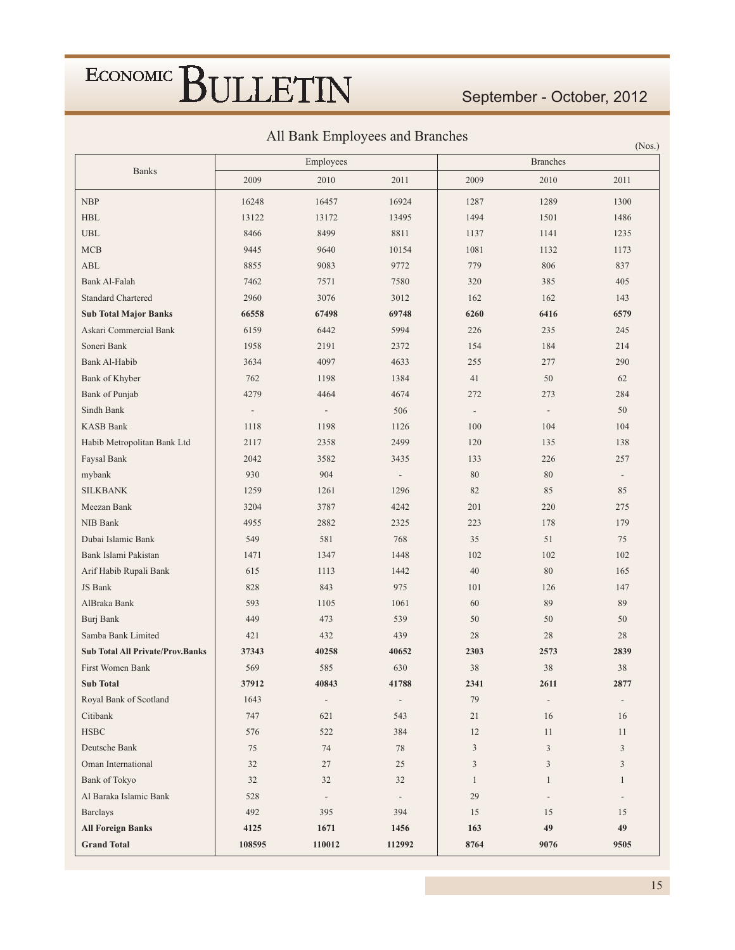September - October, 2012

 $(N_{\alpha\beta})$ 

All Bank Employees and Branches

|                                                             |                                  | Employees                       |                                 |                                 | <b>Branches</b>                | (1100,                         |
|-------------------------------------------------------------|----------------------------------|---------------------------------|---------------------------------|---------------------------------|--------------------------------|--------------------------------|
| <b>Banks</b>                                                | 2009                             | 2010                            | 2011                            | 2009                            | 2010                           | 2011                           |
| <b>NBP</b>                                                  | 16248                            | 16457                           | 16924                           | 1287                            | 1289                           | 1300                           |
| $\operatorname{HBL}$                                        | 13122                            | 13172                           | 13495                           | 1494                            | 1501                           | 1486                           |
| $_{\rm UBL}$                                                | 8466                             | 8499                            | 8811                            | 1137                            | 1141                           | 1235                           |
| MCB                                                         | 9445                             | 9640                            | 10154                           | 1081                            | 1132                           | 1173                           |
| ABL                                                         | 8855                             | 9083                            | 9772                            | 779                             | 806                            | 837                            |
| Bank Al-Falah                                               | 7462                             | 7571                            | 7580                            | 320                             | 385                            | 405                            |
| <b>Standard Chartered</b>                                   | 2960                             | 3076                            | 3012                            | 162                             | 162                            | 143                            |
| <b>Sub Total Major Banks</b>                                | 66558                            | 67498                           | 69748                           | 6260                            | 6416                           | 6579                           |
| Askari Commercial Bank                                      | 6159                             | 6442                            | 5994                            | 226                             | 235                            | 245                            |
| Soneri Bank                                                 | 1958                             | 2191                            | 2372                            | 154                             | 184                            | 214                            |
| Bank Al-Habib                                               | 3634                             | 4097                            | 4633                            | 255                             | 277                            | 290                            |
| Bank of Khyber                                              | 762                              | 1198                            | 1384                            | 41                              | 50                             | 62                             |
| Bank of Punjab                                              | 4279                             | 4464                            | 4674                            | 272                             | 273                            | 284                            |
| Sindh Bank                                                  |                                  |                                 | 506                             |                                 | $\overline{\phantom{a}}$       | 50                             |
| <b>KASB Bank</b>                                            | $\overline{\phantom{a}}$<br>1118 | 1198                            | 1126                            | $\overline{\phantom{a}}$<br>100 | 104                            | 104                            |
| Habib Metropolitan Bank Ltd                                 | 2117                             | 2358                            | 2499                            | 120                             | 135                            | 138                            |
| Faysal Bank                                                 | 2042                             | 3582                            |                                 |                                 |                                |                                |
|                                                             | 930                              | 904                             | 3435                            | 133<br>80                       | 226<br>80                      | 257                            |
| mybank                                                      |                                  |                                 | $\overline{\phantom{a}}$        |                                 |                                | $\overline{\phantom{a}}$<br>85 |
| <b>SILKBANK</b>                                             | 1259                             | 1261                            | 1296                            | 82                              | 85                             |                                |
| Meezan Bank                                                 | 3204                             | 3787                            | 4242                            | 201                             | 220                            | 275                            |
| NIB Bank                                                    | 4955                             | 2882                            | 2325                            | 223                             | 178                            | 179                            |
| Dubai Islamic Bank                                          | 549                              | 581                             | 768                             | 35                              | 51                             | 75                             |
| Bank Islami Pakistan                                        | 1471                             | 1347                            | 1448                            | 102                             | 102                            | 102                            |
| Arif Habib Rupali Bank                                      | 615                              | 1113                            | 1442                            | 40                              | 80                             | 165                            |
| JS Bank                                                     | 828                              | 843                             | 975                             | 101                             | 126                            | 147                            |
| AlBraka Bank                                                | 593                              | 1105                            | 1061                            | 60                              | 89                             | 89                             |
| Burj Bank                                                   | 449                              | 473                             | 539                             | 50                              | 50                             | 50                             |
| Samba Bank Limited                                          | 421                              | 432                             | 439                             | 28                              | 28                             | 28                             |
| <b>Sub Total All Private/Prov.Banks</b><br>First Women Bank | 37343<br>569                     | 40258<br>585                    | 40652<br>630                    | 2303<br>38                      | 2573<br>38                     | 2839<br>38                     |
| <b>Sub Total</b>                                            |                                  |                                 |                                 |                                 |                                |                                |
|                                                             | 37912<br>1643                    | 40843                           | 41788                           | 2341                            | 2611                           | 2877                           |
| Royal Bank of Scotland<br>Citibank                          | 747                              | $\overline{\phantom{a}}$<br>621 | $\overline{\phantom{a}}$<br>543 | 79<br>21                        | $\overline{\phantom{a}}$<br>16 | $\overline{\phantom{a}}$<br>16 |
|                                                             |                                  |                                 |                                 |                                 |                                |                                |
| $_{\rm HSBC}$                                               | 576                              | 522                             | 384                             | 12                              | 11                             | 11                             |
| Deutsche Bank                                               | 75                               | 74                              | 78                              | $\mathfrak{Z}$                  | $\overline{3}$                 | 3                              |
| Oman International                                          | 32                               | $27\,$                          | 25                              | $\overline{3}$                  | $\mathfrak{Z}$                 | $\mathfrak{Z}$                 |
| <b>Bank of Tokyo</b>                                        | 32                               | 32                              | 32                              | $\mathbf{1}$                    | $\mathbf{1}$                   | $\mathbf{1}$                   |
| Al Baraka Islamic Bank                                      | 528                              | $\overline{\phantom{a}}$        | $\overline{\phantom{a}}$        | 29                              | $\overline{\phantom{a}}$       | $\overline{\phantom{a}}$       |
| <b>Barclays</b>                                             | 492                              | 395                             | 394                             | 15                              | 15                             | 15                             |
| <b>All Foreign Banks</b>                                    | 4125                             | 1671                            | 1456                            | 163                             | 49                             | 49                             |
| <b>Grand Total</b>                                          | 108595                           | 110012                          | 112992                          | 8764                            | 9076                           | 9505                           |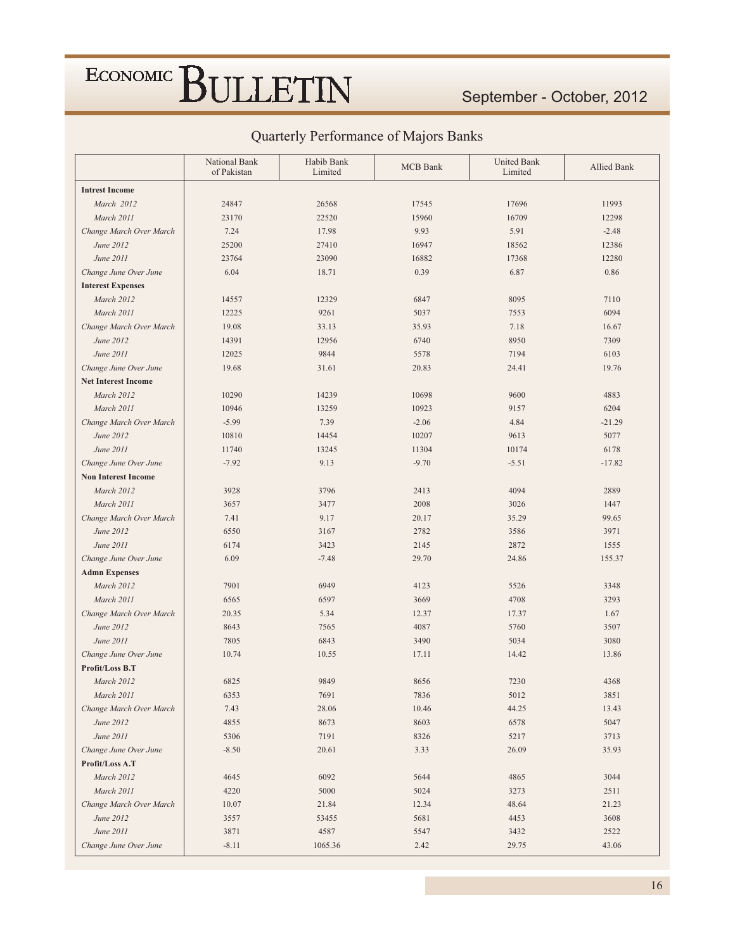### September - October, 2012

|                            | National Bank<br>of Pakistan | Habib Bank<br>Limited | <b>MCB</b> Bank | <b>United Bank</b><br>Limited | Allied Bank |
|----------------------------|------------------------------|-----------------------|-----------------|-------------------------------|-------------|
| <b>Intrest Income</b>      |                              |                       |                 |                               |             |
| March 2012                 | 24847                        | 26568                 | 17545           | 17696                         | 11993       |
| March 2011                 | 23170                        | 22520                 | 15960           | 16709                         | 12298       |
| Change March Over March    | 7.24                         | 17.98                 | 9.93            | 5.91                          | $-2.48$     |
| June 2012                  | 25200                        | 27410                 | 16947           | 18562                         | 12386       |
| June 2011                  | 23764                        | 23090                 | 16882           | 17368                         | 12280       |
| Change June Over June      | 6.04                         | 18.71                 | 0.39            | 6.87                          | 0.86        |
| <b>Interest Expenses</b>   |                              |                       |                 |                               |             |
| March 2012                 | 14557                        | 12329                 | 6847            | 8095                          | 7110        |
| March 2011                 | 12225                        | 9261                  | 5037            | 7553                          | 6094        |
| Change March Over March    | 19.08                        | 33.13                 | 35.93           | 7.18                          | 16.67       |
| June 2012                  | 14391                        | 12956                 | 6740            | 8950                          | 7309        |
| June 2011                  | 12025                        | 9844                  | 5578            | 7194                          | 6103        |
| Change June Over June      | 19.68                        | 31.61                 | 20.83           | 24.41                         | 19.76       |
| <b>Net Interest Income</b> |                              |                       |                 |                               |             |
| March 2012                 | 10290                        | 14239                 | 10698           | 9600                          | 4883        |
| March 2011                 | 10946                        | 13259                 | 10923           | 9157                          | 6204        |
| Change March Over March    | $-5.99$                      | 7.39                  | $-2.06$         | 4.84                          | $-21.29$    |
| June 2012                  | 10810                        | 14454                 | 10207           | 9613                          | 5077        |
| June 2011                  | 11740                        | 13245                 | 11304           | 10174                         | 6178        |
| Change June Over June      | $-7.92$                      | 9.13                  | $-9.70$         | $-5.51$                       | $-17.82$    |
| <b>Non Interest Income</b> |                              |                       |                 |                               |             |
| March 2012                 | 3928                         | 3796                  | 2413            | 4094                          | 2889        |
| March 2011                 | 3657                         | 3477                  | 2008            | 3026                          | 1447        |
| Change March Over March    | 7.41                         | 9.17                  | 20.17           | 35.29                         | 99.65       |
| June 2012                  | 6550                         | 3167                  | 2782            | 3586                          | 3971        |
| June 2011                  | 6174                         | 3423                  | 2145            | 2872                          | 1555        |
| Change June Over June      | 6.09                         | $-7.48$               | 29.70           | 24.86                         | 155.37      |
| <b>Admn Expenses</b>       |                              |                       |                 |                               |             |
| March 2012                 | 7901                         | 6949                  | 4123            | 5526                          | 3348        |
| March 2011                 | 6565                         | 6597                  | 3669            | 4708                          | 3293        |
| Change March Over March    | 20.35                        | 5.34                  | 12.37           | 17.37                         | 1.67        |
| June 2012                  | 8643                         | 7565                  | 4087            | 5760                          | 3507        |
| June 2011                  | 7805                         | 6843                  | 3490            | 5034                          | 3080        |
| Change June Over June      | 10.74                        | 10.55                 | 17.11           | 14.42                         | 13.86       |
| Profit/Loss B.T            |                              |                       |                 |                               |             |
| March 2012                 | 6825                         | 9849                  | 8656            | 7230                          | 4368        |
| March 2011                 | 6353                         | 7691                  | 7836            | 5012                          | 3851        |
| Change March Over March    | 7.43                         | 28.06                 | 10.46           | 44.25                         | 13.43       |
| June 2012                  | 4855                         | 8673                  | 8603            | 6578                          | 5047        |
| June 2011                  | 5306                         | 7191                  | 8326            | 5217                          | 3713        |
| Change June Over June      | $-8.50$                      | 20.61                 | 3.33            | 26.09                         | 35.93       |
| Profit/Loss A.T            |                              |                       |                 |                               |             |
| March 2012                 | 4645                         | 6092                  | 5644            | 4865                          | 3044        |
| March 2011                 | 4220                         | 5000                  | 5024            | 3273                          | 2511        |
| Change March Over March    | 10.07                        | 21.84                 | 12.34           | 48.64                         | 21.23       |
| June 2012                  | 3557                         | 53455                 | 5681            | 4453                          | 3608        |
| June 2011                  | 3871                         | 4587                  | 5547            | 3432                          | 2522        |
| Change June Over June      | $-8.11$                      | 1065.36               | 2.42            | 29.75                         | 43.06       |

### Quarterly Performance of Majors Banks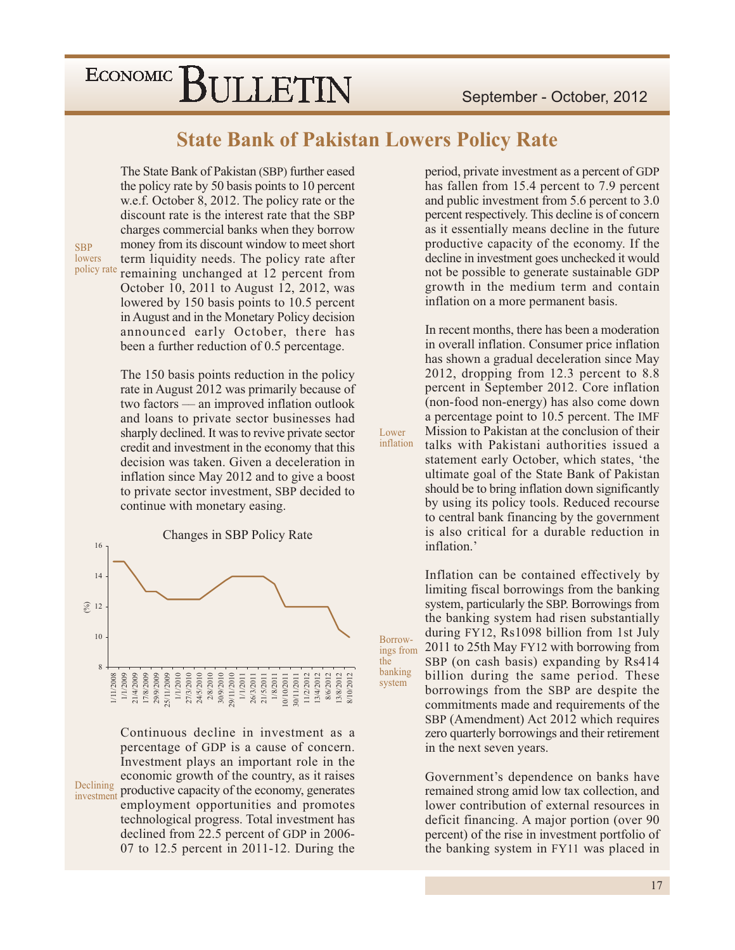**State Bank of Pakistan Lowers Policy Rate** 

Lower inflation

Borrow-

system

the banking

The State Bank of Pakistan (SBP) further eased the policy rate by 50 basis points to 10 percent w.e.f. October 8, 2012. The policy rate or the discount rate is the interest rate that the SBP charges commercial banks when they borrow money from its discount window to meet short term liquidity needs. The policy rate after policy rate remaining unchanged at 12 percent from October 10, 2011 to August 12, 2012, was lowered by 150 basis points to 10.5 percent in August and in the Monetary Policy decision announced early October, there has been a further reduction of 0.5 percentage.

**SBP** 

lowers

The 150 basis points reduction in the policy rate in August 2012 was primarily because of two factors — an improved inflation outlook and loans to private sector businesses had sharply declined. It was to revive private sector credit and investment in the economy that this decision was taken. Given a deceleration in inflation since May 2012 and to give a boost to private sector investment, SBP decided to continue with monetary easing.

Changes in SBP Policy Rate 16  $\frac{14}{5}$  $\widehat{\otimes}$  12  $10$ 1/11/2008<br>
1/1/2009<br>
1/1/2009<br>
1/1/2010<br>
1/1/2010<br>
1/1/2010<br>
2/1/2010<br>
2/3/2010<br>
2/2010<br>
2/1/2011<br>
1/1/2011<br>
1/1/2011<br>
1/1/2011<br>
1/1/2011<br>
1/1/2011<br>
1/1/2011<br>
1/1/2011<br>
1/1/2011<br>
1/1/2011<br>
1/1/2011<br>
1/1/2011<br>
1/1/2011<br>
1/1 8/10/201

Continuous decline in investment as a percentage of GDP is a cause of concern. Investment plays an important role in the economic growth of the country, as it raises investment productive capacity of the economy, generates employment opportunities and promotes technological progress. Total investment has declined from 22.5 percent of GDP in 2006-07 to 12.5 percent in 2011-12. During the

period, private investment as a percent of GDP has fallen from 15.4 percent to 7.9 percent and public investment from 5.6 percent to 3.0 percent respectively. This decline is of concern as it essentially means decline in the future productive capacity of the economy. If the decline in investment goes unchecked it would not be possible to generate sustainable GDP growth in the medium term and contain inflation on a more permanent basis.

In recent months, there has been a moderation in overall inflation. Consumer price inflation has shown a gradual deceleration since May 2012, dropping from  $12.3$  percent to 8.8 percent in September 2012. Core inflation (non-food non-energy) has also come down a percentage point to 10.5 percent. The IMF Mission to Pakistan at the conclusion of their talks with Pakistani authorities issued a statement early October, which states, 'the ultimate goal of the State Bank of Pakistan should be to bring inflation down significantly by using its policy tools. Reduced recourse to central bank financing by the government is also critical for a durable reduction in inflation.'

Inflation can be contained effectively by limiting fiscal borrowings from the banking system, particularly the SBP. Borrowings from the banking system had risen substantially during FY12, Rs1098 billion from 1st July 2011 to 25th May FY12 with borrowing from ings from SBP (on cash basis) expanding by Rs414 billion during the same period. These borrowings from the SBP are despite the commitments made and requirements of the SBP (Amendment) Act 2012 which requires zero quarterly borrowings and their retirement in the next seven years.

> Government's dependence on banks have remained strong amid low tax collection, and lower contribution of external resources in deficit financing. A major portion (over 90) percent) of the rise in investment portfolio of the banking system in FY11 was placed in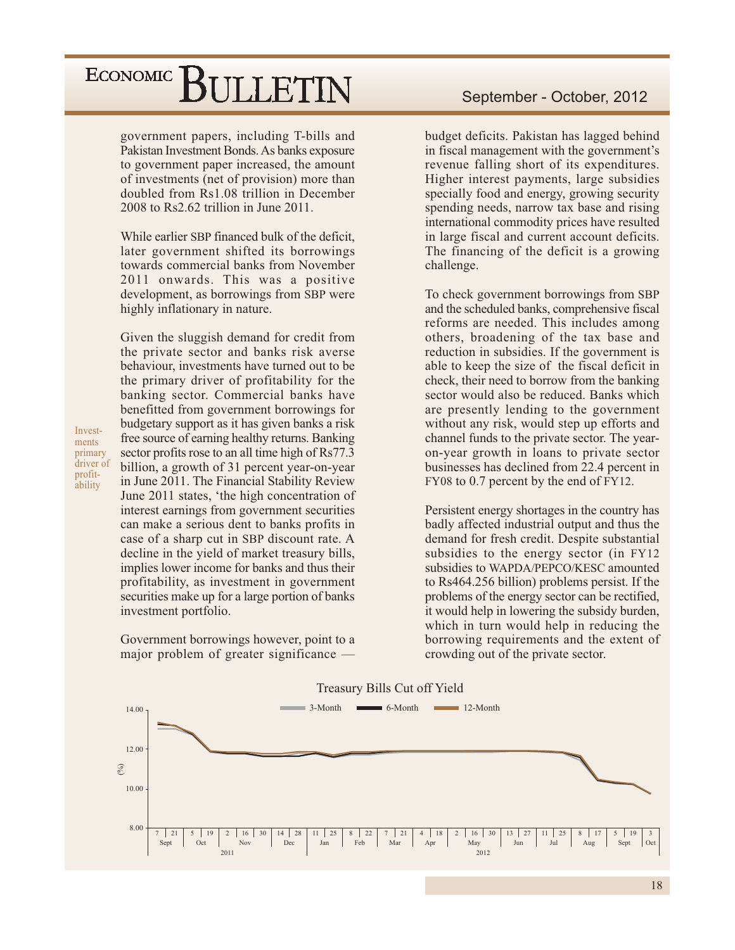### ECONOMIC<sup></sup> BULLETIN

government papers, including T-bills and Pakistan Investment Bonds. As banks exposure to government paper increased, the amount of investments (net of provision) more than doubled from Rs1.08 trillion in December  $2008$  to Rs2.62 trillion in June  $2011$ .

While earlier SBP financed bulk of the deficit, later government shifted its borrowings towards commercial banks from November 2011 onwards. This was a positive development, as borrowings from SBP were highly inflationary in nature.

Given the sluggish demand for credit from the private sector and banks risk averse behaviour, investments have turned out to be the primary driver of profitability for the banking sector. Commercial banks have benefitted from government borrowings for budgetary support as it has given banks a risk free source of earning healthy returns. Banking sector profits rose to an all time high of Rs77.3 billion, a growth of 31 percent year-on-year in June 2011. The Financial Stability Review June 2011 states, 'the high concentration of interest earnings from government securities can make a serious dent to banks profits in case of a sharp cut in SBP discount rate. A decline in the yield of market treasury bills, implies lower income for banks and thus their profitability, as investment in government securities make up for a large portion of banks investment portfolio.

Government borrowings however, point to a major problem of greater significance —

budget deficits. Pakistan has lagged behind in fiscal management with the government's revenue falling short of its expenditures. Higher interest payments, large subsidies specially food and energy, growing security spending needs, narrow tax base and rising international commodity prices have resulted in large fiscal and current account deficits. The financing of the deficit is a growing challenge.

To check government borrowings from SBP and the scheduled banks, comprehensive fiscal reforms are needed. This includes among others, broadening of the tax base and reduction in subsidies. If the government is able to keep the size of the fiscal deficit in check, their need to borrow from the banking sector would also be reduced. Banks which are presently lending to the government without any risk, would step up efforts and channel funds to the private sector. The yearon-year growth in loans to private sector businesses has declined from 22.4 percent in FY08 to 0.7 percent by the end of FY12.

Persistent energy shortages in the country has badly affected industrial output and thus the demand for fresh credit. Despite substantial subsidies to the energy sector (in FY12) subsidies to WAPDA/PEPCO/KESC amounted to Rs464.256 billion) problems persist. If the problems of the energy sector can be rectified, it would help in lowering the subsidy burden, which in turn would help in reducing the borrowing requirements and the extent of crowding out of the private sector.



Investments primary driver of profitability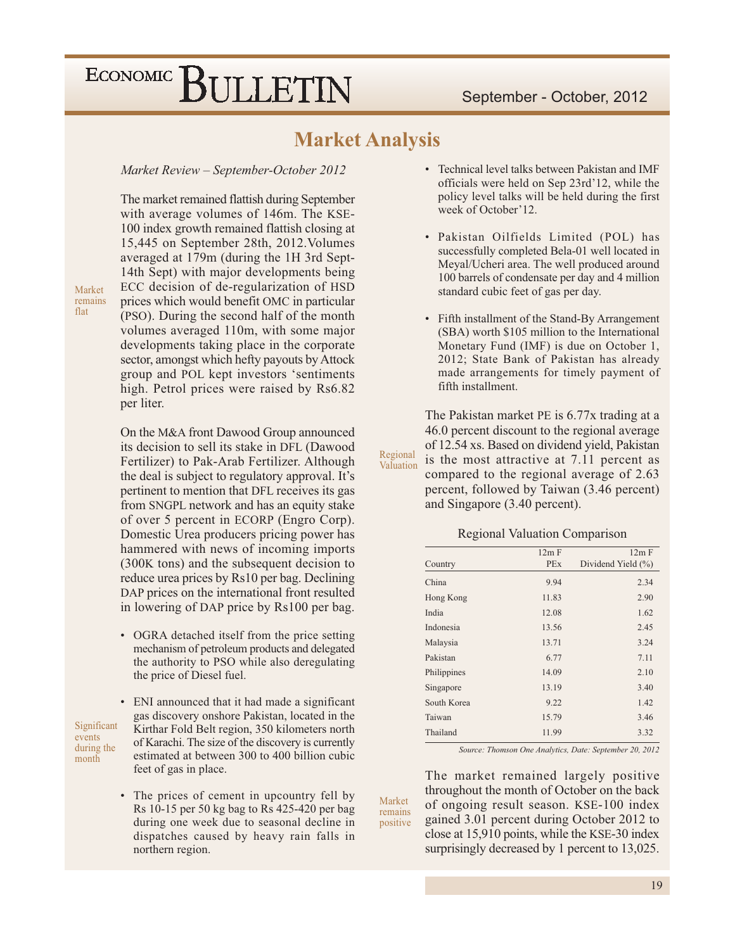### **Market Analysis**

Regional

Market

remains

positive

#### Market Review - September-October 2012

The market remained flattish during September with average volumes of 146m. The KSE-100 index growth remained flattish closing at 15,445 on September 28th, 2012. Volumes averaged at 179m (during the 1H 3rd Sept-14th Sept) with major developments being ECC decision of de-regularization of HSD prices which would benefit OMC in particular (PSO). During the second half of the month volumes averaged 110m, with some major developments taking place in the corporate sector, amongst which hefty payouts by Attock group and POL kept investors 'sentiments high. Petrol prices were raised by Rs6.82 per liter.

On the M&A front Dawood Group announced its decision to sell its stake in DFL (Dawood Fertilizer) to Pak-Arab Fertilizer. Although the deal is subject to regulatory approval. It's pertinent to mention that DFL receives its gas from SNGPL network and has an equity stake of over 5 percent in ECORP (Engro Corp). Domestic Urea producers pricing power has hammered with news of incoming imports (300K tons) and the subsequent decision to reduce urea prices by Rs10 per bag. Declining DAP prices on the international front resulted in lowering of DAP price by Rs100 per bag.

• OGRA detached itself from the price setting mechanism of petroleum products and delegated the authority to PSO while also deregulating the price of Diesel fuel.

Significant events during the month

- ENI announced that it had made a significant gas discovery onshore Pakistan, located in the Kirthar Fold Belt region, 350 kilometers north of Karachi. The size of the discovery is currently estimated at between 300 to 400 billion cubic feet of gas in place.
- The prices of cement in upcountry fell by Rs 10-15 per 50 kg bag to Rs 425-420 per bag during one week due to seasonal decline in dispatches caused by heavy rain falls in northern region.
- Technical level talks between Pakistan and IMF officials were held on Sep 23rd'12, while the policy level talks will be held during the first week of October'12.
- · Pakistan Oilfields Limited (POL) has successfully completed Bela-01 well located in Meyal/Ucheri area. The well produced around 100 barrels of condensate per day and 4 million standard cubic feet of gas per day.
- Fifth installment of the Stand-By Arrangement (SBA) worth \$105 million to the International Monetary Fund (IMF) is due on October 1, 2012; State Bank of Pakistan has already made arrangements for timely payment of fifth installment.

The Pakistan market PE is 6.77x trading at a 46.0 percent discount to the regional average of 12.54 xs. Based on dividend yield, Pakistan is the most attractive at 7.11 percent as Valuation compared to the regional average of 2.63 percent, followed by Taiwan (3.46 percent) and Singapore (3.40 percent).

**Regional Valuation Comparison** 

|             | 12m F      | 12m F              |
|-------------|------------|--------------------|
| Country     | <b>PEx</b> | Dividend Yield (%) |
| China       | 9.94       | 2.34               |
| Hong Kong   | 11.83      | 2.90               |
| India       | 12.08      | 1.62               |
| Indonesia   | 13.56      | 2.45               |
| Malaysia    | 13.71      | 3.24               |
| Pakistan    | 6.77       | 7.11               |
| Philippines | 14.09      | 2.10               |
| Singapore   | 13.19      | 3.40               |
| South Korea | 9.22       | 1.42               |
| Taiwan      | 15.79      | 3.46               |
| Thailand    | 11.99      | 3.32               |

Source: Thomson One Analytics, Date: September 20, 2012

The market remained largely positive throughout the month of October on the back of ongoing result season. KSE-100 index gained 3.01 percent during October 2012 to close at 15,910 points, while the KSE-30 index surprisingly decreased by 1 percent to 13,025.

remains flat

Market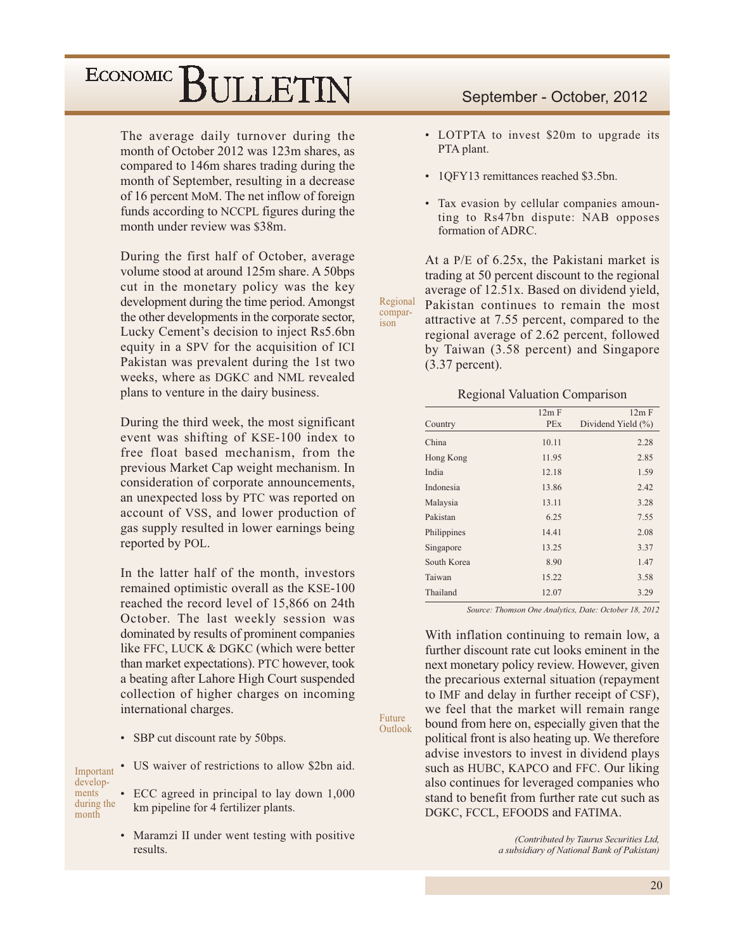The average daily turnover during the month of October 2012 was 123m shares, as compared to 146m shares trading during the month of September, resulting in a decrease of 16 percent MoM. The net inflow of foreign funds according to NCCPL figures during the month under review was \$38m.

During the first half of October, average volume stood at around 125m share. A 50bps cut in the monetary policy was the key development during the time period. Amongst the other developments in the corporate sector, Lucky Cement's decision to inject Rs5.6bn equity in a SPV for the acquisition of ICI Pakistan was prevalent during the 1st two weeks, where as DGKC and NML revealed plans to venture in the dairy business.

During the third week, the most significant event was shifting of KSE-100 index to free float based mechanism, from the previous Market Cap weight mechanism. In consideration of corporate announcements, an unexpected loss by PTC was reported on account of VSS, and lower production of gas supply resulted in lower earnings being reported by POL.

In the latter half of the month, investors remained optimistic overall as the KSE-100 reached the record level of 15,866 on 24th October. The last weekly session was dominated by results of prominent companies like FFC, LUCK & DGKC (which were better than market expectations). PTC however, took a beating after Lahore High Court suspended collection of higher charges on incoming international charges.

• SBP cut discount rate by 50bps.

US waiver of restrictions to allow \$2bn aid. Important developments ECC agreed in principal to lay down 1,000 during the km pipeline for 4 fertilizer plants. month

> • Maramzi II under went testing with positive results.

#### September - October, 2012

- LOTPTA to invest \$20m to upgrade its PTA plant.
- 10FY13 remittances reached \$3.5bn.
- · Tax evasion by cellular companies amounting to Rs47bn dispute: NAB opposes formation of ADRC.

At a P/E of 6.25x, the Pakistani market is trading at 50 percent discount to the regional average of 12.51x. Based on dividend yield, Regional Pakistan continues to remain the most attractive at 7.55 percent, compared to the regional average of 2.62 percent, followed by Taiwan (3.58 percent) and Singapore  $(3.37)$  percent).

compar-

ison

Future

Outlook

#### **Regional Valuation Comparison**

|             | 12m F      | 12m F                 |
|-------------|------------|-----------------------|
| Country     | <b>PEx</b> | Dividend Yield $(\%)$ |
| China       | 10.11      | 2.28                  |
| Hong Kong   | 11.95      | 2.85                  |
| India       | 12.18      | 1.59                  |
| Indonesia   | 13.86      | 2.42                  |
| Malaysia    | 13.11      | 3.28                  |
| Pakistan    | 6.25       | 7.55                  |
| Philippines | 14.41      | 2.08                  |
| Singapore   | 13.25      | 3.37                  |
| South Korea | 8.90       | 1.47                  |
| Taiwan      | 15.22      | 3.58                  |
| Thailand    | 12.07      | 3.29                  |

Source: Thomson One Analytics, Date: October 18, 2012

With inflation continuing to remain low, a further discount rate cut looks eminent in the next monetary policy review. However, given the precarious external situation (repayment to IMF and delay in further receipt of CSF), we feel that the market will remain range bound from here on, especially given that the political front is also heating up. We therefore advise investors to invest in dividend plays such as HUBC, KAPCO and FFC. Our liking also continues for leveraged companies who stand to benefit from further rate cut such as DGKC, FCCL, EFOODS and FATIMA.

> (Contributed by Taurus Securities Ltd, a subsidiary of National Bank of Pakistan)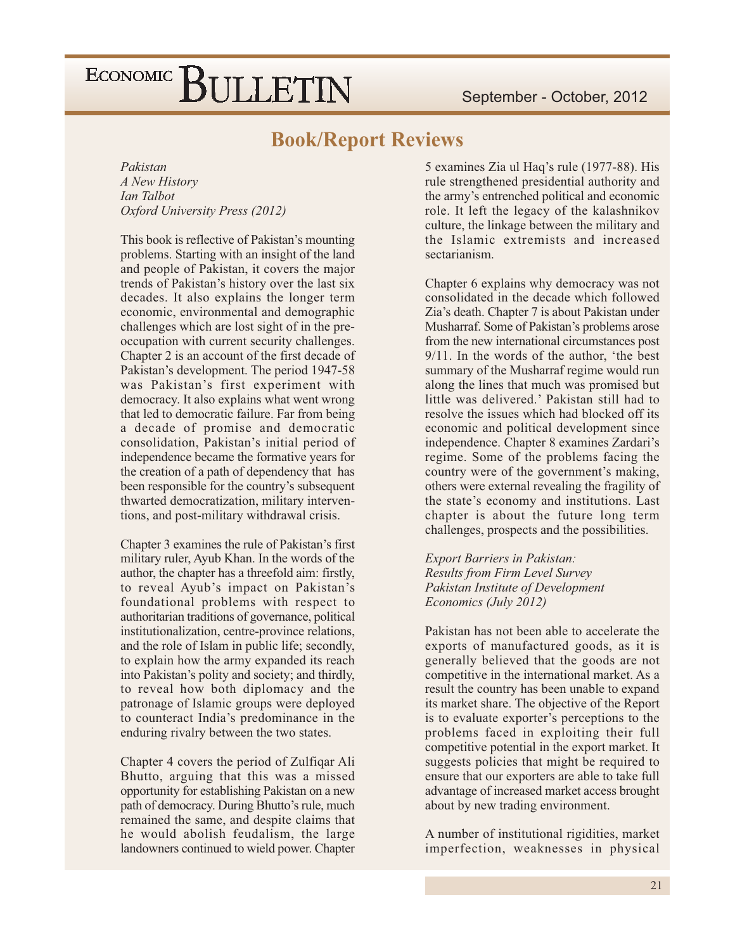### **Book/Report Reviews**

Pakistan A New History Ian Talbot Oxford University Press (2012)

This book is reflective of Pakistan's mounting problems. Starting with an insight of the land and people of Pakistan, it covers the major trends of Pakistan's history over the last six decades. It also explains the longer term economic, environmental and demographic challenges which are lost sight of in the preoccupation with current security challenges. Chapter 2 is an account of the first decade of Pakistan's development. The period 1947-58 was Pakistan's first experiment with democracy. It also explains what went wrong that led to democratic failure. Far from being a decade of promise and democratic consolidation, Pakistan's initial period of independence became the formative years for the creation of a path of dependency that has been responsible for the country's subsequent thwarted democratization, military interventions, and post-military withdrawal crisis.

Chapter 3 examines the rule of Pakistan's first military ruler, Ayub Khan. In the words of the author, the chapter has a threefold aim: firstly, to reveal Ayub's impact on Pakistan's foundational problems with respect to authoritarian traditions of governance, political institutionalization, centre-province relations, and the role of Islam in public life; secondly, to explain how the army expanded its reach into Pakistan's polity and society; and thirdly, to reveal how both diplomacy and the patronage of Islamic groups were deployed to counteract India's predominance in the enduring rivalry between the two states.

Chapter 4 covers the period of Zulfiqar Ali Bhutto, arguing that this was a missed opportunity for establishing Pakistan on a new path of democracy. During Bhutto's rule, much remained the same, and despite claims that he would abolish feudalism, the large landowners continued to wield power. Chapter 5 examines Zia ul Haq's rule (1977-88). His rule strengthened presidential authority and the army's entrenched political and economic role. It left the legacy of the kalashnikov culture, the linkage between the military and the Islamic extremists and increased sectarianism

Chapter 6 explains why democracy was not consolidated in the decade which followed Zia's death. Chapter 7 is about Pakistan under Musharraf. Some of Pakistan's problems arose from the new international circumstances post  $9/11$ . In the words of the author, 'the best summary of the Musharraf regime would run along the lines that much was promised but little was delivered.' Pakistan still had to resolve the issues which had blocked off its economic and political development since independence. Chapter 8 examines Zardari's regime. Some of the problems facing the country were of the government's making, others were external revealing the fragility of the state's economy and institutions. Last chapter is about the future long term challenges, prospects and the possibilities.

**Export Barriers in Pakistan: Results from Firm Level Survey** Pakistan Institute of Development Economics (July 2012)

Pakistan has not been able to accelerate the exports of manufactured goods, as it is generally believed that the goods are not competitive in the international market. As a result the country has been unable to expand its market share. The objective of the Report is to evaluate exporter's perceptions to the problems faced in exploiting their full competitive potential in the export market. It suggests policies that might be required to ensure that our exporters are able to take full advantage of increased market access brought about by new trading environment.

A number of institutional rigidities, market imperfection, weaknesses in physical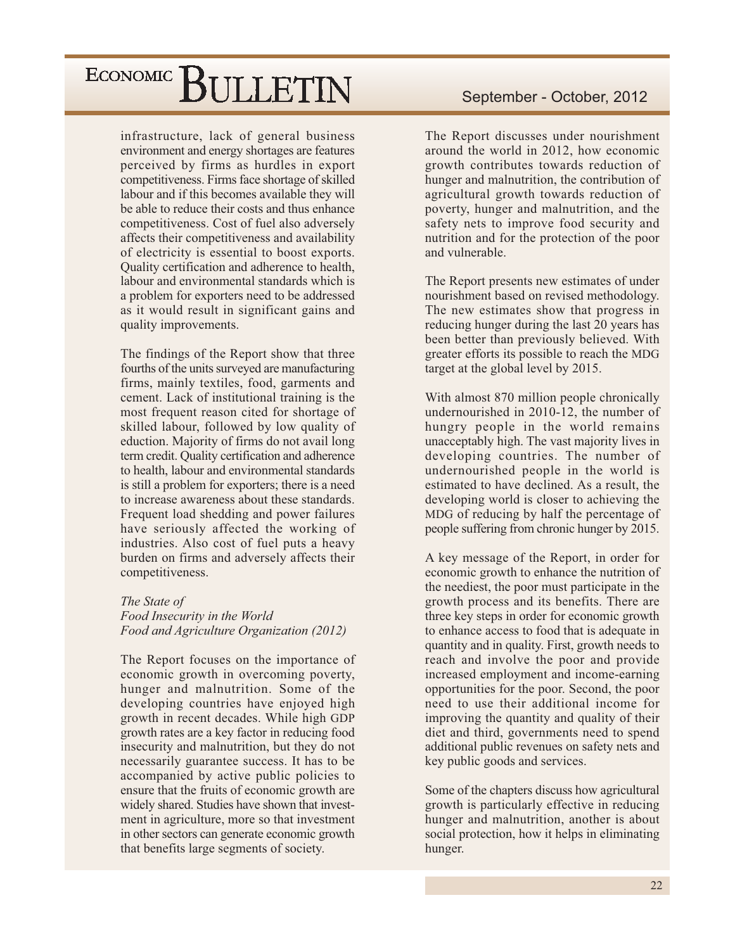infrastructure, lack of general business environment and energy shortages are features perceived by firms as hurdles in export competitiveness. Firms face shortage of skilled labour and if this becomes available they will be able to reduce their costs and thus enhance competitiveness. Cost of fuel also adversely affects their competitiveness and availability of electricity is essential to boost exports. Quality certification and adherence to health, labour and environmental standards which is a problem for exporters need to be addressed as it would result in significant gains and quality improvements.

The findings of the Report show that three fourths of the units surveyed are manufacturing firms, mainly textiles, food, garments and cement. Lack of institutional training is the most frequent reason cited for shortage of skilled labour, followed by low quality of eduction. Majority of firms do not avail long term credit. Quality certification and adherence to health, labour and environmental standards is still a problem for exporters; there is a need to increase awareness about these standards. Frequent load shedding and power failures have seriously affected the working of industries. Also cost of fuel puts a heavy burden on firms and adversely affects their competitiveness.

#### The State of Food Insecurity in the World Food and Agriculture Organization (2012)

The Report focuses on the importance of economic growth in overcoming poverty, hunger and malnutrition. Some of the developing countries have enjoyed high growth in recent decades. While high GDP growth rates are a key factor in reducing food insecurity and malnutrition, but they do not necessarily guarantee success. It has to be accompanied by active public policies to ensure that the fruits of economic growth are widely shared. Studies have shown that investment in agriculture, more so that investment in other sectors can generate economic growth that benefits large segments of society.

The Report discusses under nourishment around the world in 2012, how economic growth contributes towards reduction of hunger and malnutrition, the contribution of agricultural growth towards reduction of poverty, hunger and malnutrition, and the safety nets to improve food security and nutrition and for the protection of the poor and vulnerable.

The Report presents new estimates of under nourishment based on revised methodology. The new estimates show that progress in reducing hunger during the last 20 years has been better than previously believed. With greater efforts its possible to reach the MDG target at the global level by 2015.

With almost 870 million people chronically undernourished in 2010-12, the number of hungry people in the world remains unacceptably high. The vast majority lives in developing countries. The number of undernourished people in the world is estimated to have declined. As a result, the developing world is closer to achieving the MDG of reducing by half the percentage of people suffering from chronic hunger by 2015.

A key message of the Report, in order for economic growth to enhance the nutrition of the neediest, the poor must participate in the growth process and its benefits. There are three key steps in order for economic growth to enhance access to food that is adequate in quantity and in quality. First, growth needs to reach and involve the poor and provide increased employment and income-earning opportunities for the poor. Second, the poor need to use their additional income for improving the quantity and quality of their diet and third, governments need to spend additional public revenues on safety nets and key public goods and services.

Some of the chapters discuss how agricultural growth is particularly effective in reducing hunger and malnutrition, another is about social protection, how it helps in eliminating hunger.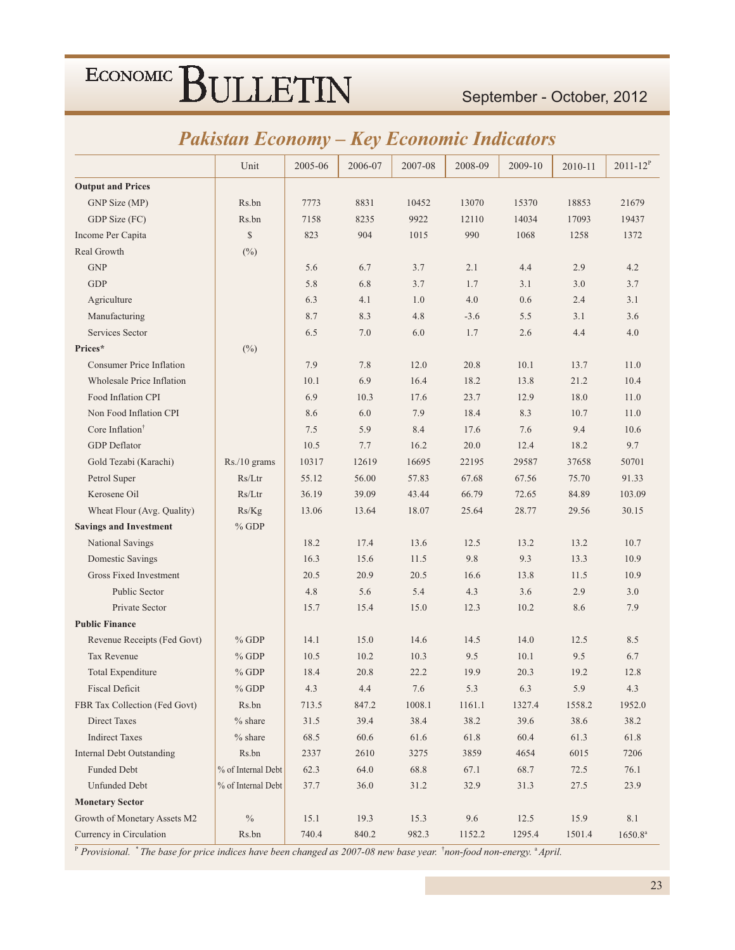### September - October, 2012

### **Pakistan Economy - Key Economic Indicators**

|                                  | Unit               | 2005-06 | 2006-07 | 2007-08 | 2008-09 | 2009-10 | 2010-11 | $2011 - 12^{P}$ |
|----------------------------------|--------------------|---------|---------|---------|---------|---------|---------|-----------------|
| <b>Output and Prices</b>         |                    |         |         |         |         |         |         |                 |
| GNP Size (MP)                    | Rs.bn              | 7773    | 8831    | 10452   | 13070   | 15370   | 18853   | 21679           |
| GDP Size (FC)                    | Rs.bn              | 7158    | 8235    | 9922    | 12110   | 14034   | 17093   | 19437           |
| Income Per Capita                | $\mathbb{S}$       | 823     | 904     | 1015    | 990     | 1068    | 1258    | 1372            |
| Real Growth                      | $(\%)$             |         |         |         |         |         |         |                 |
| <b>GNP</b>                       |                    | 5.6     | 6.7     | 3.7     | 2.1     | 4.4     | 2.9     | 4.2             |
| <b>GDP</b>                       |                    | 5.8     | 6.8     | 3.7     | 1.7     | 3.1     | 3.0     | 3.7             |
| Agriculture                      |                    | 6.3     | 4.1     | 1.0     | 4.0     | 0.6     | 2.4     | 3.1             |
| Manufacturing                    |                    | 8.7     | 8.3     | 4.8     | $-3.6$  | 5.5     | 3.1     | 3.6             |
| Services Sector                  |                    | 6.5     | 7.0     | 6.0     | 1.7     | 2.6     | 4.4     | 4.0             |
| Prices*                          | $(\%)$             |         |         |         |         |         |         |                 |
| <b>Consumer Price Inflation</b>  |                    | 7.9     | 7.8     | 12.0    | 20.8    | 10.1    | 13.7    | 11.0            |
| <b>Wholesale Price Inflation</b> |                    | 10.1    | 6.9     | 16.4    | 18.2    | 13.8    | 21.2    | 10.4            |
| Food Inflation CPI               |                    | 6.9     | 10.3    | 17.6    | 23.7    | 12.9    | 18.0    | 11.0            |
| Non Food Inflation CPI           |                    | 8.6     | 6.0     | 7.9     | 18.4    | 8.3     | 10.7    | 11.0            |
| Core Inflation <sup>†</sup>      |                    | 7.5     | 5.9     | 8.4     | 17.6    | 7.6     | 9.4     | 10.6            |
| <b>GDP</b> Deflator              |                    | 10.5    | 7.7     | 16.2    | 20.0    | 12.4    | 18.2    | 9.7             |
| Gold Tezabi (Karachi)            | $Rs./10$ grams     | 10317   | 12619   | 16695   | 22195   | 29587   | 37658   | 50701           |
| Petrol Super                     | Rs/Ltr             | 55.12   | 56.00   | 57.83   | 67.68   | 67.56   | 75.70   | 91.33           |
| Kerosene Oil                     | Rs/Ltr             | 36.19   | 39.09   | 43.44   | 66.79   | 72.65   | 84.89   | 103.09          |
| Wheat Flour (Avg. Quality)       | Rs/Kg              | 13.06   | 13.64   | 18.07   | 25.64   | 28.77   | 29.56   | 30.15           |
| <b>Savings and Investment</b>    | $%$ GDP            |         |         |         |         |         |         |                 |
| National Savings                 |                    | 18.2    | 17.4    | 13.6    | 12.5    | 13.2    | 13.2    | 10.7            |
| Domestic Savings                 |                    | 16.3    | 15.6    | 11.5    | 9.8     | 9.3     | 13.3    | 10.9            |
| Gross Fixed Investment           |                    | 20.5    | 20.9    | 20.5    | 16.6    | 13.8    | 11.5    | 10.9            |
| <b>Public Sector</b>             |                    | 4.8     | 5.6     | 5.4     | 4.3     | 3.6     | 2.9     | 3.0             |
| Private Sector                   |                    | 15.7    | 15.4    | 15.0    | 12.3    | 10.2    | 8.6     | 7.9             |
| <b>Public Finance</b>            |                    |         |         |         |         |         |         |                 |
| Revenue Receipts (Fed Govt)      | $%$ GDP            | 14.1    | 15.0    | 14.6    | 14.5    | 14.0    | 12.5    | 8.5             |
| <b>Tax Revenue</b>               | $%$ GDP            | 10.5    | 10.2    | 10.3    | 9.5     | 10.1    | 9.5     | 6.7             |
| <b>Total Expenditure</b>         | $%$ GDP            | 18.4    | 20.8    | 22.2    | 19.9    | 20.3    | 19.2    | 12.8            |
| <b>Fiscal Deficit</b>            | $%$ GDP            | 4.3     | 4.4     | 7.6     | 5.3     | 6.3     | 5.9     | 4.3             |
| FBR Tax Collection (Fed Govt)    | Rs.bn              | 713.5   | 847.2   | 1008.1  | 1161.1  | 1327.4  | 1558.2  | 1952.0          |
| <b>Direct Taxes</b>              | $%$ share          | 31.5    | 39.4    | 38.4    | 38.2    | 39.6    | 38.6    | 38.2            |
| <b>Indirect Taxes</b>            | $%$ share          | 68.5    | 60.6    | 61.6    | 61.8    | 60.4    | 61.3    | 61.8            |
| <b>Internal Debt Outstanding</b> | Rs.bn              | 2337    | 2610    | 3275    | 3859    | 4654    | 6015    | 7206            |
| <b>Funded Debt</b>               | % of Internal Debt | 62.3    | 64.0    | 68.8    | 67.1    | 68.7    | 72.5    | 76.1            |
| <b>Unfunded Debt</b>             | % of Internal Debt | 37.7    | 36.0    | 31.2    | 32.9    | 31.3    | 27.5    | 23.9            |
| <b>Monetary Sector</b>           |                    |         |         |         |         |         |         |                 |
| Growth of Monetary Assets M2     | $\%$               | 15.1    | 19.3    | 15.3    | $9.6\,$ | 12.5    | 15.9    | 8.1             |
| Currency in Circulation          | Rs.bn              | 740.4   | 840.2   | 982.3   | 1152.2  | 1295.4  | 1501.4  | $1650.8^{a}$    |

<sup>P</sup> Provisional. \* The base for price indices have been changed as 2007-08 new base year. <sup>†</sup>non-food non-energy. <sup>a</sup> April.